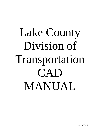# Lake County Division of Transportation CAD MANUAL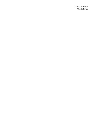LCDOT CAD MANUAL Lake County, Illinois Revised: 10/18/16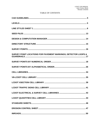# TABLE OF CONTENTS

| SURVEY POINT LOCATIONS FOR PAVEMENT MARKINGS, DETECTOR LOOPS & |  |
|----------------------------------------------------------------|--|
|                                                                |  |
|                                                                |  |
|                                                                |  |
|                                                                |  |
|                                                                |  |
|                                                                |  |
|                                                                |  |
|                                                                |  |
|                                                                |  |
|                                                                |  |
|                                                                |  |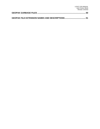| LCDOT CAD MANUAL<br>Lake County, Illinois<br>Revised: 10/18/16 |
|----------------------------------------------------------------|
|                                                                |
|                                                                |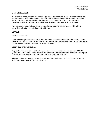# *CAD GUIDELINES*

"Guidelines" is the key word for this manual. Typically, when one thinks of CAD "standards" there is a certain amount of fear on the part of the user that if the "standards" are not followed to the letter, dire results may occur. It is impossible to develop a set of standards that will cover every situation. Therefore, flexibility is necessary to adapt to those situations calling for special consideration.

The most important rule to follow is to create entities using the "BYLEVEL" feature. This adds a tremendous advantage to controlling entity attributes.

# *LEVELS*

#### **LCDOT LEVELS.csv**

Levels for existing conditions are based upon the survey PCODE number and can be found in **LCDOT LEVELS.csv**. For example, existing edge of pavement will be on level 668 instead of 27. The old levels can be used with the new system per the user's discretion.

#### **LCDOT QUANTITY LEVELS.csv**

Proposed elements are drawn on levels organized by pay code number and are located in **LCDOT QUANTITY LEVELS.csv**. These levels will be updated as new pay code items are added. The original levels for proposed items can also be used at the discretion of the designer.

A key part of the new setup is that nearly all elements have attributes of "BYLEVEL" which gives the drafter much more versatility than the old setup.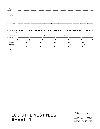+A-Border +A-Center +A-Dashdot +A-Dashed +A-Divide  $- - =$  $-$ ------ $-- - - - - - - - - -$ +A-Dot +A-Phantom +A-Hidden



 $- -$ 

 $---$ 

 $-$ 

 $---$ 

 $- - - - - -$ 

-------

 $---$ 

 $-$ 

# SHEET 1 LCDOT LINESTYLES

| LINE CODES:                           |                 |
|---------------------------------------|-----------------|
| A = AUTOCAD                           | $S = STRIPING$  |
| $D = DRAINAGE$                        | T = TOPOGRAPHIC |
| $G = GEOMETRIC$                       | U = UTILITY     |
| $L = LFGAL$                           | V = VEGETATION  |
| M = MISCELLANEOUS                     | X = ABANDONDED  |
| + INDICATES THE LINE IS TO BE SCALED. |                 |
| ATUEDS SUAHLA BE ADAMN AT LISSALE     |                 |

OTHERS SHOULD BE DRAWN AT I: ISCALE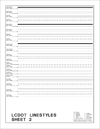| G-B6-I2-DP-P<br>(DATA POINT)                       |                                                                                                                                                                                                                                                                                                                                                                                                                                                                                                                                                                            |
|----------------------------------------------------|----------------------------------------------------------------------------------------------------------------------------------------------------------------------------------------------------------------------------------------------------------------------------------------------------------------------------------------------------------------------------------------------------------------------------------------------------------------------------------------------------------------------------------------------------------------------------|
| G-B6-I2-DP-X<br>(DATA POINT)                       |                                                                                                                                                                                                                                                                                                                                                                                                                                                                                                                                                                            |
| G-B6-I2P<br>(DATA POINT)                           |                                                                                                                                                                                                                                                                                                                                                                                                                                                                                                                                                                            |
| G-B6-I2X<br>(DATA POINT)                           |                                                                                                                                                                                                                                                                                                                                                                                                                                                                                                                                                                            |
| G-B6-18-DP-P<br>(DATA POINT)                       |                                                                                                                                                                                                                                                                                                                                                                                                                                                                                                                                                                            |
| G-B6-18-DP-X<br>(DATA POINT)                       |                                                                                                                                                                                                                                                                                                                                                                                                                                                                                                                                                                            |
| G-B6-I8P<br>(DATA POINT)                           |                                                                                                                                                                                                                                                                                                                                                                                                                                                                                                                                                                            |
| $G-B6-18X$<br>(DATA POINT)                         |                                                                                                                                                                                                                                                                                                                                                                                                                                                                                                                                                                            |
| G-B6-24-DP-P<br>(DATA POINT)                       |                                                                                                                                                                                                                                                                                                                                                                                                                                                                                                                                                                            |
| G-B6-24-DP-X<br>(DATA POINT)                       |                                                                                                                                                                                                                                                                                                                                                                                                                                                                                                                                                                            |
| G-B6-24P<br>(DATA POINT)                           |                                                                                                                                                                                                                                                                                                                                                                                                                                                                                                                                                                            |
| G-B6-24X<br>(DATA POINT)                           |                                                                                                                                                                                                                                                                                                                                                                                                                                                                                                                                                                            |
| G-BOC-L<br>(DATA POINT)<br>G-BOC-R<br>(DATA POINT) |                                                                                                                                                                                                                                                                                                                                                                                                                                                                                                                                                                            |
| G-CurbP<br>(DATA POINT)                            |                                                                                                                                                                                                                                                                                                                                                                                                                                                                                                                                                                            |
| G-CurbX<br>(DATA POINT)<br>G-Detectalbe            |                                                                                                                                                                                                                                                                                                                                                                                                                                                                                                                                                                            |
| Warning<br>G-M-6.I2P                               | ⊀o o o o o<br>000000000000<br>$\circ$<br>$\circ$<br>$\circ$<br>$\circ$<br>$\circ$<br>$\circ$<br>$\circ$<br>$\circ$<br>$\circ$<br>$\circ$<br>$\circ$<br>$\circ$<br>$\circ$<br>$\circ$<br>$\circ$<br>$\circ$<br>$\circ$<br>$\circ$<br>$\circ$<br>$\circ$<br>$\circ$<br>$\circ$<br>$\circ$<br>$\circ$<br>$\circ$<br>$\circ$<br>$\circ$<br>$\circ$<br>$\circ$<br>$\circ$<br>$\circ$<br>$\circ$<br>$\circ$<br>$\circ$<br>$\circ$<br>$\circ$<br>$\circ$<br>$\circ$<br>$\circ$<br>$\circ$<br>$\circ$<br>$\circ$<br>$\circ$<br>$\circ$<br>$\circ$<br>$\circ$<br>$\circ$<br>$\circ$ |
| (DATA POINT)                                       |                                                                                                                                                                                                                                                                                                                                                                                                                                                                                                                                                                            |
| $G-M-6.12X$<br>(DATA POINT)                        |                                                                                                                                                                                                                                                                                                                                                                                                                                                                                                                                                                            |
| G-M-6.24P<br>(DATA POINT)                          |                                                                                                                                                                                                                                                                                                                                                                                                                                                                                                                                                                            |
| $G-M-6.24X$<br>(DATA POINT)                        |                                                                                                                                                                                                                                                                                                                                                                                                                                                                                                                                                                            |
|                                                    |                                                                                                                                                                                                                                                                                                                                                                                                                                                                                                                                                                            |
|                                                    |                                                                                                                                                                                                                                                                                                                                                                                                                                                                                                                                                                            |
|                                                    |                                                                                                                                                                                                                                                                                                                                                                                                                                                                                                                                                                            |
|                                                    | LINE CODES:<br>A = AUTOCAD<br>S = STRIPING<br><b>LCDOT LINESTYLES</b><br>$D = DRAINAGE$<br>T = TOPOGRAPHIC<br>G = GEOMETRIC<br>U = UTILITY<br>V = VEGETATION<br>$L = LEGAL$<br>M = MISCELLANEOUS<br>X = ABANDONDED<br>SHEET <sub>2</sub><br>+ INDICATES THE LINE IS TO BE SCALED.<br>OTHERS SHOULD BE DRAWN AT I: ISCALE                                                                                                                                                                                                                                                   |
|                                                    |                                                                                                                                                                                                                                                                                                                                                                                                                                                                                                                                                                            |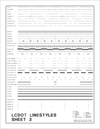| +L-Easement<br>$+L - P/L$<br>+L-ROW-P<br>ΑC<br>АC<br>+L-ROW-P AC<br>$+L - ROW - X$<br>+L-Section Line<br>+L-Section-I/4<br>+L-Section-I/4-I/4<br>+M-Batten<br>+M-Break<br>+M-Break-I<br>+M-Break-2<br>+M-Diamond<br>wwwwwwwwwwwwwwwwwwwwwwwww<br>+M-Geotech Fabric<br>+M-Ground Line<br>********************************<br>\XXXX<br>+M-Half Dash<br>+M-Sawcut<br>+M-Wide Dash<br>S-IO/30 RePM-WR<br>S-IO/30 S/D RPM-DY<br>S-10/30 S/D RPM-WR<br>S-I0/30 Skip/Dash<br>S-I0/30 Solid/Skip<br>S-Curb Mark 16/8<br>S-Curb Mark 8/4<br>S-2/6 Dotted Line<br>S-4/16 Dotted Line<br>S-3/I2 Skip/Dash<br>S-4/40 Dash Dbl<br>S-4/40 Dash Single<br>S-4 Solid<br>S-5' Solid<br>S-6' Solid<br>S-8' Solid<br>S-I2' Solid<br>S-Double Solid<br>S-RPM-DY 40<br>S-RPM-DY 80<br>S-RPM-WR 40<br>ю<br>ю<br>S-RPM-WR 80<br>ю<br>ю<br>LINE CODES:<br>A = AUTOCAD<br>S = STRIPING<br>D = DRAINAGE<br>T = TOPOGRAPHIC<br><b>LCDOT LINESTYLES</b><br>G = GEOMETRIC<br>U = UTILITY<br>L = LEGAL<br>V = VEGETATION<br>X = ABANDONDED<br>M = MISCELLANEOUS<br>SHEET <sub>3</sub><br>+ INDICATES THE LINE IS TO BE SCALED.<br>OTHERS SHOULD BE DRAWN AT I: ISCALE | $+L - C/L$ |  |  |  |  |
|-----------------------------------------------------------------------------------------------------------------------------------------------------------------------------------------------------------------------------------------------------------------------------------------------------------------------------------------------------------------------------------------------------------------------------------------------------------------------------------------------------------------------------------------------------------------------------------------------------------------------------------------------------------------------------------------------------------------------------------------------------------------------------------------------------------------------------------------------------------------------------------------------------------------------------------------------------------------------------------------------------------------------------------------------------------------------------------------------------------------------------------------|------------|--|--|--|--|
|                                                                                                                                                                                                                                                                                                                                                                                                                                                                                                                                                                                                                                                                                                                                                                                                                                                                                                                                                                                                                                                                                                                                         |            |  |  |  |  |
|                                                                                                                                                                                                                                                                                                                                                                                                                                                                                                                                                                                                                                                                                                                                                                                                                                                                                                                                                                                                                                                                                                                                         |            |  |  |  |  |
|                                                                                                                                                                                                                                                                                                                                                                                                                                                                                                                                                                                                                                                                                                                                                                                                                                                                                                                                                                                                                                                                                                                                         |            |  |  |  |  |
|                                                                                                                                                                                                                                                                                                                                                                                                                                                                                                                                                                                                                                                                                                                                                                                                                                                                                                                                                                                                                                                                                                                                         |            |  |  |  |  |
|                                                                                                                                                                                                                                                                                                                                                                                                                                                                                                                                                                                                                                                                                                                                                                                                                                                                                                                                                                                                                                                                                                                                         |            |  |  |  |  |
|                                                                                                                                                                                                                                                                                                                                                                                                                                                                                                                                                                                                                                                                                                                                                                                                                                                                                                                                                                                                                                                                                                                                         |            |  |  |  |  |
|                                                                                                                                                                                                                                                                                                                                                                                                                                                                                                                                                                                                                                                                                                                                                                                                                                                                                                                                                                                                                                                                                                                                         |            |  |  |  |  |
|                                                                                                                                                                                                                                                                                                                                                                                                                                                                                                                                                                                                                                                                                                                                                                                                                                                                                                                                                                                                                                                                                                                                         |            |  |  |  |  |
|                                                                                                                                                                                                                                                                                                                                                                                                                                                                                                                                                                                                                                                                                                                                                                                                                                                                                                                                                                                                                                                                                                                                         |            |  |  |  |  |
|                                                                                                                                                                                                                                                                                                                                                                                                                                                                                                                                                                                                                                                                                                                                                                                                                                                                                                                                                                                                                                                                                                                                         |            |  |  |  |  |
|                                                                                                                                                                                                                                                                                                                                                                                                                                                                                                                                                                                                                                                                                                                                                                                                                                                                                                                                                                                                                                                                                                                                         |            |  |  |  |  |
|                                                                                                                                                                                                                                                                                                                                                                                                                                                                                                                                                                                                                                                                                                                                                                                                                                                                                                                                                                                                                                                                                                                                         |            |  |  |  |  |
|                                                                                                                                                                                                                                                                                                                                                                                                                                                                                                                                                                                                                                                                                                                                                                                                                                                                                                                                                                                                                                                                                                                                         |            |  |  |  |  |
|                                                                                                                                                                                                                                                                                                                                                                                                                                                                                                                                                                                                                                                                                                                                                                                                                                                                                                                                                                                                                                                                                                                                         |            |  |  |  |  |
|                                                                                                                                                                                                                                                                                                                                                                                                                                                                                                                                                                                                                                                                                                                                                                                                                                                                                                                                                                                                                                                                                                                                         |            |  |  |  |  |
|                                                                                                                                                                                                                                                                                                                                                                                                                                                                                                                                                                                                                                                                                                                                                                                                                                                                                                                                                                                                                                                                                                                                         |            |  |  |  |  |
|                                                                                                                                                                                                                                                                                                                                                                                                                                                                                                                                                                                                                                                                                                                                                                                                                                                                                                                                                                                                                                                                                                                                         |            |  |  |  |  |
|                                                                                                                                                                                                                                                                                                                                                                                                                                                                                                                                                                                                                                                                                                                                                                                                                                                                                                                                                                                                                                                                                                                                         |            |  |  |  |  |
|                                                                                                                                                                                                                                                                                                                                                                                                                                                                                                                                                                                                                                                                                                                                                                                                                                                                                                                                                                                                                                                                                                                                         |            |  |  |  |  |
|                                                                                                                                                                                                                                                                                                                                                                                                                                                                                                                                                                                                                                                                                                                                                                                                                                                                                                                                                                                                                                                                                                                                         |            |  |  |  |  |
|                                                                                                                                                                                                                                                                                                                                                                                                                                                                                                                                                                                                                                                                                                                                                                                                                                                                                                                                                                                                                                                                                                                                         |            |  |  |  |  |
|                                                                                                                                                                                                                                                                                                                                                                                                                                                                                                                                                                                                                                                                                                                                                                                                                                                                                                                                                                                                                                                                                                                                         |            |  |  |  |  |
|                                                                                                                                                                                                                                                                                                                                                                                                                                                                                                                                                                                                                                                                                                                                                                                                                                                                                                                                                                                                                                                                                                                                         |            |  |  |  |  |
|                                                                                                                                                                                                                                                                                                                                                                                                                                                                                                                                                                                                                                                                                                                                                                                                                                                                                                                                                                                                                                                                                                                                         |            |  |  |  |  |
|                                                                                                                                                                                                                                                                                                                                                                                                                                                                                                                                                                                                                                                                                                                                                                                                                                                                                                                                                                                                                                                                                                                                         |            |  |  |  |  |
|                                                                                                                                                                                                                                                                                                                                                                                                                                                                                                                                                                                                                                                                                                                                                                                                                                                                                                                                                                                                                                                                                                                                         |            |  |  |  |  |
|                                                                                                                                                                                                                                                                                                                                                                                                                                                                                                                                                                                                                                                                                                                                                                                                                                                                                                                                                                                                                                                                                                                                         |            |  |  |  |  |
|                                                                                                                                                                                                                                                                                                                                                                                                                                                                                                                                                                                                                                                                                                                                                                                                                                                                                                                                                                                                                                                                                                                                         |            |  |  |  |  |
|                                                                                                                                                                                                                                                                                                                                                                                                                                                                                                                                                                                                                                                                                                                                                                                                                                                                                                                                                                                                                                                                                                                                         |            |  |  |  |  |
|                                                                                                                                                                                                                                                                                                                                                                                                                                                                                                                                                                                                                                                                                                                                                                                                                                                                                                                                                                                                                                                                                                                                         |            |  |  |  |  |
|                                                                                                                                                                                                                                                                                                                                                                                                                                                                                                                                                                                                                                                                                                                                                                                                                                                                                                                                                                                                                                                                                                                                         |            |  |  |  |  |
|                                                                                                                                                                                                                                                                                                                                                                                                                                                                                                                                                                                                                                                                                                                                                                                                                                                                                                                                                                                                                                                                                                                                         |            |  |  |  |  |
|                                                                                                                                                                                                                                                                                                                                                                                                                                                                                                                                                                                                                                                                                                                                                                                                                                                                                                                                                                                                                                                                                                                                         |            |  |  |  |  |
|                                                                                                                                                                                                                                                                                                                                                                                                                                                                                                                                                                                                                                                                                                                                                                                                                                                                                                                                                                                                                                                                                                                                         |            |  |  |  |  |
|                                                                                                                                                                                                                                                                                                                                                                                                                                                                                                                                                                                                                                                                                                                                                                                                                                                                                                                                                                                                                                                                                                                                         |            |  |  |  |  |
|                                                                                                                                                                                                                                                                                                                                                                                                                                                                                                                                                                                                                                                                                                                                                                                                                                                                                                                                                                                                                                                                                                                                         |            |  |  |  |  |
|                                                                                                                                                                                                                                                                                                                                                                                                                                                                                                                                                                                                                                                                                                                                                                                                                                                                                                                                                                                                                                                                                                                                         |            |  |  |  |  |
|                                                                                                                                                                                                                                                                                                                                                                                                                                                                                                                                                                                                                                                                                                                                                                                                                                                                                                                                                                                                                                                                                                                                         |            |  |  |  |  |
|                                                                                                                                                                                                                                                                                                                                                                                                                                                                                                                                                                                                                                                                                                                                                                                                                                                                                                                                                                                                                                                                                                                                         |            |  |  |  |  |
|                                                                                                                                                                                                                                                                                                                                                                                                                                                                                                                                                                                                                                                                                                                                                                                                                                                                                                                                                                                                                                                                                                                                         |            |  |  |  |  |
|                                                                                                                                                                                                                                                                                                                                                                                                                                                                                                                                                                                                                                                                                                                                                                                                                                                                                                                                                                                                                                                                                                                                         |            |  |  |  |  |
|                                                                                                                                                                                                                                                                                                                                                                                                                                                                                                                                                                                                                                                                                                                                                                                                                                                                                                                                                                                                                                                                                                                                         |            |  |  |  |  |
|                                                                                                                                                                                                                                                                                                                                                                                                                                                                                                                                                                                                                                                                                                                                                                                                                                                                                                                                                                                                                                                                                                                                         |            |  |  |  |  |
|                                                                                                                                                                                                                                                                                                                                                                                                                                                                                                                                                                                                                                                                                                                                                                                                                                                                                                                                                                                                                                                                                                                                         |            |  |  |  |  |
|                                                                                                                                                                                                                                                                                                                                                                                                                                                                                                                                                                                                                                                                                                                                                                                                                                                                                                                                                                                                                                                                                                                                         |            |  |  |  |  |
|                                                                                                                                                                                                                                                                                                                                                                                                                                                                                                                                                                                                                                                                                                                                                                                                                                                                                                                                                                                                                                                                                                                                         |            |  |  |  |  |
|                                                                                                                                                                                                                                                                                                                                                                                                                                                                                                                                                                                                                                                                                                                                                                                                                                                                                                                                                                                                                                                                                                                                         |            |  |  |  |  |
|                                                                                                                                                                                                                                                                                                                                                                                                                                                                                                                                                                                                                                                                                                                                                                                                                                                                                                                                                                                                                                                                                                                                         |            |  |  |  |  |
|                                                                                                                                                                                                                                                                                                                                                                                                                                                                                                                                                                                                                                                                                                                                                                                                                                                                                                                                                                                                                                                                                                                                         |            |  |  |  |  |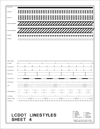| S-Stop Bar                  |   |         |                         |    |             |    |                                                                         |                                                |   |
|-----------------------------|---|---------|-------------------------|----|-------------|----|-------------------------------------------------------------------------|------------------------------------------------|---|
| S-Xwalk 6'                  | H |         | $\blacksquare$          |    | ,,,,,,,,,,, |    |                                                                         |                                                |   |
| S-Xwalk 8'                  |   |         |                         |    |             |    |                                                                         |                                                |   |
| S-Xwalk Diagonal 6'         |   |         |                         |    |             |    |                                                                         |                                                |   |
| S-Xwalk Diagonal 8'         |   |         |                         |    |             |    |                                                                         |                                                |   |
| S-Yield-P                   |   |         |                         |    |             |    |                                                                         |                                                |   |
| S-Yield-X                   |   |         |                         |    |             |    |                                                                         |                                                |   |
|                             |   |         |                         |    |             |    |                                                                         |                                                |   |
| T-Bike Railing<br>+T-Fence  |   |         |                         |    |             |    |                                                                         |                                                | ⊀ |
| T-Guardrail-P               |   |         |                         |    |             |    |                                                                         |                                                |   |
| T-Guardrail-X               |   |         |                         |    |             |    |                                                                         |                                                |   |
| T-Railroad-I                |   |         |                         |    |             |    |                                                                         |                                                |   |
| +T-Railroad-2               |   |         |                         |    |             |    |                                                                         |                                                |   |
| +T-Railroad-3               |   |         |                         |    |             |    |                                                                         |                                                |   |
| $T-RR$                      |   |         |                         |    |             |    |                                                                         |                                                |   |
| T-RR-Abandoned              |   |         |                         |    |             |    |                                                                         |                                                |   |
| +T-Sinkhole                 |   |         |                         |    |             |    |                                                                         |                                                |   |
| +T-Water Edge<br>+T-Wetland |   |         |                         | χχ |             | αχ |                                                                         |                                                |   |
|                             |   |         |                         |    |             |    | LINE CODES:                                                             |                                                |   |
|                             |   |         | <b>LCDOT LINESTYLES</b> |    |             |    | A = AUTOCAD<br>D = DRAINAGE<br>G = GEOMETRIC                            | S = STRIPING<br>T = TOPOGRAPHIC<br>U = UTILITY |   |
|                             |   | SHEET 4 |                         |    |             |    | L = LEGAL<br>M = MISCELLANEOUS<br>+ INDICATES THE LINE IS TO BE SCALED. | V = VEGETATION<br>X = ABANDONDED               |   |
|                             |   |         |                         |    |             |    | OTHERS SHOULD BE DRAWN AT I: ISCALE                                     |                                                |   |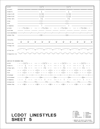| •U-CATV                                    |                                                                     |                                                    |             | CATV-          |                                                                   |       |                     | CATV -                              |                                              |                                                  |      |
|--------------------------------------------|---------------------------------------------------------------------|----------------------------------------------------|-------------|----------------|-------------------------------------------------------------------|-------|---------------------|-------------------------------------|----------------------------------------------|--------------------------------------------------|------|
| •U-Conduit<br>+U-Electric                  |                                                                     |                                                    |             | F              |                                                                   |       |                     | F                                   |                                              |                                                  |      |
| +U-Electric/OH                             |                                                                     |                                                    |             | $E/OH -$       |                                                                   |       | $\overline{E/OH}$ = |                                     |                                              |                                                  |      |
| +U-Electric/UG                             |                                                                     |                                                    |             |                |                                                                   |       |                     |                                     |                                              |                                                  |      |
| +U-Fiber Optic                             |                                                                     |                                                    |             | F <sub>0</sub> |                                                                   |       |                     | FO.                                 |                                              |                                                  |      |
| $+U$ -Gas                                  |                                                                     |                                                    |             | ⊣G⊦            | <u> 1989 - Johann Stein, mars ar breithinn ar chuid ann an t-</u> |       |                     | $\dashv$ G $\vdash$                 |                                              |                                                  | - H  |
| $+U-O$ il                                  |                                                                     |                                                    |             | ヨロト            |                                                                   |       |                     | $\rightarrow$ 0 H                   |                                              |                                                  | –I ( |
| +U-Telephone                               |                                                                     |                                                    |             |                |                                                                   |       |                     |                                     |                                              |                                                  |      |
| $+U-TS/OH$<br>+U-UG Cable                  | -  -  -TS/0H-  -  -  -  -TS/0H-  -  -  -TS/0H-  -  -  -  -TS/0H-  - |                                                    |             |                |                                                                   |       |                     |                                     |                                              |                                                  |      |
| +U-UG Cable-Remove                         |                                                                     |                                                    |             |                | —— / ——— / ——— / ———                                              |       |                     |                                     | —— / —— / —— / —                             |                                                  |      |
| +U-Water Pipe                              |                                                                     |                                                    |             | ⊣ W ⊦          |                                                                   |       |                     | ⊣ W ⊦                               |                                              |                                                  | ΗV   |
|                                            |                                                                     |                                                    |             |                |                                                                   |       |                     |                                     |                                              |                                                  |      |
| +V-Brushline                               |                                                                     |                                                    |             |                |                                                                   |       |                     |                                     |                                              |                                                  |      |
| +V-Crop Line                               |                                                                     |                                                    |             |                | * * * * * *                                                       |       |                     |                                     |                                              |                                                  |      |
| +V-Hedge Line                              |                                                                     |                                                    |             |                |                                                                   |       |                     |                                     |                                              |                                                  |      |
|                                            |                                                                     |                                                    |             |                |                                                                   |       |                     |                                     |                                              |                                                  |      |
| +V-Tree Line                               |                                                                     |                                                    |             |                |                                                                   |       |                     |                                     |                                              |                                                  |      |
| +V-Vegetation Line                         |                                                                     |                                                    |             |                |                                                                   |       |                     |                                     |                                              |                                                  |      |
|                                            |                                                                     |                                                    |             |                |                                                                   |       |                     |                                     |                                              |                                                  |      |
|                                            |                                                                     |                                                    |             |                |                                                                   |       |                     |                                     |                                              |                                                  |      |
| LINESTYLES FOR ABANDONED ITEMS:<br>•X-CATV | $- - -$ CATV $- -  -  -$ CATV $-  -  -$ CATV $-   -$ CATV $ -$      |                                                    |             |                |                                                                   |       |                     |                                     |                                              |                                                  |      |
| +X-Electric                                | E.                                                                  | $\hspace{1.6cm} - \hspace{1.2cm} - \hspace{1.2cm}$ |             | F.             |                                                                   |       | F.                  | $\qquad \qquad - \qquad - \qquad -$ |                                              |                                                  |      |
| +X-Fiber Optic                             | $- - - F0$                                                          | $- --$ FO $- --$ FO $--$                           |             |                |                                                                   |       |                     |                                     | - - - FO - -                                 |                                                  |      |
| $+X-Gas$                                   |                                                                     |                                                    |             |                |                                                                   |       |                     |                                     |                                              |                                                  |      |
| $+X-0$ il                                  |                                                                     |                                                    |             |                |                                                                   |       |                     |                                     |                                              |                                                  |      |
| +X-SanSewer                                |                                                                     |                                                    |             |                |                                                                   |       |                     |                                     |                                              |                                                  |      |
| +X-StormSewer<br>+X-Telephone              |                                                                     |                                                    |             |                |                                                                   | - - - |                     |                                     | $  -$                                        |                                                  |      |
| +X-Underdrain                              |                                                                     |                                                    | _ ___ _ _ _ |                |                                                                   |       |                     |                                     |                                              |                                                  |      |
| +X-Water Pipe                              |                                                                     |                                                    |             |                |                                                                   |       |                     |                                     |                                              |                                                  |      |
|                                            |                                                                     |                                                    |             |                |                                                                   |       |                     |                                     |                                              |                                                  |      |
|                                            |                                                                     |                                                    |             |                |                                                                   |       |                     |                                     |                                              |                                                  |      |
|                                            |                                                                     |                                                    |             |                |                                                                   |       |                     |                                     |                                              |                                                  |      |
|                                            |                                                                     |                                                    |             |                |                                                                   |       |                     |                                     |                                              |                                                  |      |
|                                            |                                                                     |                                                    |             |                |                                                                   |       |                     |                                     |                                              |                                                  |      |
|                                            |                                                                     |                                                    |             |                |                                                                   |       |                     |                                     |                                              |                                                  |      |
|                                            |                                                                     |                                                    |             |                |                                                                   |       |                     |                                     |                                              |                                                  |      |
|                                            |                                                                     |                                                    |             |                |                                                                   |       |                     |                                     |                                              |                                                  |      |
|                                            |                                                                     |                                                    |             |                |                                                                   |       |                     |                                     |                                              |                                                  |      |
|                                            |                                                                     |                                                    |             |                |                                                                   |       |                     |                                     | LINE CODES:                                  |                                                  |      |
|                                            |                                                                     |                                                    |             |                |                                                                   |       |                     |                                     |                                              |                                                  |      |
|                                            |                                                                     |                                                    |             |                |                                                                   |       |                     |                                     | A = AUTOCAD<br>D = DRAINAGE<br>G = GEOMETRIC | $S = STRIPING$<br>T = TOPOGRAPHIC<br>U = UTILITY |      |
|                                            | <b>LCDOT LINESTYLES</b><br>SHEET 5                                  |                                                    |             |                |                                                                   |       |                     |                                     | L = LEGAL<br>M = MISCELLANEOUS               | V = VEGETATION<br>X = ABANDONDED                 |      |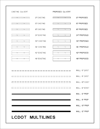# LCDOT MULTILINES



| EXISTING CULVERT |                     | PROPOSED CULVERT |                     |
|------------------|---------------------|------------------|---------------------|
|                  | <b>I2" EXISTING</b> |                  | <b>I2" PROPOSED</b> |
|                  | <b>15" EXISTING</b> | ∼<br>∽≁          | <b>I5" PROPOSED</b> |
|                  | 18" EXISTING        |                  | 18" PROPOSED        |
|                  | 24" EXISTING        |                  | 24" PROPOSED        |
|                  | <b>30" EXISTING</b> |                  | 30" PROPOSED        |
|                  | 36" EXISTING        |                  | 36" PROPOSED        |
|                  | 42" EXISTING        |                  | 42" PROPOSED        |
|                  | 48" EXISTING        |                  | 48" PROPOSED        |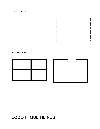

# PROPOSED BUILDING





# LCDOT MULTILINES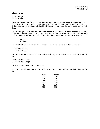## *SEED FILES*

#### **LCDOT 2D.dgn LCDOT 3D.dgn**

These are the new seed files to use on all new projects. The master units are set to **survey feet** (') and there are NO SUBUNITS. By leaving the subunit window blank, you get standard civil engineering decimal readouts (i.e. 150.00') and it simplifies dimensioning. Both seed files are set to ENG 1' = 1' Full Scale.

The Global Origin (0,0) is set to the center of the design plane. Under normal circumstances the Global Origin should never be changed. If for any reason, it should become necessary to reset the Global Origin to the center of the design plane (or Cube), type the following commands into the Key-in dialog box:

Go=0,0,0 xy=0,0,0|uor

Note: The line between the "0" and "u" in the second command is the pipe (vertical bar) symbol.

#### **LCDOT Arch 2D.dgn LCDOT Arch 3D.dgn**

The master units are set to feet (') and subunits to inches ("). Both seed files are set to ARCH  $1' = 1'$  Full Scale.

#### **LCDOT METRIC 2D.dgn LCDOT METRIC 3D.dgn**

These are the seed files to use for metric jobs.

All LCDOT seed files are setup with the LCDOT color table. The color table settings for halftone shading are:

| Color # | Shading |
|---------|---------|
| 247     | 80%     |
| 248     | 70%     |
| 249     | 60%     |
| 250     | 50%     |
| 251     | 40%     |
| 252     | 30%     |
| 253     | 20%     |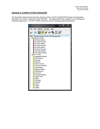# *DESIGN & COMPUTATION MANAGER*

The illustration below shows the basic structure of the LCDOT QUANTITIES Design & Computation Manager to be used in conjunction with GEOPAK. The Alignment/Profile category is for Existing and Proposed alignments. The PAY ITEMS should be used for drawing proposed elements.

| ×<br>Ξ<br>Design and Computation Manager                                                                                                                                                                                                                                                                                                                                                                                                                                                                                                                                                                                                                                                                                                                                        |
|---------------------------------------------------------------------------------------------------------------------------------------------------------------------------------------------------------------------------------------------------------------------------------------------------------------------------------------------------------------------------------------------------------------------------------------------------------------------------------------------------------------------------------------------------------------------------------------------------------------------------------------------------------------------------------------------------------------------------------------------------------------------------------|
| File<br>Edit<br>Favorites<br>Settings<br>Help                                                                                                                                                                                                                                                                                                                                                                                                                                                                                                                                                                                                                                                                                                                                   |
| id ■ <mark>2 0 ∞ 6 h é</mark><br>ă                                                                                                                                                                                                                                                                                                                                                                                                                                                                                                                                                                                                                                                                                                                                              |
| @229 U:\Design\lake\bin\LCDOT D&C Manager.ddb<br>Alignment/Profile<br>e 20 Scale Existing<br>▲ 20 Scale Proposed<br>▲ 40 Scale Existing<br>40 Scale Proposed<br><mark>▲</mark> 50 Scale Existing<br>▲ 50 Scale Proposed<br><u>A</u> 100 Scale Existing<br>은 100 Scale Proposed<br><b>PAY ITEMS</b><br><b>Regregate Materials</b><br><b>Curb &amp; Gutter</b><br><b>Com</b> Drainage<br><b>B</b> Bectrical<br><b>Exposion Control</b><br><b>net</b> Excavation/Backfill<br><b>Reader</b> Landscaping<br><b>Medians/Islands</b><br><b>Miscellaneous</b><br><b>next</b> Pavement<br><b>net Marking</b> Pavement Marking<br><b>es Right-of-Way</b><br><b>Com</b> Safety<br><b>noulders</b><br><b>ndewalk</b><br><b>Company</b> Survey<br><b>िका</b> Traffic<br><b>the Utilities</b> |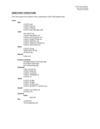# *DIRECTORY STRUCTURE*

This chart shows the location of the customized LCDOT Microstation files.

#### **Lake\**

LCDOT.smd LCDOT Plan.lsf LCDOT DTM.lpf LCDOT D&C Manager.ddb **Cell\**  V8-LCDOT.cel LCDOT ARCHPAT.cel LCDOT ELECTRICAL.cel LCDOT QUANTITIES.cel LCDOT SURVEY.cel LCDOT TRAFFIC SIGNS.cel LCDOT XSECTION.cel

### **Data\**

**Bin\**

LCDOT V8.stg XSECTION V8.stg SCALES.stg

#### **Menus\**

Lake.mnu

#### **Erosion Control\**

Drainage Basins-Full Scale.dgn ECP-Base 22x34.dgn ECP-Street Map.dgn

#### **InRoads\**

Lake\_County.idf LCDOT Notes.dft LCDOT runoff.dat LCDOT Templates.itl LCDOT.xin

#### **Seed\**

LCDOT 2d.dgn LCDOT 3d.dgn LCDOT LEVELS.csv LCDOT QUANTITY LEVELS.csv

#### **Symb\**

LCDOT Line Styles.rsc LCFONT.rsc

#### **System\ Data\**

units.def

#### **tbl\**

LCDOT.tbl Text Substitution.tbl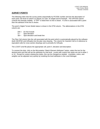# *SURVEY POINTS*

The following index lists the survey points sequentially by PCODE number and has the description of each point, the level on which it is placed, its color, its weight and its linestyle. The OFF/ON column controls the linestyle visibility. If "OFF" is listed then no line is drawn. If a line is associated with a point then the attribute of the line is shown.

The point's Digital Terrain Model status is shown in the DTM column. The abbreviations in the DTM column are:

- $DNI = Do Not Include$
- $S =$  Spot elevation
- $SB =$  Spot elevation and break line

The Plan Cell column lists the cell associated with the point which is automatically placed by the software (both GEOPAK and InRoads) into the plan view drawing. The column for Xsection Cell is in reference to equivalent cells for cross section drawings and is primarily for InRoads.

The LCDOT.smd file places the appropriate cell, point #, elevation and description.

To connect the dots, click on the Microstation "Match Element Attributes" button, select the text for the desired point and that will set the attributes for that level. Levels with custom line styles are set to either 1 or 10. Except for custom striping line styles, this can be changed as needed. Linestyles, colors, and weights can be adjusted very quickly by resetting the level attributes in the Level Manager.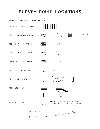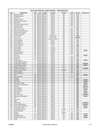| <b>Survey Points and Levels - Numerical</b> |                                   |                |                                    |                                  |                                  |                |                   |                  |                                |
|---------------------------------------------|-----------------------------------|----------------|------------------------------------|----------------------------------|----------------------------------|----------------|-------------------|------------------|--------------------------------|
| Pcode                                       | <b>DESCRIPTION</b>                | Level          | Color                              | Weight                           | Linestyle                        | OFF/ON         | <b>DTM</b>        | <b>Plan Cell</b> | <b>XSection Cell</b>           |
| 100                                         | Backsight Station                 | 100            | ByLevel                            | <b>ByLevel</b>                   | <b>ByLevel</b>                   | OFF            | DNI               | 0000             |                                |
| 101                                         | Foresight_Station                 | 100            | ByLevel                            | <b>ByLevel</b>                   | ByLevel                          | OFF            | DNI               | 0000             | $\overline{\phantom{a}}$       |
| 102                                         | Cotton Pin                        | 100            | <b>ByLevel</b>                     | <b>ByLevel</b>                   | <b>ByLevel</b>                   | OFF            | <b>DNI</b>        | 0000             | ÷.                             |
| 103                                         | <b>Traverse Station</b>           | 100            | <b>ByLevel</b>                     | <b>ByLevel</b>                   | <b>ByLevel</b>                   | OFF            | DNI               | 0000             | $\overline{\phantom{a}}$       |
| 104                                         | Elevation_Control:Check           | 100            | <b>ByLevel</b>                     | <b>ByLevel</b>                   | <b>ByLevel</b>                   | OFF            | DNI               | 0000             | $\sim$                         |
| 105                                         | Benchmark                         | 100            | <b>ByLevel</b>                     | <b>ByLevel</b>                   | <b>ByLevel</b>                   | OFF            | <b>DNI</b>        | 0000             | $\sim$                         |
| 109                                         | Horizontal_Control_Station        | 100            | <b>ByLevel</b>                     | <b>ByLevel</b>                   | <b>ByLevel</b>                   | OFF            | DNI               | 0000             | $\overline{\phantom{a}}$       |
| 110                                         | Calculated Point                  | 100            | <b>ByLevel</b>                     | <b>ByLevel</b>                   | ByLevel                          | OFF<br>OFF     | DNI<br>S          | 0000             | $\sim$<br>$\sim$               |
| 111<br>112                                  | Common Point<br>GPS Control Point | 111<br>100     | <b>ByLevel</b><br><b>ByLevel</b>   | <b>ByLevel</b><br><b>ByLevel</b> | <b>ByLevel</b><br><b>ByLevel</b> | OFF            | <b>DNI</b>        | 0000<br>0000     | $\overline{\phantom{a}}$       |
| 196                                         | Photo_Control:Horizontal          | 100            | <b>ByLevel</b>                     | <b>ByLevel</b>                   | <b>ByLevel</b>                   | OFF            | <b>DNI</b>        | 0000             | $\overline{\phantom{a}}$       |
| 197                                         | Photo Control:Vertical            | 100            | <b>ByLevel</b>                     | <b>ByLevel</b>                   | ByLevel                          | OFF            | <b>DNI</b>        | 0000             | $\sim$                         |
| 198                                         | Photo Control:H&V                 | 100            | <b>ByLevel</b>                     | <b>ByLevel</b>                   | ByLevel                          | OFF            | <b>DNI</b>        | 0000             | $\overline{\phantom{a}}$       |
| 200                                         | Corner:Section                    | 200            | <b>ByLevel</b>                     | <b>ByLevel</b>                   | L-Section Line                   | OFF            | DNI               | 0200             | $\overline{\phantom{a}}$       |
| 201                                         | Corner:1/4                        | 201            | <b>ByLevel</b>                     | <b>ByLevel</b>                   | L-Section-1/4                    | OFF            | <b>DNI</b>        | 0201NW           | $\sim$                         |
| 202                                         | Corner: 1/4-1/4                   | 202            | ByLevel                            | <b>ByLevel</b>                   | L-Section-1/4-1/4                | OFF            | <b>DNI</b>        | 0000             | $\overline{\phantom{a}}$       |
| 203                                         | Corner: Meander                   | 206            | <b>ByLevel</b>                     | <b>ByLevel</b>                   | <b>ByLevel</b>                   | OFF            | DNI               | 0000             | $\overline{\phantom{a}}$       |
| 204                                         | Corner: Witness                   | 206            | <b>ByLevel</b>                     | <b>ByLevel</b>                   | <b>ByLevel</b>                   | OFF            | <b>DNI</b>        | 0000             | $\omega$                       |
| 205                                         | Corner:Reference                  | 206            | <b>ByLevel</b>                     | <b>ByLevel</b>                   | <b>ByLevel</b>                   | OFF            | DNI               | 0000             | $\overline{\phantom{a}}$       |
| 206                                         | Corner: Property                  | 206            | <b>ByLevel</b>                     | <b>ByLevel</b>                   | $L-P/L$                          | OFF            | <b>DNI</b>        | 0206             | $\overline{\phantom{a}}$       |
| 208                                         | Corner:Block                      | 206            | ByLevel                            | <b>ByLevel</b>                   | <b>ByLevel</b>                   | OFF            | <b>DNI</b>        | 0000             | $\sim$                         |
| 211                                         | Corner:ROW                        | 206            | ByLevel                            | <b>ByLevel</b>                   | L-ROW-X                          | OFF            | <b>DNI</b>        | 0000             | $\overline{\phantom{a}}$       |
| 213                                         | ROW Marker                        | 213            | <b>ByLevel</b>                     | <b>ByLevel</b>                   | L-ROW-X                          | OFF            | <b>DNI</b>        | 0213             | <b>XSF010</b>                  |
| 214                                         | Drainage Marker                   | 214            | <b>ByLevel</b>                     | <b>ByLevel</b>                   | <b>ByLevel</b>                   | OFF            | DNI               | 0000             |                                |
| 215                                         | Chiseled_Square                   | 100            | <b>ByLevel</b>                     | <b>ByLevel</b>                   | ByLevel                          | OFF            | DNI               | 0000             | $\overline{\phantom{a}}$       |
| 216                                         | Pole:misc                         | 216            | <b>ByLevel</b>                     | <b>ByLevel</b>                   | <b>ByLevel</b>                   | OFF            | S                 | 0001             | <b>XSU014</b>                  |
| 217                                         | Soil Boring<br>Barricade          | 217            | <b>ByLevel</b>                     | <b>ByLevel</b>                   | <b>ByLevel</b>                   | OFF<br>OFF     | <b>DNI</b>        | 0000             |                                |
| 219<br>220                                  | <b>Traffic Signal</b>             | 219<br>11      | <b>ByLevel</b><br><b>ByLevel</b>   | <b>ByLevel</b><br><b>ByLevel</b> | <b>ByLevel</b><br>ByLevel        | OFF            | DNI<br>DNI        | 0000<br>0220     | <b>XSU013</b>                  |
| 221                                         | Traffic_Signal:foundation         | 11             | <b>ByLevel</b>                     | <b>ByLevel</b>                   | <b>ByLevel</b>                   | OFF            | DNI               | 0000             |                                |
| 222                                         | Traffic Signal:cantilever         | 11             | <b>ByLevel</b>                     | <b>ByLevel</b>                   | ByLevel                          | OFF            | DNI               | 0222             | XSU007/8                       |
| 223                                         | Traffic_Signal:controller         | 11             | <b>ByLevel</b>                     | <b>ByLevel</b>                   | <b>ByLevel</b>                   | OFF            | <b>DNI</b>        | 0014             | <b>XSU012</b>                  |
| 224                                         | Detector Loop:small               | 11             | <b>ByLevel</b>                     | <b>ByLevel</b>                   | <b>ByLevel</b>                   | OFF            | DNI               | 0224             |                                |
| 225                                         | Combination Mast Arm              | 11             | ByLevel                            | <b>ByLevel</b>                   | ByLevel                          | OFF            | <b>DNI</b>        | 0225             | XSU007/8                       |
| 226                                         | No_Pass_Paint_Stripe              | $\overline{7}$ | <b>ByLevel</b>                     | <b>ByLevel</b>                   | <b>ByLevel</b>                   | <b>ByLevel</b> | DNI               | 0000             | ×.                             |
| 227                                         | Flashing_Signal                   | 11             | ByLevel                            | <b>ByLevel</b>                   | <b>ByLevel</b>                   | OFF            | DNI               | 0227             |                                |
| 228                                         | Vehicle_Detector                  | 11             | ByLevel                            | <b>ByLevel</b>                   | ByLevel                          | OFF            | <b>DNI</b>        | 0228             | $\overline{\phantom{a}}$       |
| 249                                         | Pole                              | 249            | ByLevel                            | <b>ByLevel</b>                   | <b>ByLevel</b>                   | OFF            | S                 | 0001             | <b>XSU014</b>                  |
| 250                                         | Pole:foundation                   | 250            | ByLevel                            | <b>ByLevel</b>                   | ByLevel                          | OFF            | DNI               | 0000             |                                |
| 251                                         | Pole:guy                          | 251            | ByLevel                            | <b>ByLevel</b>                   | ByLevel                          | OFF            | S                 | 0001             |                                |
| 252                                         | Pole:light                        | 252            | <b>ByLevel</b>                     | <b>ByLevel</b>                   | <b>ByLevel</b>                   | OFF            | S                 | 0002             | <b>XSU014</b>                  |
| 253                                         | Pole:power                        | 253            | ByLevel ByLevel                    |                                  | ByLevel                          | OFF            | S                 | 0003             | <b>XSU014</b>                  |
| 254                                         | Pole:power_w/light                | 254            | ByLevel ByLevel                    |                                  | ByLevel                          | OFF            | S                 | 0003             | <b>XSU014</b>                  |
| 255                                         | Pole:power w/transformer          | 255            | ByLevel ByLevel                    |                                  | <b>ByLevel</b>                   | OFF            | S                 | 0003             | <b>XSU014</b>                  |
| 256<br>257                                  | Pole:sign<br>Pole:telegraph       | 256<br>257     | ByLevel ByLevel<br>ByLevel ByLevel |                                  | ByLevel<br>ByLevel               | OFF<br>OFF     | S<br>S            | 0001<br>0004     | XSF011/12<br><b>XSU014</b>     |
| 258                                         | Pole:telephone                    | 258            | ByLevel                            | <b>ByLevel</b>                   | ByLevel                          | OFF            | S                 | 0004             | <b>XSU014</b>                  |
| 260                                         | Pole:television                   | 260            | ByLevel ByLevel                    |                                  | ByLevel                          | OFF            | S                 | 0004             | <b>XSU014</b>                  |
| 261                                         | Pole:meter                        | 261            | ByLevel                            | <b>ByLevel</b>                   | ByLevel                          | OFF            | S                 | 0001             | <b>XSU014</b>                  |
| 262                                         | Pole:street light                 | 262            | ByLevel                            | <b>ByLevel</b>                   | <b>ByLevel</b>                   | OFF            | S                 | 0002             | XSU009/10                      |
| 263                                         | Pole:power w/telephone            | 263            | ByLevel ByLevel                    |                                  | <b>ByLevel</b>                   | OFF            | S                 | 0003             | <b>XSU014</b>                  |
| 264                                         | Post                              | 264            | ByLevel                            | <b>ByLevel</b>                   | ByLevel                          | OFF            | S                 | 0001             | $\blacksquare$                 |
| 265                                         | Guy_Wire                          | 265            | ByLevel                            | <b>ByLevel</b>                   | <b>ByLevel</b>                   | OFF            | S                 | 0265             | $\overline{\phantom{a}}$       |
| 266                                         | Light                             | 266            | ByLevel                            | <b>ByLevel</b>                   | <b>ByLevel</b>                   | OFF            | S                 | 0002             |                                |
| 267                                         | Street Light                      | 267            | ByLevel                            | <b>ByLevel</b>                   | ByLevel                          | OFF            | S                 | 0002             | XSU009/10                      |
| 268                                         | Street Light:cantilever           | 268            | ByLevel                            | <b>ByLevel</b>                   | <b>ByLevel</b>                   | OFF            | S                 | 0002             | XSU009/10                      |
| 269                                         | Street Light Control Box          | 269            | ByLevel                            | <b>ByLevel</b>                   | <b>ByLevel</b>                   | OFF            | S                 | 0269             | <b>XSU012</b>                  |
| 270                                         | Transmission Tower                | 270            | ByLevel                            | <b>ByLevel</b>                   | ByLevel                          | OFF            | S                 | 0270             | <b>XSU014</b>                  |
| 271                                         | Landscape Perimeter               | 8              | ByLevel                            | <b>ByLevel</b>                   | <b>ByLevel</b>                   | ByLevel        | SB                | 0000             |                                |
| 272                                         | Anchor:deadman                    | 272            | ByLevel                            | ByLevel                          | <b>ByLevel</b>                   | OFF            | S                 | 0000             |                                |
| 273                                         | Planter                           | 8              | ByLevel                            | <b>ByLevel</b>                   | ByLevel                          | ByLevel        | SB                | 0000             | $\overline{\phantom{a}}$       |
| 274<br>275                                  | Handhole<br>Handhole:double       | 274<br>274     | ByLevel<br>ByLevel ByLevel         | <b>ByLevel</b>                   | <b>ByLevel</b><br>ByLevel        | OFF<br>OFF     | DNI<br><b>DNI</b> | 0274<br>0275     | <b>XSU002</b><br><b>XSU004</b> |
| 276                                         | Handhole:heavy_duty               | 274            | ByLevel ByLevel                    |                                  | ByLevel                          | OFF            | DNI               | 0276             | <b>XSU003</b>                  |
| 277                                         | Outlet                            | 277            | ByLevel ByLevel                    |                                  | ByLevel                          | OFF            | DNI               | 0000             | $\overline{\phantom{a}}$       |
|                                             |                                   |                |                                    |                                  |                                  |                |                   |                  |                                |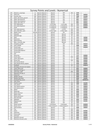|            | <b>Survey Points and Levels - Numerical</b> |            |                    |                                  |                                  |                       |                 |              |                                                      |  |  |
|------------|---------------------------------------------|------------|--------------------|----------------------------------|----------------------------------|-----------------------|-----------------|--------------|------------------------------------------------------|--|--|
| 278        | Detector_Loop:large                         | 11         | ByLevel            | ByLevel                          | <b>ByLevel</b>                   | OFF                   | DNI             | 0278         |                                                      |  |  |
| 279        | Inlet:curb                                  | 279        | ByLevel            | <b>ByLevel</b>                   | <b>ByLevel</b>                   | OFF                   | S               | 0013         | <b>XSD025</b>                                        |  |  |
| 280        | Junction Box                                | 280        | ByLevel            | <b>ByLevel</b>                   | ByLevel                          | OFF                   | S               | 0280         | <b>XSU006</b>                                        |  |  |
| 281        | Splice Box:above ground                     | 281        | ByLevel            | <b>ByLevel</b>                   | ByLevel                          | OFF                   | S               | 0017         | <b>XSU011</b>                                        |  |  |
| 282        | Splice Box:electrical                       | 282        | ByLevel            | <b>ByLevel</b>                   | <b>ByLevel</b>                   | OFF                   | S               | 0017         | <b>XSU011</b>                                        |  |  |
| 283        | Splice Box:telephone                        | 283        | ByLevel            | ByLevel                          | ByLevel                          | OFF                   | S               | 0017         | <b>XSU011</b>                                        |  |  |
| 284        | Splice Box:cable TV                         | 284        | ByLevel            | ByLevel                          | ByLevel                          | OFF                   | S               | 0017         | <b>XSU011</b>                                        |  |  |
| 285        | UG Cable:power                              | 285        | ByLevel            | <b>ByLevel</b>                   | U-UG Cable                       | U-UG Cable            | <b>DNI</b>      | 0000         | <b>XSM007</b>                                        |  |  |
| 286        | UG Cable:telephone                          | 286        | ByLevel            | <b>ByLevel</b>                   | U-Telephone                      | U-Telephone           | DNI             | 0000         | <b>XSM007</b><br><b>XSM007</b>                       |  |  |
| 287        | Vault<br>UG Cable:television                | 287<br>288 | ByLevel<br>ByLevel | <b>ByLevel</b><br><b>ByLevel</b> | U-Telephone<br>U-CATV            | U-Telephone<br>U-CATV | S<br><b>DNI</b> | 0000<br>0000 |                                                      |  |  |
| 288<br>289 | UG Cable:fiber optic                        | 289        | ByLevel            | <b>ByLevel</b>                   | U-Fiber Optic                    | U-Fiber Optic         | DNI             | 0000         | $\overline{\phantom{a}}$<br>$\overline{\phantom{a}}$ |  |  |
| 290        | Radius Point                                | Default    | <b>ByLevel</b>     | <b>ByLevel</b>                   | ByLevel                          | OFF                   | DNI             | 0000         |                                                      |  |  |
| 291        | Sidewalk                                    | 291        | ByLevel            | ByLevel                          | <b>ByLevel</b>                   | ByLevel               | DNI             | 0000         | $\overline{\phantom{a}}$                             |  |  |
| 292        | Sidewalk:edge                               | 292        | ByLevel            | <b>ByLevel</b>                   | <b>ByLevel</b>                   | ByLevel               | SB              | 0000         | $\sim$                                               |  |  |
| 294        | Wall                                        | 294        | ByLevel            | <b>ByLevel</b>                   | <b>ByLevel</b>                   | <b>ByLevel</b>        | SB              | 0000         | <b>XSF004</b>                                        |  |  |
| 295        | Wall:noise                                  | 294        | ByLevel            | <b>ByLevel</b>                   | ByLevel                          | <b>ByLevel</b>        | SB              | 0000         | <b>XSF004</b>                                        |  |  |
| 296        | Wall:retaining                              | 294        | ByLevel            | <b>ByLevel</b>                   | <b>ByLevel</b>                   | ByLevel               | SB              | 0000         | <b>XSF004</b>                                        |  |  |
| 297        | Misc. Concrete Slab                         | 699        | ByLevel            | <b>ByLevel</b>                   | <b>ByLevel</b>                   | <b>ByLevel</b>        | SB              | 0000         |                                                      |  |  |
| 298        | Telephone_Booth                             | 298        | ByLevel            | <b>ByLevel</b>                   | ByLevel                          | OFF                   | <b>DNI</b>      | 0000         | <b>XSU012</b>                                        |  |  |
| 299        | Inlet 542546                                | 299        | ByLevel            | <b>ByLevel</b>                   | <b>ByLevel</b>                   | OFF                   | S               | 0299         | <b>XSD023</b>                                        |  |  |
| 300        | Culvert:pipe                                | 300        | ByLevel            | <b>ByLevel</b>                   | <b>ByLevel</b>                   | OFF                   | S               | 0000         | <b>XSM003</b>                                        |  |  |
| 301        | Culvert:pipe;arch                           | 300        | ByLevel            | ByLevel                          | ByLevel                          | OFF                   | S               | 0000         |                                                      |  |  |
| 302        | Culvert:pipe;elliptical                     | 300        | ByLevel            | <b>ByLevel</b>                   | ByLevel                          | OFF                   | S               | 0000         |                                                      |  |  |
| 303        | Culvert:box                                 | 303        | ByLevel            | <b>ByLevel</b>                   | <b>ByLevel</b>                   | OFF                   | S               | 0000         |                                                      |  |  |
| 304        | Tile                                        | 304        | <b>ByLevel</b>     | <b>ByLevel</b>                   | ByLevel                          | OFF                   | S               | 0000         |                                                      |  |  |
| 305        | Drop Box                                    | 305        | <b>ByLevel</b>     | <b>ByLevel</b>                   | ByLevel                          | OFF                   | S               | 0000         | XSD003                                               |  |  |
| 306        | Catch Basin                                 | 306        | ByLevel            | <b>ByLevel</b>                   | <b>ByLevel</b>                   | OFF                   | <b>DNI</b>      | 0012         | <b>XSD003</b>                                        |  |  |
| 307        | Catch_Basin:grate                           | 307        | ByLevel            | <b>ByLevel</b>                   | ByLevel                          | OFF                   | S               | 0012         | <b>XSD003</b>                                        |  |  |
| 308        | Drop Inlet                                  | 308        | ByLevel            | <b>ByLevel</b>                   | ByLevel                          | OFF                   | <b>DNI</b>      | 0013         | <b>XSD025</b>                                        |  |  |
| 309        | End Section: flared                         | 309        | ByLevel            | <b>ByLevel</b>                   | <b>ByLevel</b>                   | OFF                   | S               | 0309         | <b>XSD007</b>                                        |  |  |
| 310        | End Section: flared w/grate                 | 310        | ByLevel            | <b>ByLevel</b>                   | ByLevel                          | OFF<br>OFF            | S               | 0310         | <b>XSD007</b>                                        |  |  |
| 311<br>312 | Headwall<br>Drainage_Structure:non-typical  | 311<br>312 | ByLevel<br>ByLevel | <b>ByLevel</b><br><b>ByLevel</b> | <b>ByLevel</b><br><b>ByLevel</b> | OFF                   | SB<br>S         | 0000<br>0000 | <b>XSM010</b>                                        |  |  |
| 314        | Catch Basin:curb                            | 314        | ByLevel            | <b>ByLevel</b>                   | ByLevel                          | OFF                   | S               | 0012         | <b>XSD003</b>                                        |  |  |
| 315        | Manhole lid:Type 1                          | 315        | ByLevel            | <b>ByLevel</b>                   | <b>ByLevel</b>                   | OFF                   | S               | 0016         | <b>XSD018</b>                                        |  |  |
| 316        | Inlet:Type_1258                             | 316        | ByLevel            | <b>ByLevel</b>                   | ByLevel                          | OFF                   | <b>DNI</b>      | 0316         | <b>XSD022</b>                                        |  |  |
| 317        | Manhole_lid:Type_8                          | 317        | ByLevel            | <b>ByLevel</b>                   | ByLevel                          | OFF                   | S               | 0016         | <b>XSD019</b>                                        |  |  |
| 318        | Valve:test                                  | 318        | ByLevel            | <b>ByLevel</b>                   | ByLevel                          | OFF                   | S               | 0018         | <b>XSU001</b>                                        |  |  |
| 319        | Buffalo_Box:gas                             | 319        | ByLevel            | <b>ByLevel</b>                   | ByLevel                          | OFF                   | S               | 0018         | <b>XSU001</b>                                        |  |  |
| 320        | Buffalo_Box:water                           | 320        | ByLevel            | <b>ByLevel</b>                   | ByLevel                          | OFF                   | S               | 0018         | <b>XSU001</b>                                        |  |  |
| 321        | Headwall:Pipe Drain                         | 321        | ByLevel            | <b>ByLevel</b>                   | ByLevel                          | OFF                   | S               | 0321         | XSD020/21                                            |  |  |
| 323        | Vain_Drain                                  | 699        | ByLevel ByLevel    |                                  | ByLevel                          | OFF                   | S               | 0000         | $\overline{\phantom{a}}$                             |  |  |
| 324        | Hydrant:water                               | 324        | ByLevel ByLevel    |                                  | ByLevel                          | <b>OFF</b>            | DNI             | 0008         | <b>XSU005</b>                                        |  |  |
| 325        | Lift Station                                | 325        | ByLevel            | ByLevel                          | ByLevel                          | OFF                   | DNI             | 0000         | <b>XSD023</b>                                        |  |  |
| 326        | Lift Station:sanitary                       | 326        | ByLevel            | <b>ByLevel</b>                   | ByLevel                          | OFF                   | DNI             | 0000         | <b>XSD023</b>                                        |  |  |
| 327        | Lift Station:storm                          | 327        | ByLevel            | ByLevel                          | ByLevel                          | OFF                   | DNI             | 0000         | XSD023                                               |  |  |
| 328        | Meter                                       | 328        | ByLevel            | <b>ByLevel</b>                   | ByLevel                          | OFF<br>OFF            | DNI             | 0018         | <b>XSU001</b>                                        |  |  |
| 329<br>330 | Meter:gas<br>Meter:electrical               | 329<br>330 | ByLevel<br>ByLevel | ByLevel<br>ByLevel               | ByLevel<br>ByLevel               | OFF                   | DNI<br>DNI      | 0018<br>0018 | <b>XSU001</b><br><b>XSU001</b>                       |  |  |
| 331        | Meter:water                                 | 331        | ByLevel            | <b>ByLevel</b>                   | ByLevel                          | OFF                   | DNI             | 0018         | <b>XSU001</b>                                        |  |  |
| 332        | Meter:petroleum                             | 332        |                    | ByLevel ByLevel                  | ByLevel                          | OFF                   | DNI             | 0018         | <b>XSU001</b>                                        |  |  |
| 333        | Pipe:drainage                               | 333        | ByLevel            | ByLevel                          | ByLevel                          | OFF                   | DNI             | 0000         | <b>XSM003</b>                                        |  |  |
| 334        | Regulator                                   | 334        | ByLevel            | <b>ByLevel</b>                   | ByLevel                          | OFF                   | DNI             | 0018         | <b>XSU001</b>                                        |  |  |
| 335        | Regulator:gas                               | 335        | ByLevel            | ByLevel                          | ByLevel                          | OFF                   | DNI             | 0018         | <b>XSU001</b>                                        |  |  |
| 336        | Gabion                                      | 336        | ByLevel            | <b>ByLevel</b>                   | ByLevel                          | OFF                   | SB              | 0000         | $\omega$                                             |  |  |
| 337        | Sewer:sanitary                              | 337        | ByLevel            | ByLevel                          | D-SanSewer                       | D-SanSewer            | DNI             | 0000         | <b>XSM003</b>                                        |  |  |
| 338        | Sewer:storm                                 | 338        |                    | ByLevel ByLevel                  | D-StormSewer-X                   | D-StormSewer-X        | DNI             | 0000         | <b>XSM003</b>                                        |  |  |
| 339        | Inlet:standard                              | 339        | ByLevel            | <b>ByLevel</b>                   | ByLevel                          | OFF                   | S               | 0339         | <b>XSD025</b>                                        |  |  |
| 340        | Tee                                         | 340        | ByLevel            | ByLevel                          | ByLevel                          | OFF                   | <b>DNI</b>      | 0000         |                                                      |  |  |
| 341        | Valve                                       | 341        | <b>ByLevel</b>     | <b>ByLevel</b>                   | ByLevel                          | OFF                   | DNI             | 0018         | <b>XSU001</b>                                        |  |  |
| 342        | Valve:box                                   | 342        | ByLevel            | <b>ByLevel</b>                   | ByLevel                          | OFF                   | <b>DNI</b>      | 0018         | <b>XSU001</b>                                        |  |  |
| 343        | Valve:water                                 | 343        | ByLevel            | <b>ByLevel</b>                   | ByLevel                          | OFF                   | DNI             | 0018         | <b>XSU001</b>                                        |  |  |
| 344        | Valve:gas                                   | 344        | ByLevel            | ByLevel                          | ByLevel                          | <b>OFF</b>            | DNI             | 0018         | <b>XSU001</b>                                        |  |  |
| 345        | Manhole_lid:vault                           | 345        | ByLevel            | <b>ByLevel</b>                   | ByLevel                          | OFF                   | DNI             | 0016         | XSD018                                               |  |  |
| 346        | Manhole lid:vault valve                     | 346        | ByLevel            | <b>ByLevel</b>                   | ByLevel                          | OFF                   | DNI             | 0016         | <b>XSD018</b>                                        |  |  |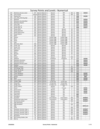|            |                           |            |                           |                                  | <b>Survey Points and Levels - Numerical</b> |                                  |            |              |                                                      |
|------------|---------------------------|------------|---------------------------|----------------------------------|---------------------------------------------|----------------------------------|------------|--------------|------------------------------------------------------|
| 347        | Manhole_lid:vault_meter   | 347        | ByLevel ByLevel           |                                  | <b>ByLevel</b>                              | OFF                              | DNI        | 0016         | <b>XSD018</b>                                        |
| 348        | Line:crossing             | Default    | ByLevel                   | <b>ByLevel</b>                   | <b>ByLevel</b>                              | OFF                              | DNI        | 0000         |                                                      |
| 349        | Hydrant:fire              | 349        | ByLevel                   | <b>ByLevel</b>                   | ByLevel                                     | OFF                              | S          | 0008         | <b>XSU005</b>                                        |
| 350        | UG Utility Warning Sign   | 350        | ByLevel                   | <b>ByLevel</b>                   | ByLevel                                     | OFF                              | S          | 0350         |                                                      |
| 351        | Manhole                   | 351        | ByLevel                   | <b>ByLevel</b>                   | ByLevel                                     | OFF                              | S          | 0016         | <b>XSD026</b>                                        |
| 352        | Manhole lid:unidentified  | 352        | <b>ByLevel</b>            | <b>ByLevel</b>                   | <b>ByLevel</b>                              | OFF                              | S          | 0016         | <b>XSD026</b>                                        |
| 353        | Manhole lid:grate         | 353        | ByLevel                   | <b>ByLevel</b>                   | <b>ByLevel</b>                              | OFF                              | S          | 0016         | <b>XSD018</b>                                        |
| 354        | Vent Pipe                 | 354        | ByLevel                   | <b>ByLevel</b>                   | <b>ByLevel</b>                              | OFF                              | S          | 0000         | <b>XSU001</b>                                        |
| 355        | Grate:Type_11             | 355        | ByLevel                   | <b>ByLevel</b>                   | ByLevel                                     | OFF                              | S          | 0355         | <b>XSD016</b>                                        |
| 356        | Grate:Type 24             | 356        | ByLevel                   | <b>ByLevel</b>                   | <b>ByLevel</b>                              | OFF                              | S          | 0356         | <b>XSD017</b>                                        |
| 359        | Paved Ditch               | 359        | <b>ByLevel</b>            | <b>ByLevel</b>                   | ByLevel                                     | <b>ByLevel</b>                   | SB         | 0000         | $\overline{\phantom{a}}$                             |
| 360        | Paved Ditch:flat          | 359        | <b>ByLevel</b>            | <b>ByLevel</b>                   | <b>ByLevel</b>                              | <b>ByLevel</b>                   | SB         | 0000         | $\overline{\phantom{a}}$                             |
| 361        | Paved Ditch:round         | 359        | ByLevel                   | <b>ByLevel</b>                   | ByLevel                                     | <b>ByLevel</b>                   | SB         | 0000         | $\bar{\phantom{a}}$                                  |
| 362        | Paved Ditch:V             | 359        | ByLevel                   | <b>ByLevel</b>                   | <b>ByLevel</b>                              | <b>ByLevel</b>                   | SB         | 0000         | $\overline{\phantom{a}}$                             |
| 363        | Ditch                     | 363        | <b>ByLevel</b>            | <b>ByLevel</b>                   | <b>ByLevel</b>                              | <b>ByLevel</b>                   | SB         | 0000         | ÷,                                                   |
| 364        | Stream                    | 5          | ByLevel                   | <b>ByLevel</b>                   | T-Water Edge                                | T-Water Edge                     | SB         | 0000         | $\overline{\phantom{a}}$                             |
| 365        | River                     | 5          | ByLevel                   | <b>ByLevel</b>                   | T-Water Edge                                | T-Water Edge                     | SB         | 0000         | $\overline{\phantom{a}}$                             |
| 366        | Pond                      | 5<br>5     | <b>ByLevel</b>            | <b>ByLevel</b>                   | T-Water Edge                                | T-Water Edge                     | SB         | 0000         | $\overline{\phantom{a}}$<br>$\sim$                   |
| 367        | Lake                      |            | ByLevel                   | <b>ByLevel</b>                   | T-Water Edge                                | T-Water Edge                     | SB<br>SB   | 0000         |                                                      |
| 368<br>369 | Retension Basin           | 368<br>369 | ByLevel                   | <b>ByLevel</b>                   | T-Water Edge<br>ByLevel                     | T-Water Edge                     | SB         | 0000<br>0000 | $\overline{\phantom{a}}$<br>$\overline{\phantom{a}}$ |
| 370        | Levee Top<br>Levee Toe    | 370        | <b>ByLevel</b><br>ByLevel | <b>ByLevel</b><br><b>ByLevel</b> | <b>ByLevel</b>                              | <b>ByLevel</b><br><b>ByLevel</b> | SB         | 0000         | $\bar{a}$                                            |
| 371        | Dam Crest                 | 371        | ByLevel                   | <b>ByLevel</b>                   | ByLevel                                     | ByLevel                          | SB         | 0000         | $\overline{\phantom{a}}$                             |
| 372        | Spillway                  | 372        | <b>ByLevel</b>            | <b>ByLevel</b>                   | <b>ByLevel</b>                              | <b>ByLevel</b>                   | SB         | 0000         | $\overline{\phantom{a}}$                             |
| 373        | Apron                     | 373        | ByLevel                   | <b>ByLevel</b>                   | ByLevel                                     | <b>ByLevel</b>                   | SB         | 0000         | $\overline{\phantom{a}}$                             |
| 376        | Runway                    | 699        | ByLevel                   | <b>ByLevel</b>                   | ByLevel                                     | <b>ByLevel</b>                   | SB         | 0000         | $\overline{\phantom{a}}$                             |
| 377        | Well                      | 377        | <b>ByLevel</b>            | <b>ByLevel</b>                   | <b>ByLevel</b>                              | <b>ByLevel</b>                   | S          | 0000         | $\overline{\phantom{a}}$                             |
| 378        | Cistern                   | 378        | ByLevel                   | <b>ByLevel</b>                   | <b>ByLevel</b>                              | <b>ByLevel</b>                   | <b>DNI</b> | 0000         |                                                      |
| 379        | Wetland                   | 379        | <b>ByLevel</b>            | <b>ByLevel</b>                   | T-Wetland                                   | T-Wetland                        | SB         | 0000         | <b>XSV004</b>                                        |
| 380        | Manhole lid:sanitary      | 380        | <b>ByLevel</b>            | <b>ByLevel</b>                   | ByLevel                                     | OFF                              | S          | 0016         | <b>XSD018</b>                                        |
| 381        | Manhole lid:storm         | 381        | ByLevel                   | <b>ByLevel</b>                   | <b>ByLevel</b>                              | OFF                              | S          | 0016         | <b>XSD018</b>                                        |
| 382        | Manhole lid: vault water  | 382        | ByLevel                   | <b>ByLevel</b>                   | ByLevel                                     | OFF                              | S          | 0016         | <b>XSD018</b>                                        |
| 400        | Mailbox                   | 400        | ByLevel                   | <b>ByLevel</b>                   | ByLevel                                     | OFF                              | S          | 0400         | <b>XSF009</b>                                        |
| 401        | Mailbox Turnout           | 401        | ByLevel                   | <b>ByLevel</b>                   | <b>ByLevel</b>                              | OFF                              | SB         | 0000         |                                                      |
| 402        | Oil Storage Tank          | 699        | <b>ByLevel</b>            | <b>ByLevel</b>                   | ByLevel                                     | OFF                              | <b>DNI</b> | 0000         | $\overline{\phantom{a}}$                             |
| 403        | Grain Bin & Silo          | 699        | <b>ByLevel</b>            | <b>ByLevel</b>                   | <b>ByLevel</b>                              | OFF                              | DNI        | 0000         | $\overline{\phantom{a}}$                             |
| 404        | Cattle Guard              | 699        | ByLevel                   | <b>ByLevel</b>                   | <b>ByLevel</b>                              | OFF                              | <b>DNI</b> | 0000         |                                                      |
| 405        | Trees Deciduous           | 405        | <b>ByLevel</b>            | <b>ByLevel</b>                   | ByLevel                                     | OFF                              | S          | 0005         | <b>XSV007</b>                                        |
| 406        | Trees Evergreen           | 406        | ByLevel                   | <b>ByLevel</b>                   | <b>ByLevel</b>                              | OFF                              | S          | 0006         | XSV010                                               |
| 407        | Stump                     | 407        | ByLevel                   | <b>ByLevel</b>                   | ByLevel                                     | OFF                              | S          | 0407         | 0407                                                 |
| 408        | Bush                      | 408        | <b>ByLevel</b>            | <b>ByLevel</b>                   | ByLevel                                     | OFF                              | S          | 0009         | <b>XSV003</b>                                        |
| 409        | Tree: Locust              | 405        | <b>ByLevel</b>            | <b>ByLevel</b>                   | <b>ByLevel</b>                              | OFF                              | S          | 0005         | <b>XSV007</b>                                        |
| 410        | Timber Edge               | 410        | ByLevel                   | ByLevel                          | V-Tree Line                                 | V-Tree Line                      | S          | 0000         |                                                      |
| 411        | Crop Line                 | 411        | ByLevel ByLevel           |                                  | V-Crop Line                                 | V-Crop Line                      | S          | 0000         | $\overline{\phantom{a}}$                             |
| 412        | Hedge Row                 | 412        | <b>ByLevel</b>            | ByLevel                          | V-Hedge Line                                | V-Hedge Line                     | S          | 0000         |                                                      |
| 413        | Fence Column              | 414        | ByLevel ByLevel           |                                  | ByLevel                                     | OFF                              | DNI        | 0000         |                                                      |
| 414        | Fence                     | 414        | ByLevel                   | <b>ByLevel</b>                   | T-Fence                                     | T-Fence                          | S          | 0000         | <b>XSF001</b>                                        |
| 415        | Fence:corner              | 414        | ByLevel                   | <b>ByLevel</b>                   | ByLevel                                     | OFF<br>OFF                       | S          | 0000<br>0000 | <b>XSF001</b>                                        |
| 416<br>417 | Fence:end                 | 414<br>414 | ByLevel ByLevel           | <b>ByLevel</b>                   | ByLevel<br>ByLevel                          | OFF                              | S<br>S     | 0000         | <b>XSF001</b><br><b>XSF001</b>                       |
| 418        | Fence:post<br>Gate Post   | 414        | ByLevel<br>ByLevel        | ByLevel                          | ByLevel                                     | OFF                              | S          | 0001         | $\overline{\phantom{a}}$                             |
| 419        | Guardpost                 | 419        | ByLevel ByLevel           |                                  | ByLevel                                     | OFF                              | S          | 0001         |                                                      |
| 420        | Guardrail                 | 420        | ByLevel ByLevel           |                                  | T-Guardrail-X                               | T-Guardrail-X                    | <b>DNI</b> | 0000         | XSF006/7                                             |
| 421        | Grdrail:steel plate beam  | 420        | ByLevel                   | <b>ByLevel</b>                   | T-Guardrail-X                               | T-Guardrail-X                    | <b>DNI</b> | 0000         | XSF006/7                                             |
| 422        | Grdrail:end section       | 422        | ByLevel                   | <b>ByLevel</b>                   | ByLevel                                     | OFF                              | <b>DNI</b> | 0000         | XSF006/7                                             |
| 423        | Sign:advertising          | 425        | ByLevel                   | <b>ByLevel</b>                   | ByLevel                                     | OFF                              | S          | 0423         | $\sim$                                               |
| 424        | Sign:foundation           | 425        | ByLevel                   | <b>ByLevel</b>                   | ByLevel                                     | OFF                              | <b>DNI</b> | 0000         |                                                      |
| 425        | Sign                      | 425        | ByLevel                   | <b>ByLevel</b>                   | ByLevel                                     | OFF                              | S          | 0425         | XSF011/12                                            |
| 426        | Tank                      | 699        | ByLevel                   | <b>ByLevel</b>                   | ByLevel                                     | OFF                              | <b>DNI</b> | 0000         |                                                      |
| 427        | Guardrail_Terminal_Type_1 | 422        | ByLevel                   | <b>ByLevel</b>                   | ByLevel                                     | OFF                              | <b>DNI</b> | 0000         | XSF006/7                                             |
| 428        | Guardrail Terminal Type 2 | 422        | ByLevel ByLevel           |                                  | ByLevel                                     | OFF                              | DNI        | 0000         | XSF006/7                                             |
| 429        | Guardrail Terminal Type 3 | 422        | ByLevel                   | <b>ByLevel</b>                   | ByLevel                                     | OFF                              | DNI        | 0000         | XSF006/7                                             |
| 430        | Guardrail_Terminal_Type_4 | 422        | ByLevel                   | <b>ByLevel</b>                   | ByLevel                                     | OFF                              | DNI        | 0000         | XSF006/7                                             |
| 447        | RR Ballast                | 38         | ByLevel ByLevel           |                                  | ByLevel                                     | OFF                              | S          | 0000         |                                                      |
| 448        | RR Crossing Rubber Mat    | 38         | ByLevel ByLevel           |                                  | ByLevel                                     | OFF                              | SB         | 0000         | $\omega$                                             |
| 449        | RR_Tie                    | 38         | ByLevel ByLevel           |                                  | ByLevel                                     | OFF                              | DNI        | 0000         | $\overline{\phantom{a}}$                             |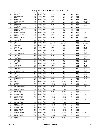|            |                                                 |            |                                    |                                  | <b>Survey Points and Levels - Numerical</b> |                    |            |              |                                |
|------------|-------------------------------------------------|------------|------------------------------------|----------------------------------|---------------------------------------------|--------------------|------------|--------------|--------------------------------|
| 450        | Railroad:C/L                                    | 450        | ByLevel ByLevel                    |                                  | <b>ByLevel</b>                              | <b>ByLevel</b>     | <b>DNI</b> | 0000         | $\overline{\phantom{a}}$       |
| 451        | Rail:top                                        | 38         | ByLevel                            | ByLevel                          | <b>ByLevel</b>                              | OFF                | DNI        | 0000         | $\overline{\phantom{a}}$       |
| 452        | Rail@Guage Line                                 | 38         | ByLevel                            | <b>ByLevel</b>                   | ByLevel                                     | OFF                | DNI        | 0000         | $\overline{\phantom{a}}$       |
| 453        | RR Crossing                                     | 38         | ByLevel                            | <b>ByLevel</b>                   | <b>ByLevel</b>                              | OFF                | SB         | 0000         | L.                             |
| 454        | RR Relay Box                                    | 38         | <b>ByLevel</b>                     | <b>ByLevel</b>                   | <b>ByLevel</b>                              | OFF                | <b>DNI</b> | 0014         | <b>XSU012</b>                  |
| 455        | RR Switch Control                               | 38         | ByLevel                            | <b>ByLevel</b>                   | <b>ByLevel</b>                              | OFF                | DNI        | 0014         | <b>XSU012</b>                  |
| 456        | RR Semaphore                                    | 38         | ByLevel                            | <b>ByLevel</b>                   | <b>ByLevel</b>                              | OFF                | DNI        | 0000         | <b>XSU013</b>                  |
| 457        | RR Crossbuck                                    | 38         | ByLevel                            | <b>ByLevel</b>                   | <b>ByLevel</b>                              | OFF                | DNI        | 0000         |                                |
| 458        | RR Signal Cabinet                               | 38         | ByLevel                            | ByLevel                          | <b>ByLevel</b>                              | OFF                | DNI        | 0014         | <b>XSU012</b>                  |
| 459        | RR Signal Foundation                            | 38         | ByLevel                            | <b>ByLevel</b>                   | <b>ByLevel</b>                              | OFF                | DNI        | 0014         |                                |
| 460        | RR Battery Box                                  | 38         | ByLevel                            | <b>ByLevel</b>                   | ByLevel                                     | OFF                | <b>DNI</b> | 0000         | $\overline{\phantom{a}}$       |
| 461        | RR Mile Post                                    | 38         | ByLevel                            | ByLevel                          | <b>ByLevel</b>                              | OFF                | DNI        | 0000         | ÷<br>$\bar{\phantom{a}}$       |
| 462<br>463 | RR Point of Switch<br>RR Point of Frog          | 38<br>38   | ByLevel                            | <b>ByLevel</b>                   | <b>ByLevel</b>                              | OFF<br>OFF         | DNI<br>DNI | 0000<br>0000 | ÷,                             |
| 464        | RR Derail                                       | 38         | ByLevel<br>ByLevel                 | <b>ByLevel</b><br><b>ByLevel</b> | <b>ByLevel</b><br><b>ByLevel</b>            | OFF                | DNI        | 0000         | $\sim$                         |
| 465        | RR_Flashing_Signal                              | 38         | ByLevel                            | <b>ByLevel</b>                   | <b>ByLevel</b>                              | OFF                | DNI        | 0465         | <b>XSU013</b>                  |
| 466        | RR Crossing Gate                                | 38         | ByLevel                            | <b>ByLevel</b>                   | ByLevel                                     | OFF                | DNI        | 0466         | <b>XSU013</b>                  |
| 467        | Tree: Poplar                                    | 405        | ByLevel                            | <b>ByLevel</b>                   | ByLevel                                     | OFF                | S          | 0005         | <b>XSV007</b>                  |
| 468        | Treeline                                        | 468        | ByLevel                            | <b>ByLevel</b>                   | V-Tree Line                                 | V-Tree Line        | S          | 0000         |                                |
| 469        | <b>Brushline</b>                                | 469        | ByLevel ByLevel                    |                                  | V-Brushline                                 | V-Brushline        | S          | 0000         | XSV001/2                       |
| 470        | Tree: Apple                                     | 405        | ByLevel                            | <b>ByLevel</b>                   | <b>ByLevel</b>                              | OFF                | S          | 0005         | <b>XSV007</b>                  |
| 471        | Tree: Ash                                       | 405        | ByLevel ByLevel                    |                                  | <b>ByLevel</b>                              | OFF                | S          | 0005         | <b>XSV007</b>                  |
| 472        | Tree: Box Elder                                 | 405        | ByLevel                            | <b>ByLevel</b>                   | ByLevel                                     | OFF                | S          | 0005         | <b>XSV007</b>                  |
| 473        | Tree: Catalpa                                   | 405        | ByLevel                            | ByLevel                          | ByLevel                                     | OFF                | S          | 0005         | <b>XSV007</b>                  |
| 474        | Tree: Cherry                                    | 405        | ByLevel                            | <b>ByLevel</b>                   | <b>B</b> vLevel                             | OFF                | S          | 0005         | <b>XSV007</b>                  |
| 475        | Tree: Cottonwood                                | 405        | ByLevel                            | <b>ByLevel</b>                   | ByLevel                                     | OFF                | S          | 0005         | <b>XSV007</b>                  |
| 476        | Tree: Dead                                      | 476        | ByLevel ByLevel                    |                                  | <b>ByLevel</b>                              | OFF                | S          | 0010         | <b>XSV006</b>                  |
| 477        | Tree: Elm                                       | 405        | ByLevel                            | <b>ByLevel</b>                   | <b>ByLevel</b>                              | OFF                | S          | 0005         | <b>XSV007</b>                  |
| 478        | Tree: Hickory                                   | 405        | ByLevel                            | ByLevel                          | ByLevel                                     | OFF                | S          | 0005         | <b>XSV007</b>                  |
| 479        | Tree: Maple                                     | 405        | ByLevel                            | <b>ByLevel</b>                   | <b>ByLevel</b>                              | OFF                | S          | 0005         | <b>XSV007</b>                  |
| 480        | Tree: Mulberry                                  | 405        | ByLevel                            | ByLevel                          | ByLevel                                     | OFF                | S          | 0005         | <b>XSV007</b>                  |
| 481        | Tree: Oak                                       | 405        | ByLevel                            | ByLevel                          | <b>ByLevel</b>                              | OFF                | S          | 0005         | <b>XSV007</b>                  |
| 482        | Tree: Osage                                     | 405        | ByLevel                            | <b>ByLevel</b>                   | <b>ByLevel</b>                              | OFF                | S          | 0005         | <b>XSV007</b>                  |
| 483        | Tree: Other                                     | 405        | ByLevel                            | <b>ByLevel</b>                   | <b>ByLevel</b>                              | OFF                | S          | 0005         | <b>XSV007</b>                  |
| 484        | Tree: Walnut                                    | 405        | ByLevel                            | ByLevel                          | <b>ByLevel</b>                              | OFF                | S          | 0005         | <b>XSV007</b>                  |
| 485        | Tree: Willow                                    | 405        | ByLevel                            | <b>ByLevel</b>                   | <b>ByLevel</b>                              | OFF<br>OFF         | S<br>S     | 0005         | <b>XSV007</b>                  |
| 486<br>487 | Shrub: Deciduous                                | 486        | ByLevel                            | <b>ByLevel</b><br>ByLevel        | <b>ByLevel</b>                              | OFF                | S          | 0009<br>0005 | <b>XSV003</b><br><b>XSV007</b> |
| 490        | Tree: Birch<br>Tree: Cedar                      | 405<br>406 | ByLevel<br>ByLevel                 | ByLevel                          | <b>ByLevel</b><br><b>ByLevel</b>            | OFF                | S          | 0007         | XSV010                         |
| 491        | Tree: Pine                                      | 406        | ByLevel                            | ByLevel                          | <b>ByLevel</b>                              | OFF                | S          | 0006         | <b>XSV010</b>                  |
| 492        | Shrub: Evergreen                                | 492        | ByLevel                            | ByLevel                          | <b>ByLevel</b>                              | OFF                | S          | 0011         | XSV003                         |
| 500        | Curb                                            | 500        | ByLevel                            | ByLevel                          | <b>ByLevel</b>                              | ByLevel            | SB         | 0000         |                                |
| 501        | Curb:top                                        | 501        | ByLevel ByLevel                    |                                  | <b>ByLevel</b>                              | <b>ByLevel</b>     | SB         | 0000         |                                |
| 502        | Curb:back                                       | 502        | ByLevel ByLevel                    |                                  | G-CurbX                                     | G-CurbX            | SB         | 0000         | $\overline{\phantom{a}}$       |
| 503        | Curb:depressed/Back                             | 503        | ByLevel                            | ByLevel                          | G-CurbX                                     | G-CurbX            | SB         | 0000         | <b>XSP002</b>                  |
| 504        | Curb:depressed/Front                            | 504        | ByLevel ByLevel                    |                                  | ByLevel                                     | ByLevel            | SB         | 0000         |                                |
| 505        | Curb:Type B/Top                                 | 505        | ByLevel ByLevel                    |                                  | ByLevel                                     | ByLevel            | SB         | 0000         | $\overline{\phantom{a}}$       |
| 506        | Curb:Type B/Back                                | 506        | ByLevel                            | ByLevel                          | G-CurbX                                     | G-CurbX            | SB         | 0000         | $\overline{\phantom{a}}$       |
| 507        | Curb_&_Gutter                                   | 507        | ByLevel ByLevel                    |                                  | <b>ByLevel</b>                              | ByLevel            | SB         | 0000         |                                |
| 508        | Curb:monolithic                                 | 508        | ByLevel                            | ByLevel                          | ByLevel                                     | ByLevel            | SB         | 0000         | $\overline{\phantom{a}}$       |
| 509        | C&G B-6.12/Back                                 | 509        | ByLevel                            | ByLevel                          | G-CurbX                                     | G-CurbX            | SB         | 0000         | $\overline{\phantom{a}}$       |
| 510        | C&G_B-4.12/Back                                 | 510        | ByLevel ByLevel                    |                                  | G-CurbX                                     | G-CurbX            | SB         | 0000         |                                |
| 511        | C&G B-4.24/Back                                 | 511        | ByLevel ByLevel                    |                                  | G-CurbX                                     | G-CurbX            | SB         | 0000         | $\overline{\phantom{a}}$       |
| 512        | C&G M-4.24/Back                                 | 512        | ByLevel                            | ByLevel                          | G-CurbX                                     | G-CurbX            | SB         | 0000         | $\overline{\phantom{a}}$       |
| 513        | $\overline{\text{C&G}}$ <sub>B</sub> -6.18/Back | 513        | ByLevel ByLevel                    |                                  | G-CurbX                                     | G-CurbX            | SB         | 0000         |                                |
| 516        | C&G B-6.24/Back                                 | 516        | ByLevel ByLevel                    |                                  | G-CurbX                                     | G-CurbX            | SB         | 0000         | $\overline{\phantom{a}}$       |
| 519<br>522 | C&G B-9.12/Back<br>C&G_B-9.18/Back              | 519<br>522 | ByLevel ByLevel<br>ByLevel ByLevel |                                  | G-CurbX<br>G-CurbX                          | G-CurbX<br>G-CurbX | SB<br>SB   | 0000<br>0000 |                                |
| 525        | C&G B-9.24/Back                                 | 525        | ByLevel ByLevel                    |                                  | G-CurbX                                     | G-CurbX            | SB         | 0000         | $\overline{\phantom{a}}$       |
| 528        | C&G M-6.06/Back                                 | 528        | ByLevel                            | ByLevel                          | G-CurbX                                     | G-CurbX            | SB         | 0000         | ٠                              |
| 531        | C&G M-6.12/Back                                 | 531        | ByLevel ByLevel                    |                                  | G-CurbX                                     | G-CurbX            | SB         | 0000         |                                |
| 534        | C&G M-6.18/Back                                 | 534        | ByLevel                            | ByLevel                          | G-CurbX                                     | G-CurbX            | SB         | 0000         | $\sim$                         |
| 537        | C&G M-6.24/Back                                 | 537        | ByLevel ByLevel                    |                                  | G-CurbX                                     | G-CurbX            | SB         | 0000         | $\overline{\phantom{a}}$       |
| 540        | C&G M-2.06/Back                                 | 540        | ByLevel ByLevel                    |                                  | G-CurbX                                     | G-CurbX            | SB         | 0000         |                                |
| 542        | Median:corrigated                               | 542        | ByLevel ByLevel                    |                                  | ByLevel                                     | ByLevel            | SB         | 0000         | $\overline{\phantom{a}}$       |
| 543        | C&G_M-2.12/Back                                 | 543        | ByLevel ByLevel                    |                                  | G-CurbX                                     | G-CurbX            | SB         | 0000         |                                |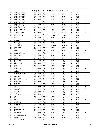|            |                                           |            |                                  |                                  | <b>Survey Points and Levels - Numerical</b> |                       |                          |              |                                                      |
|------------|-------------------------------------------|------------|----------------------------------|----------------------------------|---------------------------------------------|-----------------------|--------------------------|--------------|------------------------------------------------------|
| 544        | Median_SB-6.06/Top                        | 544        | ByLevel ByLevel                  |                                  | <b>ByLevel</b>                              | <b>ByLevel</b>        | SB                       | 0000         | $\overline{\phantom{a}}$                             |
| 546        | Median SB-6.12/Top                        | 546        | ByLevel                          | <b>ByLevel</b>                   | <b>ByLevel</b>                              | ByLevel               | SB                       | 0000         | ÷,                                                   |
| 548        | Median SB-6.24/Top                        | 548        | ByLevel                          | ByLevel                          | <b>ByLevel</b>                              | <b>ByLevel</b>        | <b>SB</b>                | 0000         |                                                      |
| 550        | Median SB-9.06/Top                        | 550        | <b>ByLevel</b>                   | ByLevel                          | <b>ByLevel</b>                              | <b>ByLevel</b>        | SB                       | 0000         | $\overline{\phantom{a}}$                             |
| 551        | Median_SB-9.12/Top                        | 551        | ByLevel                          | ByLevel                          | <b>ByLevel</b>                              | <b>ByLevel</b>        | SB                       | 0000         | $\overline{\phantom{a}}$                             |
| 553        | Median SB-9.24/Top                        | 553        | <b>ByLevel</b>                   | <b>ByLevel</b>                   | <b>ByLevel</b>                              | ByLevel               | <b>SB</b>                | 0000         | $\bar{a}$                                            |
| 555        | Median SM-6.06/Top                        | 555        | ByLevel                          | <b>ByLevel</b>                   | ByLevel                                     | ByLevel               | SB                       | 0000         | $\overline{\phantom{a}}$                             |
| 557        | Median_SM-6.12/Top                        | 557        | <b>ByLevel</b>                   | <b>ByLevel</b>                   | <b>ByLevel</b>                              | <b>ByLevel</b>        | SB                       | 0000         | $\overline{\phantom{a}}$                             |
| 559        | Median_SM-6.24/Top                        | 559        | <b>ByLevel</b>                   | <b>ByLevel</b>                   | <b>ByLevel</b>                              | ByLevel               | <b>SB</b>                | 0000         |                                                      |
| 562        | Median M-2.06/Top                         | 562        | <b>ByLevel</b>                   | <b>ByLevel</b>                   | <b>ByLevel</b>                              | <b>ByLevel</b>        | SB                       | 0000         | $\overline{\phantom{a}}$                             |
| 564        | Median M-2.12/Top                         | 564        | <b>ByLevel</b>                   | <b>ByLevel</b>                   | <b>ByLevel</b>                              | <b>ByLevel</b>        | SB                       | 0000         | $\bar{a}$                                            |
| 565        | Median C-4                                | 565        | <b>ByLevel</b>                   | <b>ByLevel</b>                   | <b>ByLevel</b>                              | ByLevel               | SB                       | 0000         |                                                      |
| 567        | C&G M-4.12/Back                           | 567        | <b>ByLevel</b>                   | ByLevel                          | G-CurbX                                     | G-CurbX               | SB                       | 0000         | $\overline{\phantom{a}}$                             |
| 568<br>569 | Back of Curb Left<br>Back_of_Curb_Right   | 568<br>569 | ByLevel                          | <b>ByLevel</b>                   | G-BOC-L                                     | G-BOC-L               | SB<br>SB                 | 0000<br>0000 | $\overline{\phantom{a}}$<br>$\bar{a}$                |
| 570        | Gutter                                    | 570        | <b>ByLevel</b><br>ByLevel        | <b>ByLevel</b><br><b>ByLevel</b> | G-BOC-R<br>ByLevel                          | G-BOC-R<br>ByLevel    | SB                       | 0000         | $\overline{\phantom{a}}$                             |
| 571        | Gutter:back                               | 571        | <b>ByLevel</b>                   | <b>ByLevel</b>                   | <b>ByLevel</b>                              | <b>ByLevel</b>        | SB                       | 0000         | $\overline{\phantom{a}}$                             |
| 572        | Gutter:depressed                          | 572        | <b>ByLevel</b>                   | <b>ByLevel</b>                   | <b>ByLevel</b>                              | <b>ByLevel</b>        | SB                       | 0000         | ÷,                                                   |
| 573        | Gutter:edge                               | 573        | ByLevel                          | <b>ByLevel</b>                   | <b>ByLevel</b>                              | ByLevel               | SB                       | 0000         | $\overline{\phantom{a}}$                             |
| 574        | Gutter:flag                               | 574        | ByLevel                          | <b>ByLevel</b>                   | <b>ByLevel</b>                              | ByLevel               | SB                       | 0000         | ٠                                                    |
| 575        | Gutter:flowline                           | 575        | <b>ByLevel</b>                   | <b>ByLevel</b>                   | D-Ditch Flow-X                              | D-Ditch Flow-X        | SB                       | 0000         | ÷,                                                   |
| 576        | Gutter:outlet                             | 576        | <b>ByLevel</b>                   | <b>ByLevel</b>                   | <b>ByLevel</b>                              | <b>ByLevel</b>        | SB                       | 0000         | $\overline{\phantom{a}}$                             |
| 577        | Island                                    | 577        | ByLevel                          | <b>ByLevel</b>                   | ByLevel                                     | ByLevel               | SB                       | 0000         | $\overline{\phantom{a}}$                             |
| 578        | Median                                    | 578        | ByLevel                          | <b>ByLevel</b>                   | ByLevel                                     | ByLevel               | <b>SB</b>                | 0000         |                                                      |
| 579        | Concrete Barrier                          | 579        | ByLevel                          | <b>ByLevel</b>                   | ByLevel                                     | ByLevel               | <b>DNI</b>               | 0000         | <b>XSP026</b>                                        |
| 600        | Building:commercial                       | 8          | <b>ByLevel</b>                   | <b>ByLevel</b>                   | <b>ByLevel</b>                              | ByLevel               | SB                       | 0000         |                                                      |
| 601        | Building:public                           | 8          | <b>ByLevel</b>                   | <b>ByLevel</b>                   | <b>ByLevel</b>                              | ByLevel               | <b>SB</b>                | 0000         |                                                      |
| 602        | Building: private                         | 8          | ByLevel                          | <b>ByLevel</b>                   | ByLevel                                     | ByLevel               | SB                       | 0000         | ä,                                                   |
| 603        | Profile                                   | 603        | <b>ByLevel</b>                   | <b>ByLevel</b>                   | <b>ByLevel</b>                              | ByLevel               | SB                       | 0000         | $\overline{\phantom{a}}$                             |
| 604        | Ground Shot                               | 604        | <b>ByLevel</b>                   | <b>ByLevel</b>                   | ByLevel                                     | OFF                   | S                        | 0000         | $\overline{\phantom{a}}$                             |
| 605        | Riprap                                    | 605        | ByLevel                          | <b>ByLevel</b>                   | <b>ByLevel</b>                              | OFF<br>OFF            | S                        | 0000         | ä,                                                   |
| 606<br>609 | Revetment_Mat<br>Porch                    | 606<br>609 | <b>ByLevel</b>                   | <b>ByLevel</b>                   | <b>ByLevel</b>                              |                       | <b>DNI</b><br><b>DNI</b> | 0000<br>0000 | $\overline{\phantom{a}}$                             |
| 610        | Bridge_Section                            | 610        | <b>ByLevel</b><br><b>ByLevel</b> | <b>ByLevel</b><br><b>ByLevel</b> | ByLevel<br><b>ByLevel</b>                   | <b>ByLevel</b><br>OFF | <b>DNI</b>               | 0000         | $\overline{\phantom{m}}$<br>÷,                       |
| 611        | Bridge Curb                               | 611        | ByLevel                          | <b>ByLevel</b>                   | <b>ByLevel</b>                              | OFF                   | SB                       | 0000         | $\overline{\phantom{a}}$                             |
| 612        | Bridge_Headwall                           | 612        | <b>ByLevel</b>                   | <b>ByLevel</b>                   | <b>ByLevel</b>                              | OFF                   | SB                       | 0000         | ٠                                                    |
| 613        | Abutment                                  | 613        | <b>ByLevel</b>                   | <b>ByLevel</b>                   | <b>ByLevel</b>                              | OFF                   | <b>DNI</b>               | 0000         | $\overline{\phantom{a}}$                             |
| 614        | Abutment_@_Ground                         | 614        | <b>ByLevel</b>                   | <b>ByLevel</b>                   | <b>ByLevel</b>                              | OFF                   | SB                       | 0000         | ۰                                                    |
| 615        | Abutment:top                              | 615        | <b>ByLevel</b>                   | <b>ByLevel</b>                   | <b>ByLevel</b>                              | OFF                   | SB                       | 0000         | $\overline{\phantom{a}}$                             |
| 616        | Beam:seat                                 | 616        | <b>ByLevel</b>                   | <b>ByLevel</b>                   | <b>ByLevel</b>                              | OFF                   | <b>DNI</b>               | 0000         | L.                                                   |
| 617        | Beam:bottom                               | 617        | <b>ByLevel</b>                   | <b>ByLevel</b>                   | <b>ByLevel</b>                              | OFF                   | DNI                      | 0000         | $\blacksquare$                                       |
| 618        | Bridge_Approach_Panel                     | 618        | <b>ByLevel</b>                   | <b>ByLevel</b>                   | <b>ByLevel</b>                              | OFF                   | <b>DNI</b>               | 0000         | $\overline{\phantom{a}}$                             |
| 619        | Bridge Deck                               | 619        | ByLevel ByLevel                  |                                  | <b>ByLevel</b>                              | OFF                   | <b>DNI</b>               | 0000         | ÷,                                                   |
| 620        | Bridge_Seat                               | 620        | ByLevel ByLevel                  |                                  | ByLevel                                     | OFF                   | DNI                      | 0000         | ۰                                                    |
| 621        | Deck                                      | 621        | <b>ByLevel</b>                   | <b>ByLevel</b>                   | <b>ByLevel</b>                              | OFF                   | <b>DNI</b>               | 0000         | ٠                                                    |
| 622        | Footing                                   | 622        | ByLevel                          | ByLevel                          | ByLevel                                     | OFF                   | <b>DNI</b>               | 0000         | $\Box$                                               |
| 623        | Expansion Joint                           | 623        | ByLevel ByLevel                  |                                  | ByLevel                                     | OFF                   | <b>DNI</b>               | 0000         | ۰                                                    |
| 624        | Handrail                                  | 624        | ByLevel                          | <b>ByLevel</b>                   | ByLevel<br>ByLevel                          | OFF<br>OFF            | DNI<br><b>DNI</b>        | 0000<br>0000 | $\overline{\phantom{a}}$<br>$\omega$                 |
| 626<br>627 | Low Concrete<br>Low Steel                 | 626<br>627 | ByLevel<br>ByLevel               | ByLevel<br>ByLevel               | ByLevel                                     | OFF                   | <b>DNI</b>               | 0000         |                                                      |
| 628        | Low Timber                                | 628        | <b>ByLevel</b>                   | ByLevel                          | ByLevel                                     | OFF                   | DNI                      | 0000         | $\overline{\phantom{a}}$<br>$\overline{\phantom{a}}$ |
| 629        | Pier                                      | 629        | <b>ByLevel</b>                   | <b>ByLevel</b>                   | ByLevel                                     | OFF                   | <b>DNI</b>               | 0000         | $\blacksquare$                                       |
| 630        | Pier @ ground                             | 630        | ByLevel                          | <b>ByLevel</b>                   | ByLevel                                     | OFF                   | SB                       | 0000         | $\blacksquare$                                       |
| 631        | Pier:top                                  | 631        | <b>ByLevel</b>                   | <b>ByLevel</b>                   | ByLevel                                     | OFF                   | DNI                      | 0000         | $\overline{\phantom{a}}$                             |
| 632        | Slope Wall                                | 632        | ByLevel                          | <b>ByLevel</b>                   | ByLevel                                     | OFF                   | SB                       | 0000         | $\overline{\phantom{a}}$                             |
| 634        | Wing:bottom                               | 634        | ByLevel                          | ByLevel                          | <b>ByLevel</b>                              | OFF                   | SB                       | 0000         | ۰                                                    |
| 635        | Wingwall:top                              | 635        | ByLevel                          | <b>ByLevel</b>                   | ByLevel                                     | OFF                   | SB                       | 0000         | $\overline{\phantom{a}}$                             |
| 640        | Inspection Well                           | 640        | <b>ByLevel</b>                   | <b>ByLevel</b>                   | ByLevel                                     | OFF                   | S                        | 0000         | $\sim$                                               |
| 641        | Stand Pipe                                | 641        | ByLevel                          | <b>ByLevel</b>                   | ByLevel                                     | OFF                   | S                        | 0001         | $\blacksquare$                                       |
| 649        | Shoulder:bituminous                       | 649        | ByLevel                          | <b>ByLevel</b>                   | ByLevel                                     | ByLevel               | SB                       | 0000         | $\overline{\phantom{a}}$                             |
| 650        | Entrance                                  | 650        | ByLevel                          | ByLevel                          | ByLevel                                     | OFF                   | S                        | 0000         |                                                      |
| 651        | Entrance: C/L                             | 651        | ByLevel                          | ByLevel                          | ByLevel                                     | OFF                   | S                        | 0000         | $\blacksquare$                                       |
| 652        | Entrance:comm'l;C/L                       | 652        | ByLevel                          | <b>ByLevel</b>                   | ByLevel                                     | ByLevel               | S                        | 0000         | $\overline{\phantom{a}}$                             |
| 653        | Entrance:comm'l;edge                      | 653        | ByLevel ByLevel                  |                                  | ByLevel                                     | ByLevel               | SB                       | 0000         | ÷                                                    |
| 654<br>655 | Entrance:field;C/L<br>Entrance:field;edge | 654        | ByLevel ByLevel                  |                                  | ByLevel                                     | ByLevel               | S<br>SB                  | 0000<br>0000 | $\overline{\phantom{a}}$                             |
|            |                                           | 655        |                                  | ByLevel ByLevel                  | ByLevel                                     | ByLevel               |                          |              | $\blacksquare$                                       |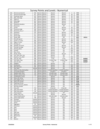|            |                             |                |                                            |                                  | <b>Survey Points and Levels - Numerical</b> |                                        |                   |              |                                                      |
|------------|-----------------------------|----------------|--------------------------------------------|----------------------------------|---------------------------------------------|----------------------------------------|-------------------|--------------|------------------------------------------------------|
| 656        | Entrance:private;C/L        | 656            | ByLevel ByLevel                            |                                  | <b>ByLevel</b>                              | <b>ByLevel</b>                         | S                 | 0000         | $\blacksquare$                                       |
| 657        | Entrance:private;edge       | 657            | ByLevel                                    | <b>ByLevel</b>                   | ByLevel                                     | <b>ByLevel</b>                         | SB                | 0000         | ٠                                                    |
| 659        | Handicap_Ramp               | 659            | ByLevel                                    | <b>ByLevel</b>                   | ByLevel                                     | ByLevel                                | SB                | 0000         | $\sim$                                               |
| 660        | Bike Path:edge              | 660            | ByLevel                                    | <b>ByLevel</b>                   | <b>ByLevel</b>                              | <b>ByLevel</b>                         | SB                | 0000         | $\blacksquare$                                       |
| 661        | Alley:C/L                   | 661            | ByLevel                                    | <b>ByLevel</b>                   | <b>ByLevel</b>                              | ByLevel                                | SB                | 0000         | $\overline{\phantom{a}}$                             |
| 662        | Alley:edge                  | 662            | ByLevel                                    | <b>ByLevel</b>                   | <b>ByLevel</b>                              | ByLevel                                | SB                | 0000         | $\bar{a}$                                            |
| 664        | Road:C/L                    | 664            | ByLevel                                    | <b>ByLevel</b>                   | ByLevel                                     | <b>ByLevel</b>                         | SB                | 0000         | $\blacksquare$                                       |
| 665        | Pavement Breakline          | 666            | ByLevel                                    | <b>ByLevel</b>                   | <b>ByLevel</b>                              | <b>ByLevel</b>                         | S                 | 0000         | $\overline{\phantom{a}}$                             |
| 666        | Pavement                    | 666            | ByLevel                                    | <b>ByLevel</b>                   | <b>ByLevel</b>                              | OFF                                    | S                 | 0000         | $\bar{a}$                                            |
| 667        | Crown                       | 667            | ByLevel                                    | <b>ByLevel</b>                   | <b>ByLevel</b>                              | <b>ByLevel</b>                         | SB                | 0000         | $\overline{\phantom{a}}$                             |
| 668        | Pavement:edge               | 668            | ByLevel                                    | <b>ByLevel</b>                   | ByLevel                                     | <b>ByLevel</b>                         | SB                | 0000         | $\overline{\phantom{a}}$                             |
| 669        | Pavement_Sta._#             | 669            | <b>ByLevel</b>                             | <b>ByLevel</b>                   | ByLevel                                     | OFF                                    | <b>DNI</b>        | 0000         | $\overline{\phantom{a}}$<br>ä,                       |
| 670<br>671 | Easement                    | 670<br>671     | ByLevel                                    | <b>ByLevel</b>                   | <b>ByLevel</b>                              | <b>ByLevel</b>                         | <b>DNI</b><br>SB  | 0000<br>0000 |                                                      |
| 672        | Street:C/L<br>Street:edge   | 672            | ByLevel<br><b>ByLevel</b>                  | <b>ByLevel</b><br><b>ByLevel</b> | ByLevel<br><b>ByLevel</b>                   | <b>ByLevel</b><br><b>ByLevel</b>       | SB                | 0000         | $\blacksquare$                                       |
| 673        | Street_Sign                 | 673            | ByLevel                                    | <b>ByLevel</b>                   | <b>ByLevel</b>                              | OFF                                    | S                 | 0673         | <b>XSF011</b>                                        |
| 674        | Shoulder:gravel             | 674            | ByLevel                                    | <b>ByLevel</b>                   | ByLevel                                     | ByLevel                                | SB                | 0000         |                                                      |
| 677        | Center of Lanes             | 699            | <b>ByLevel</b>                             | <b>ByLevel</b>                   | ByLevel                                     | <b>ByLevel</b>                         | <b>DNI</b>        | 0000         | ٠                                                    |
| 678        | Edge_of_Lanes               | 699            | ByLevel                                    | ByLevel                          | <b>ByLevel</b>                              | <b>ByLevel</b>                         | <b>DNI</b>        | 0000         | $\overline{\phantom{a}}$                             |
| 679        | Parking_Lot                 | 679            | ByLevel                                    | <b>ByLevel</b>                   | <b>ByLevel</b>                              | OFF                                    | S                 | 0000         | $\overline{\phantom{a}}$                             |
| 680        | Parking_Lot:corner          | 679            | <b>ByLevel</b>                             | <b>ByLevel</b>                   | <b>ByLevel</b>                              | <b>ByLevel</b>                         | SB                | 0000         | $\overline{\phantom{a}}$                             |
| 681        | Parking_Lot:edge            | 679            | <b>ByLevel</b>                             | <b>ByLevel</b>                   | <b>ByLevel</b>                              | <b>ByLevel</b>                         | SB                | 0000         | $\overline{a}$                                       |
| 682        | Parking_Meter               | 682            | ByLevel                                    | <b>ByLevel</b>                   | <b>ByLevel</b>                              | OFF                                    | DNI               | 0000         | $\overline{\phantom{a}}$                             |
| 683        | Canopy                      | 683            | <b>ByLevel</b>                             | <b>ByLevel</b>                   | <b>ByLevel</b>                              | OFF                                    | DNI               | 0000         | $\overline{\phantom{a}}$                             |
| 684        | Gas Pump                    | 684            | <b>ByLevel</b>                             | <b>ByLevel</b>                   | <b>ByLevel</b>                              | OFF                                    | <b>DNI</b>        | 0000         | $\overline{\phantom{a}}$                             |
| 685        | Pump Island                 | 685            | <b>ByLevel</b>                             | <b>ByLevel</b>                   | <b>ByLevel</b>                              | ByLevel                                | SB                | 0000         | $\overline{\phantom{a}}$                             |
| 686        | UG Tank Filler Cap          | 699            | <b>ByLevel</b>                             | <b>ByLevel</b>                   | <b>ByLevel</b>                              | OFF                                    | S                 | 0000         | $\overline{\phantom{a}}$                             |
| 687        | Gasoline Test Well          | 699            | <b>ByLevel</b>                             | <b>ByLevel</b>                   | <b>ByLevel</b>                              | OFF                                    | <b>DNI</b>        | 0000         | L.                                                   |
| 688        | UG Gas Pipe                 | 688            | <b>ByLevel</b>                             | <b>ByLevel</b>                   | U-Gas                                       | U-Gas                                  | DNI               | 0000         | <b>XSM007</b>                                        |
| 689        | UG_Water_Pipe               | 689            | <b>ByLevel</b>                             | <b>ByLevel</b>                   | U-Water Pipe                                | U-Water Pipe                           | DNI               | 0000         | <b>XSM007</b>                                        |
| 690<br>691 | UG Oil Pipe                 | 690<br>691     | <b>ByLevel</b><br>ByLevel                  | <b>ByLevel</b>                   | U-Oil                                       | U-Oil<br>OFF                           | <b>DNI</b><br>S   | 0000<br>0000 | <b>XSM007</b>                                        |
| 692        | Flagpole<br>Gravestone      | 692            | <b>ByLevel</b>                             | <b>ByLevel</b><br><b>ByLevel</b> | <b>ByLevel</b><br><b>ByLevel</b>            | OFF                                    | DNI               | 0000         | $\overline{\phantom{a}}$<br>$\overline{\phantom{a}}$ |
| 699        | Miscellaneous               | 699            | <b>ByLevel</b>                             | <b>ByLevel</b>                   | <b>ByLevel</b>                              | OFF                                    | <b>DNI</b>        | 0000         | $\overline{\phantom{a}}$                             |
| 701        | See Book                    | Default        | <b>ByLevel</b>                             | ByLevel                          | <b>ByLevel</b>                              | OFF                                    | <b>DNI</b>        | 0000         | $\blacksquare$                                       |
| 731        | Solid_w/_Skip_Dash:yellow   | 731            | <b>ByLevel</b>                             | <b>ByLevel</b>                   | S-10/30 Skip/Dash                           | S-10/30 Skip/Dash                      | <b>DNI</b>        | 0000         | $\overline{\phantom{a}}$                             |
| 732        | Crosswalk:standard          | 732            | ByLevel                                    | <b>ByLevel</b>                   | S-Xwalk 6'                                  | S-Xwalk 6'                             | <b>DNI</b>        | 0000         | $\overline{\phantom{a}}$                             |
| 733        | Median:white flush          | 733            | ByLevel                                    | <b>ByLevel</b>                   | S-Double Solid                              | S-Double Solid                         | DNI               | 0000         | $\overline{\phantom{a}}$                             |
| 734        | Median:yellow flush         | 734            | ByLevel                                    | <b>ByLevel</b>                   | S-Double Solid                              | S-Double Solid                         | DNI               | 0000         | $\overline{\phantom{a}}$                             |
| 735        | Combination Arrow           | $\overline{7}$ | ByLevel                                    | <b>ByLevel</b>                   | ByLevel                                     | OFF                                    | <b>DNI</b>        | 0735         | $\sim$                                               |
| 736        | Only Left Arrow             | 7              | ByLevel                                    | <b>ByLevel</b>                   | <b>ByLevel</b>                              | OFF                                    | DNI               | 0736         | ÷                                                    |
| 737        | Only_Right_Arrow            | 7              | ByLevel                                    | <b>ByLevel</b>                   | <b>ByLevel</b>                              | OFF                                    | <b>DNI</b>        | 0737         | $\bar{a}$                                            |
| 738        | Only Thru Arrow             | $\overline{7}$ | ByLevel ByLevel                            |                                  | ByLevel                                     | OFF                                    | DNI               | 0738         | $\blacksquare$                                       |
| 739        | Opposing_Arrows             | 7              | ByLevel ByLevel                            |                                  | ByLevel                                     | OFF                                    | DNI               | 0739         | $\overline{\phantom{a}}$                             |
| 740        | Raised Pavement Marker      | 7              | ByLevel                                    | ByLevel                          | ByLevel                                     | OFF                                    | DNI               | <b>PM005</b> | ÷.                                                   |
| 741        | RR_Xing_Symbol              | $\overline{7}$ | ByLevel ByLevel                            |                                  | ByLevel                                     | OFF                                    | DNI               | 0741         |                                                      |
| 742        | Stop Bar<br>Skip Dash:white | 742            | ByLevel ByLevel                            |                                  | S-Stop Bar                                  | S-Stop Bar                             | <b>DNI</b>        | 0000         | $\overline{\phantom{a}}$                             |
| 743<br>744 | Skip Dash:yellow            | 743<br>744     | ByLevel<br>ByLevel                         | <b>ByLevel</b><br><b>ByLevel</b> | S-10/30 Skip/Dash<br>S-10/30 Skip/Dash      | S-10/30 Skip/Dash<br>S-10/30 Skip/Dash | DNI<br><b>DNI</b> | 0000<br>0000 | $\overline{\phantom{a}}$<br>$\blacksquare$           |
| 745        | Thermoplastic               | Default        | <b>ByLevel</b>                             | ByLevel                          | ByLevel                                     | OFF                                    | DNI               | 0000         | $\overline{\phantom{a}}$                             |
| 746        | White_Lane_Line             | 7              | ByLevel                                    | <b>ByLevel</b>                   | ByLevel                                     | ByLevel                                | DNI               | 0000         | $\overline{\phantom{a}}$                             |
| 747        | Solid Double: yellow        | 747            | ByLevel ByLevel                            |                                  | S-Double Solid                              | S-Double Solid                         | DNI               | 0000         |                                                      |
| 748        | Solid Single:yellow         | 748            | ByLevel ByLevel                            |                                  | ByLevel                                     | <b>ByLevel</b>                         | DNI               | 0000         | $\blacksquare$                                       |
| 749        | Disrepair                   |                | Default ByLevel                            | <b>ByLevel</b>                   | ByLevel                                     | OFF                                    | DNI               | 0000         | ÷,                                                   |
| 750        | Abandoned                   |                | Default ByLevel                            | <b>ByLevel</b>                   | ByLevel                                     | OFF                                    | DNI               | 0000         | $\blacksquare$                                       |
| 751        | Aerial                      |                | Default ByLevel                            | <b>ByLevel</b>                   | ByLevel                                     | OFF                                    | DNI               | 0000         | $\overline{\phantom{a}}$                             |
| 752        | Aggregate                   | 752            | ByLevel                                    | <b>ByLevel</b>                   | ByLevel                                     | OFF                                    | DNI               | 0000         | $\overline{\phantom{a}}$                             |
| 753        | Aluminum                    |                | Default ByLevel ByLevel                    |                                  | ByLevel                                     | OFF                                    | DNI               | 0000         | ÷.                                                   |
| 754        | Axle                        |                | Default ByLevel                            | <b>ByLevel</b>                   | ByLevel                                     | OFF                                    | DNI               | 0000         | $\overline{\phantom{a}}$                             |
| 755        | <b>Back</b>                 |                | Default ByLevel                            | <b>ByLevel</b>                   | ByLevel                                     | OFF                                    | DNI               | 0000         | $\blacksquare$                                       |
| 756        | Barb                        |                | Default ByLevel                            | <b>ByLevel</b>                   | ByLevel                                     | OFF                                    | <b>DNI</b>        | 0000         | ÷,                                                   |
| 757        | Split Rail                  |                | Default ByLevel ByLevel                    |                                  | ByLevel                                     | OFF                                    | DNI               | 0000         | $\overline{\phantom{a}}$                             |
| 758        | Beginning                   |                | Default ByLevel                            | ByLevel                          | ByLevel                                     | OFF                                    | DNI               | 0000         | $\overline{\phantom{a}}$                             |
| 759<br>760 | Bituminous<br>Bolt          | 759            | ByLevel ByLevel<br>Default ByLevel ByLevel |                                  | ByLevel                                     | OFF<br>OFF                             | DNI               | 0000         | $\overline{\phantom{a}}$                             |
|            |                             |                |                                            |                                  | ByLevel                                     |                                        | DNI               | 0000         | $\overline{\phantom{a}}$                             |
| 761        | Bottom                      | 761            | ByLevel ByLevel                            |                                  | ByLevel                                     | OFF                                    | SB                | 0000         |                                                      |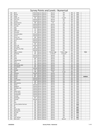|     |                         |         |                         |                | <b>Survey Points and Levels - Numerical</b> |              |            |      |                          |
|-----|-------------------------|---------|-------------------------|----------------|---------------------------------------------|--------------|------------|------|--------------------------|
| 762 | <b>Brick</b>            |         | Default ByLevel ByLevel |                | <b>ByLevel</b>                              | OFF          | DNI        | 0000 | $\sim$                   |
| 763 | <b>Buried</b>           |         | Default ByLevel ByLevel |                | ByLevel                                     | OFF          | DNI        | 0000 | $\blacksquare$           |
| 764 | Cable                   |         | Default ByLevel ByLevel |                | ByLevel                                     | OFF          | DNI        | 0000 | ÷,                       |
| 765 | Cable TV                | 765     | ByLevel ByLevel         |                | U-CATV                                      | U-CATV       | <b>DNI</b> | 0000 | $\overline{\phantom{a}}$ |
| 766 | Cast Iron               |         | Default ByLevel ByLevel |                | <b>ByLevel</b>                              | OFF          | <b>DNI</b> | 0000 | $\overline{\phantom{a}}$ |
| 767 | Center                  |         | Default ByLevel         | <b>ByLevel</b> | ByLevel                                     | OFF          | DNI        | 0000 | $\overline{\phantom{a}}$ |
| 768 | Pavement:C/L            | 768     | ByLevel ByLevel         |                | $L-C/L$                                     | $L-C/L$      | SB         | 0000 | $\overline{\phantom{a}}$ |
| 769 | Chain Link              |         | Default ByLevel ByLevel |                | ByLevel                                     | OFF          | <b>DNI</b> | 0000 | $\blacksquare$           |
| 770 | Transite                |         | Default ByLevel         | <b>ByLevel</b> | ByLevel                                     | OFF          | <b>DNI</b> | 0000 | $\blacksquare$           |
| 771 | Clay                    | Default | <b>ByLevel</b>          | <b>ByLevel</b> | ByLevel                                     | OFF          | <b>DNI</b> | 0000 | $\blacksquare$           |
| 772 | <b>CMP</b>              | 772     | ByLevel                 | <b>ByLevel</b> | ByLevel                                     | OFF          | <b>DNI</b> | 0000 | $\overline{\phantom{a}}$ |
| 773 | CMP:arch                | 772     | ByLevel                 | <b>ByLevel</b> | ByLevel                                     | OFF          | DNI        | 0000 | $\overline{\phantom{a}}$ |
| 774 | Concrete                | 774     | ByLevel                 | <b>ByLevel</b> | ByLevel                                     | OFF          | <b>DNI</b> | 0000 | ÷,                       |
| 775 | Concrete Block          | Default | ByLevel                 | <b>ByLevel</b> | ByLevel                                     | OFF          | <b>DNI</b> | 0000 | $\overline{\phantom{a}}$ |
| 776 | Corner                  | Default | <b>ByLevel</b>          | <b>ByLevel</b> | <b>ByLevel</b>                              | OFF          | <b>DNI</b> | 0000 | $\blacksquare$           |
| 777 | Cross Cut               | 206     | ByLevel                 | <b>ByLevel</b> | <b>ByLevel</b>                              | OFF          | <b>DNI</b> | 0000 | $\blacksquare$           |
| 778 | Crushed Stone           | Default | <b>ByLevel</b>          | <b>ByLevel</b> | ByLevel                                     | OFF          | <b>DNI</b> | 0000 | $\overline{\phantom{a}}$ |
| 779 | Duct                    |         | Default ByLevel         | <b>ByLevel</b> | <b>ByLevel</b>                              | OFF          | <b>DNI</b> | 0000 | $\blacksquare$           |
| 780 | Dirt                    |         | Default ByLevel         | <b>ByLevel</b> | ByLevel                                     | OFF          | <b>DNI</b> | 0000 | $\overline{\phantom{a}}$ |
| 781 | Disk                    | 206     | ByLevel                 | <b>ByLevel</b> | ByLevel                                     | OFF          | <b>DNI</b> | 0000 | $\overline{\phantom{a}}$ |
| 782 | Door_Sill               | Default | ByLevel                 | <b>ByLevel</b> | <b>ByLevel</b>                              | OFF          | <b>DNI</b> | 0000 | $\overline{\phantom{a}}$ |
| 783 | Drill Hole              | 699     | <b>ByLevel</b>          | <b>ByLevel</b> | <b>ByLevel</b>                              | OFF          | <b>DNI</b> | 0000 | ÷,                       |
| 784 | Ductile_Iron_Pipe       | Default | <b>ByLevel</b>          | <b>ByLevel</b> | ByLevel                                     | OFF          | <b>DNI</b> | 0000 | $\overline{\phantom{a}}$ |
| 785 | Edge                    | Default | <b>ByLevel</b>          | <b>ByLevel</b> | <b>ByLevel</b>                              | OFF          | <b>DNI</b> | 0000 | $\blacksquare$           |
| 786 | Edge of Water           | 786     | ByLevel                 | <b>ByLevel</b> | T-Water Edge                                | T-Water Edge | SB         | 0000 | T013                     |
| 787 | Electrical              | 787     | ByLevel                 | <b>ByLevel</b> | U-Electric                                  | U-Electric   | <b>DNI</b> | 0000 | $\blacksquare$           |
| 788 | End                     | Default | <b>ByLevel</b>          | <b>ByLevel</b> | <b>ByLevel</b>                              | OFF          | DNI        | 0000 | $\overline{\phantom{a}}$ |
| 789 | Face                    |         | Default ByLevel         | <b>ByLevel</b> | ByLevel                                     | OFF          | <b>DNI</b> | 0000 |                          |
| 790 | Field                   | 699     | ByLevel                 | <b>ByLevel</b> | ByLevel                                     | OFF          | <b>DNI</b> | 0000 | $\overline{\phantom{a}}$ |
| 791 | Flag:warning            | 791     | <b>ByLevel</b>          | <b>ByLevel</b> | <b>ByLevel</b>                              | OFF          | DNI        | 0000 | $\overline{\phantom{a}}$ |
| 792 | Floor                   | 699     | ByLevel                 | <b>ByLevel</b> | ByLevel                                     | OFF          | <b>DNI</b> | 0000 | ÷,                       |
| 793 | Flow Line               | 793     | ByLevel                 | <b>ByLevel</b> | ByLevel                                     | OFF          | SB         | 0000 | $\overline{\phantom{a}}$ |
| 794 | Monitoring_Well         | 699     | ByLevel                 | <b>ByLevel</b> | <b>ByLevel</b>                              | OFF          | <b>DNI</b> | 0000 | $\overline{\phantom{a}}$ |
| 795 | Foundation              | 699     | ByLevel                 | <b>ByLevel</b> | ByLevel                                     | OFF          | <b>DNI</b> | 0000 | ÷,                       |
| 796 | Front                   | Default | ByLevel                 | <b>ByLevel</b> | ByLevel                                     | OFF          | <b>DNI</b> | 0000 | $\blacksquare$           |
| 797 | Garage                  | 797     | <b>ByLevel</b>          | <b>ByLevel</b> | <b>ByLevel</b>                              | OFF          | SB         | 0000 | $\overline{\phantom{a}}$ |
| 798 | Gas                     | 798     | ByLevel                 | <b>ByLevel</b> | U-Gas                                       | U-Gas        | <b>DNI</b> | 0000 |                          |
| 799 | Gasoline                | Default | ByLevel                 | <b>ByLevel</b> | <b>ByLevel</b>                              | OFF          | <b>DNI</b> | 0000 | ÷,                       |
| 800 | Gravel                  | 800     | ByLevel                 | <b>ByLevel</b> | ByLevel                                     | OFF          | <b>DNI</b> | 0000 |                          |
| 801 | House                   | 801     | ByLevel                 | <b>ByLevel</b> | ByLevel                                     | OFF          | SB         | 0000 | XSM010                   |
| 802 | Inside                  | Default | ByLevel                 | <b>ByLevel</b> | ByLevel                                     | OFF          | <b>DNI</b> | 0000 | ÷,                       |
| 803 | Intersection            | Default | ByLevel                 | <b>ByLevel</b> | <b>ByLevel</b>                              | OFF          | <b>DNI</b> | 0000 | $\blacksquare$           |
| 804 | Iron                    | 206     | ByLevel ByLevel         |                | <b>ByLevel</b>                              | OFF          | <b>DNI</b> | 0804 | $\blacksquare$           |
| 805 | Meanderline             | 699     | ByLevel ByLevel         |                | <b>ByLevel</b>                              | OFF          | DNI        | 0000 | $\overline{\phantom{a}}$ |
| 806 | Metal                   |         | Default ByLevel ByLevel |                | ByLevel                                     | OFF          | <b>DNI</b> | 0000 | $\overline{\phantom{a}}$ |
| 807 | Midpoint                |         | Default ByLevel ByLevel |                | ByLevel                                     | OFF          | DNI        | 0000 | $\overline{\phantom{a}}$ |
| 808 | Multiple Use            |         | Default ByLevel ByLevel |                | ByLevel                                     | OFF          | DNI        | 0000 | $\overline{\phantom{a}}$ |
| 809 | Nail                    |         | Default ByLevel ByLevel |                | ByLevel                                     | OFF          | DNI        | 0000 | $\overline{\phantom{a}}$ |
| 810 | Oiled Earth             |         | Default ByLevel ByLevel |                | ByLevel                                     | OFF          | DNI        | 0000 | $\overline{\phantom{a}}$ |
| 811 | Oil & Chips             |         | Default ByLevel ByLevel |                | ByLevel                                     | OFF          | DNI        | 0000 | ä,                       |
| 812 | Ornamental              |         | Default ByLevel ByLevel |                | ByLevel                                     | OFF          | DNI        | 0000 | $\overline{\phantom{a}}$ |
| 813 | Outside                 |         | Default ByLevel ByLevel |                | ByLevel                                     | OFF          | DNI        | 0000 | $\overline{\phantom{a}}$ |
| 814 | Overhang                | 814     | ByLevel ByLevel         |                | ByLevel                                     | OFF          | DNI        | 0000 | ä,                       |
| 815 | Painted                 |         | Default ByLevel ByLevel |                | ByLevel                                     | OFF          | DNI        | 0000 | $\overline{\phantom{a}}$ |
| 816 | PC                      | 206     | ByLevel ByLevel         |                | ByLevel                                     | OFF          | <b>DNI</b> | 0000 | $\overline{\phantom{0}}$ |
| 817 | PCC                     | 206     | ByLevel ByLevel         |                | <b>ByLevel</b>                              | OFF          | <b>DNI</b> | 0000 | ä,                       |
| 818 | Survey Marker: Harrison | 818     | ByLevel                 | <b>ByLevel</b> | ByLevel                                     | OFF          | DNI        | 0818 | $\blacksquare$           |
| 820 | PI                      | 206     | ByLevel ByLevel         |                | ByLevel                                     | OFF          | DNI        | 0000 | ٠                        |
| 821 | Pin                     | 206     | ByLevel ByLevel         |                | ByLevel                                     | OFF          | <b>DNI</b> | 0821 | ä,                       |
| 822 | Pinch Pipe              | 206     | ByLevel                 | <b>ByLevel</b> | ByLevel                                     | OFF          | DNI        | 0822 | ۰                        |
| 823 | Pipe:survey             | 206     | ByLevel                 | <b>ByLevel</b> | ByLevel                                     | OFF          | DNI        | 0823 | $\overline{\phantom{a}}$ |
| 824 | PK Nail                 | 206     | ByLevel                 | ByLevel        | ByLevel                                     | OFF          | <b>DNI</b> | 0824 | ä,                       |
| 825 | Plate                   | 206     | ByLevel ByLevel         |                | ByLevel                                     | OFF          | DNI        | 0000 | $\overline{\phantom{a}}$ |
| 826 | Plug                    | 206     | ByLevel ByLevel         |                | ByLevel                                     | OFF          | DNI        | 0000 | $\overline{\phantom{a}}$ |
| 827 | Iron_W/Cap              | 206     | ByLevel ByLevel         |                | ByLevel                                     | OFF          | DNI        | 0827 | $\blacksquare$           |
| 828 | Butt_Joint              | 828     | ByLevel ByLevel         |                | ByLevel                                     | ByLevel      | SB         | 0000 | $\blacksquare$           |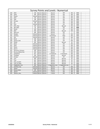| <b>Survey Points and Levels - Numerical</b> |                    |         |                         |                |                   |                   |            |      |                          |  |  |  |
|---------------------------------------------|--------------------|---------|-------------------------|----------------|-------------------|-------------------|------------|------|--------------------------|--|--|--|
| 829                                         | POC                | 206     | ByLevel ByLevel         |                | ByLevel           | OFF               | <b>DNI</b> | 0000 | ä,                       |  |  |  |
| 830                                         | Pillar             | 699     | ByLevel                 | <b>ByLevel</b> | ByLevel           | OFF               | <b>DNI</b> | 0000 | ä,                       |  |  |  |
| 831                                         | Plastic            | Default | ByLevel ByLevel         |                | ByLevel           | OFF               | <b>DNI</b> | 0000 | $\overline{\phantom{a}}$ |  |  |  |
| 832                                         | POT                | 206     | ByLevel ByLevel         |                | ByLevel           | OFF               | <b>DNI</b> | 0000 | ä,                       |  |  |  |
| 833                                         | PRC                | 206     | <b>ByLevel ByLevel</b>  |                | ByLevel           | OFF               | <b>DNI</b> | 0000 | ä,                       |  |  |  |
| 834                                         | Private            | Default | <b>ByLevel</b>          | <b>ByLevel</b> | ByLevel           | OFF               | <b>DNI</b> | 0000 | ÷,                       |  |  |  |
| 835                                         | PT                 | 206     | <b>ByLevel</b>          | <b>ByLevel</b> | ByLevel           | OFF               | <b>DNI</b> | 0000 | $\overline{\phantom{a}}$ |  |  |  |
| 836                                         | <b>PVC</b>         | Default | <b>ByLevel</b>          | <b>ByLevel</b> | ByLevel           | OFF               | <b>DNI</b> | 0000 | $\overline{\phantom{a}}$ |  |  |  |
| 837                                         | PVC Pipe           | 699     | ByLevel                 | <b>ByLevel</b> | ByLevel           | ByLevel           | <b>DNI</b> | 0000 | ÷,                       |  |  |  |
| 838                                         | RR Spike           | 38      | <b>ByLevel</b>          | <b>ByLevel</b> | ByLevel           | OFF               | DNI        | 0838 | $\blacksquare$           |  |  |  |
| 839                                         | Ramp               | 699     | <b>ByLevel</b>          | <b>ByLevel</b> | <b>ByLevel</b>    | OFF               | <b>DNI</b> | 0000 | $\overline{\phantom{a}}$ |  |  |  |
| 840                                         | <b>RCP</b>         | 840     | ByLevel ByLevel         |                | ByLevel           | ByLevel           | <b>DNI</b> | 0000 | $\overline{\phantom{a}}$ |  |  |  |
| 841                                         | RCP:arch           | 840     | <b>ByLevel ByLevel</b>  |                | ByLevel           | OFF               | S          | 0000 | $\bar{\phantom{a}}$      |  |  |  |
| 843                                         | Rubber             | Default | <b>ByLevel</b>          | <b>ByLevel</b> | ByLevel           | OFF               | <b>DNI</b> | 0000 | ä,                       |  |  |  |
| 845                                         | Sanitary           | Default | <b>ByLevel</b>          | <b>ByLevel</b> | D-SanSewer        | <b>TRUE</b>       | <b>DNI</b> | 0000 | $\overline{\phantom{a}}$ |  |  |  |
| 847                                         | Set                | Default | <b>ByLevel</b>          | <b>ByLevel</b> | ByLevel           | OFF               | <b>DNI</b> | 0000 | $\overline{\phantom{a}}$ |  |  |  |
| 848                                         | Shed               | 848     | ByLevel                 | <b>ByLevel</b> | ByLevel           | OFF               | SB         | 0000 | $\overline{\phantom{a}}$ |  |  |  |
| 849                                         | Square Rod         | 206     | ByLevel                 | <b>ByLevel</b> | ByLevel           | OFF               | <b>DNI</b> | 0000 | $\bar{\phantom{a}}$      |  |  |  |
| 850                                         | Swale              | 850     | ByLevel ByLevel         |                | ByLevel           | ByLevel           | <b>SB</b>  | 0000 | $\overline{\phantom{a}}$ |  |  |  |
| 851                                         | Steel              |         | Default ByLevel ByLevel |                | ByLevel           | OFF               | <b>DNI</b> | 0000 | ÷,                       |  |  |  |
| 852                                         | Step               |         | Default ByLevel ByLevel |                | ByLevel           | OFF               | <b>DNI</b> | 0000 | $\overline{\phantom{m}}$ |  |  |  |
| 853                                         | Stone              | Default | <b>ByLevel</b>          | <b>ByLevel</b> | ByLevel           | OFF               | <b>DNI</b> | 0000 | ÷.                       |  |  |  |
| 854                                         | Storm              |         | Default ByLevel ByLevel |                | ByLevel           | OFF               | <b>DNI</b> | 0000 | $\overline{\phantom{a}}$ |  |  |  |
| 855                                         | Structure_Entrance | 699     | ByLevel ByLevel         |                | <b>ByLevel</b>    | OFF               | <b>DNI</b> | 0000 | ÷,                       |  |  |  |
| 856                                         | Survey Marker:Disc | 856     | ByLevel                 | <b>ByLevel</b> | <b>ByLevel</b>    | <b>OFF</b>        | <b>DNI</b> | 0856 | $\overline{\phantom{a}}$ |  |  |  |
| 857                                         | Telephone          | 857     | ByLevel                 | <b>ByLevel</b> | U-Telephone       | U-Telephone       | DNI        | 0000 | ÷,                       |  |  |  |
| 858                                         | Thalweg            | 858     | ByLevel                 | <b>ByLevel</b> | <b>ByLevel</b>    | ByLevel           | <b>DNI</b> | 0000 | $\overline{\phantom{0}}$ |  |  |  |
| 859                                         | Timber             | Default | <b>ByLevel</b>          | <b>ByLevel</b> | ByLevel           | OFF               | <b>DNI</b> | 0000 | $\overline{\phantom{a}}$ |  |  |  |
| 860                                         | Toe                | 860     | ByLevel ByLevel         |                | ByLevel           | ByLevel           | SB         | 0000 |                          |  |  |  |
| 861                                         | Top                | 861     | ByLevel                 | <b>ByLevel</b> | ByLevel           | ByLevel           | SB         | 0000 | L.                       |  |  |  |
| 862                                         | Top of Bank        | 862     | <b>ByLevel</b>          | <b>ByLevel</b> | ByLevel           | ByLevel           | SB         | 0000 | $\overline{\phantom{a}}$ |  |  |  |
| 863                                         | Top of Slope       | 863     | ByLevel                 | ByLevel        | ByLevel           | ByLevel           | SB         | 0000 | $\overline{\phantom{a}}$ |  |  |  |
| 864                                         | Vegetation Line    | 864     | <b>ByLevel</b>          | <b>ByLevel</b> | V-Vegetation Line | V-Vegetation Line | S          | 0000 | $\overline{\phantom{a}}$ |  |  |  |
| 865                                         | Vitrified_Clay     | Default | ByLevel                 | <b>ByLevel</b> | ByLevel           | <b>OFF</b>        | <b>DNI</b> | 0000 | $\sim$                   |  |  |  |
| 867                                         | Water              | Default | <b>ByLevel</b>          | <b>ByLevel</b> | ByLevel           | OFF               | <b>DNI</b> | 0000 | ÷,                       |  |  |  |
| 868                                         | Wood Stake         | 699     | ByLevel ByLevel         |                | ByLevel           | OFF               | <b>DNI</b> | 0000 | $\overline{\phantom{a}}$ |  |  |  |
| 869                                         | Wood               |         | Default ByLevel ByLevel |                | T-Fence           | OFF               | <b>DNI</b> | 0000 |                          |  |  |  |
| 870                                         | Woven_Wire         |         | Default ByLevel ByLevel |                | T-Fence           | OFF               | <b>DNI</b> | 0000 | ÷.                       |  |  |  |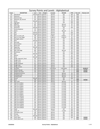|            | <b>Survey Points and Levels - Alphabetical</b> |                |                                  |                                  |                           |                       |                  |                  |                                                         |  |  |
|------------|------------------------------------------------|----------------|----------------------------------|----------------------------------|---------------------------|-----------------------|------------------|------------------|---------------------------------------------------------|--|--|
| Pcode      | <b>DESCRIPTION</b>                             | Level          | Color                            | Weight                           | Linestyle                 | OFF/ON                | <b>DTM</b>       | <b>Plan Cell</b> | <b>XSection Cell</b>                                    |  |  |
| 750        | Abandoned                                      | Default        | ByLevel                          | ByLevel                          | ByLevel                   | OFF                   | DNI              | 0000             |                                                         |  |  |
| 613        | Abutment                                       | 613            | ByLevel                          | <b>ByLevel</b>                   | <b>ByLevel</b>            | OFF                   | DNI              | 0000             | $\bar{a}$                                               |  |  |
| 615        | Abutment:top                                   | 615            | <b>ByLevel</b>                   | <b>ByLevel</b>                   | <b>ByLevel</b>            | OFF                   | SB               | 0000             | ä,                                                      |  |  |
| 614        | Abutment_@_Ground                              | 614            | <b>ByLevel</b>                   | <b>ByLevel</b>                   | <b>ByLevel</b>            | OFF                   | SB               | 0000             | $\blacksquare$                                          |  |  |
| 751        | Aerial                                         | Default        | <b>ByLevel</b>                   | <b>ByLevel</b>                   | <b>ByLevel</b>            | OFF                   | DNI              | 0000             | $\overline{\phantom{a}}$                                |  |  |
| 752        | Aggregate                                      | 752            | <b>ByLevel</b>                   | <b>ByLevel</b>                   | <b>ByLevel</b>            | OFF                   | <b>DNI</b>       | 0000             | $\overline{\phantom{a}}$                                |  |  |
| 661        | Alley:C/L                                      | 661            | <b>ByLevel</b>                   | <b>ByLevel</b>                   | <b>ByLevel</b>            | ByLevel               | SB               | 0000             | $\blacksquare$                                          |  |  |
| 662        | Alley:edge                                     | 662            | <b>ByLevel</b>                   | <b>ByLevel</b>                   | <b>ByLevel</b>            | ByLevel               | SB               | 0000             | $\overline{\phantom{a}}$                                |  |  |
| 753        | Aluminum                                       | Default        | <b>ByLevel</b>                   | <b>ByLevel</b>                   | ByLevel                   | OFF                   | <b>DNI</b>       | 0000             | ä,                                                      |  |  |
| 272        | Anchor:deadman                                 | 272            | <b>ByLevel</b>                   | <b>ByLevel</b>                   | <b>ByLevel</b>            | OFF                   | S                | 0000             | $\blacksquare$                                          |  |  |
| 373<br>754 | Apron<br>Axle                                  | 373<br>Default | <b>ByLevel</b>                   | <b>ByLevel</b>                   | <b>ByLevel</b>            | <b>ByLevel</b><br>OFF | SB<br><b>DNI</b> | 0000<br>0000     | $\overline{\phantom{a}}$<br>$\overline{\phantom{a}}$    |  |  |
| 755        | <b>Back</b>                                    | Default        | <b>ByLevel</b><br>ByLevel        | <b>ByLevel</b><br><b>ByLevel</b> | <b>ByLevel</b><br>ByLevel | OFF                   | <b>DNI</b>       | 0000             | $\overline{\phantom{a}}$                                |  |  |
| 568        | Back of Curb Left                              | 568            | <b>ByLevel</b>                   | <b>ByLevel</b>                   | G-BOC-L                   | G-BOC-L               | SB               | 0000             | $\overline{\phantom{a}}$                                |  |  |
| 569        | Back of Curb Right                             | 569            | <b>ByLevel</b>                   | <b>ByLevel</b>                   | G-BOC-R                   | G-BOC-R               | SB               | 0000             | $\overline{\phantom{a}}$                                |  |  |
| 100        | Backsight_Station                              | 100            | <b>ByLevel</b>                   | <b>ByLevel</b>                   | <b>ByLevel</b>            | OFF                   | <b>DNI</b>       | 0000             | $\overline{\phantom{a}}$                                |  |  |
| 756        | Barb                                           | Default        | <b>ByLevel</b>                   | <b>ByLevel</b>                   | ByLevel                   | OFF                   | DNI              | 0000             | $\overline{\phantom{a}}$                                |  |  |
| 219        | Barricade                                      | 219            | <b>ByLevel</b>                   | <b>ByLevel</b>                   | <b>ByLevel</b>            | OFF                   | <b>DNI</b>       | 0000             | $\bar{\phantom{a}}$                                     |  |  |
| 617        | Beam:bottom                                    | 617            | <b>ByLevel</b>                   | <b>ByLevel</b>                   | ByLevel                   | OFF                   | <b>DNI</b>       | 0000             | $\overline{\phantom{a}}$                                |  |  |
| 616        | Beam:seat                                      | 616            | ByLevel                          | <b>ByLevel</b>                   | ByLevel                   | OFF                   | <b>DNI</b>       | 0000             | $\overline{\phantom{a}}$                                |  |  |
| 758        | Beginning                                      | Default        | ByLevel                          | <b>ByLevel</b>                   | ByLevel                   | OFF                   | <b>DNI</b>       | 0000             | ä,                                                      |  |  |
| 105        | Benchmark                                      | 100            | <b>ByLevel</b>                   | <b>ByLevel</b>                   | <b>ByLevel</b>            | OFF                   | <b>DNI</b>       | 0000             | $\overline{\phantom{a}}$                                |  |  |
| 660        | Bike Path:edge                                 | 660            | <b>ByLevel</b>                   | <b>ByLevel</b>                   | <b>ByLevel</b>            | ByLevel               | SB               | 0000             | $\overline{\phantom{m}}$                                |  |  |
| 759        | <b>Bituminous</b>                              | 759            | <b>ByLevel</b>                   | <b>ByLevel</b>                   | <b>ByLevel</b>            | OFF                   | DNI              | 0000             | $\omega$                                                |  |  |
| 760        | Bolt                                           | Default        | <b>ByLevel</b>                   | <b>ByLevel</b>                   | <b>ByLevel</b>            | OFF                   | DNI              | 0000             | $\overline{\phantom{a}}$                                |  |  |
| 761        | Bottom                                         | 761            | <b>ByLevel</b>                   | <b>ByLevel</b>                   | <b>ByLevel</b>            | OFF                   | SB               | 0000             | $\overline{\phantom{m}}$                                |  |  |
| 762        | <b>Brick</b>                                   | Default        | ByLevel                          | <b>ByLevel</b>                   | <b>ByLevel</b>            | OFF                   | <b>DNI</b>       | 0000             | ÷,                                                      |  |  |
| 618        | Bridge_Approach_Panel                          | 618            | <b>ByLevel</b>                   | <b>ByLevel</b>                   | <b>ByLevel</b>            | OFF                   | DNI              | 0000             | $\overline{\phantom{a}}$                                |  |  |
| 611        | Bridge_Curb                                    | 611            | <b>ByLevel</b>                   | <b>ByLevel</b>                   | ByLevel                   | OFF                   | SB               | 0000             | $\overline{\phantom{a}}$                                |  |  |
| 619        | Bridge Deck                                    | 619            | <b>ByLevel</b>                   | <b>ByLevel</b>                   | <b>ByLevel</b>            | OFF                   | DNI              | 0000             |                                                         |  |  |
| 612        | Bridge Headwall                                | 612            | <b>ByLevel</b>                   | <b>ByLevel</b>                   | <b>ByLevel</b>            | OFF                   | SB               | 0000             | $\overline{\phantom{a}}$                                |  |  |
| 620        | Bridge_Seat                                    | 620            | <b>ByLevel</b>                   | <b>ByLevel</b>                   | <b>ByLevel</b>            | OFF                   | <b>DNI</b>       | 0000             | $\overline{\phantom{a}}$                                |  |  |
| 610        | Bridge_Section                                 | 610            | <b>ByLevel</b>                   | <b>ByLevel</b>                   | <b>ByLevel</b>            | OFF                   | <b>DNI</b>       | 0000             |                                                         |  |  |
| 469        | <b>Brushline</b>                               | 469            | <b>ByLevel</b>                   | <b>ByLevel</b>                   | V-Brushline               | V-Brushline           | S                | 0000             | XSV001/2                                                |  |  |
| 319        | Buffalo_Box:gas                                | 319            | <b>ByLevel</b>                   | <b>ByLevel</b>                   | ByLevel                   | OFF<br>OFF            | S<br>S           | 0018<br>0018     | <b>XSU001</b>                                           |  |  |
| 320<br>600 | Buffalo Box:water<br>Building:commercial       | 320<br>8       | <b>ByLevel</b><br><b>ByLevel</b> | <b>ByLevel</b><br><b>ByLevel</b> | <b>ByLevel</b>            | ByLevel               | SB               | 0000             | <b>XSU001</b><br>$\overline{\phantom{a}}$               |  |  |
| 602        | Building:private                               | 8              | <b>ByLevel</b>                   | <b>ByLevel</b>                   | <b>ByLevel</b><br>ByLevel | ByLevel               | SB               | 0000             | $\overline{\phantom{a}}$                                |  |  |
| 601        | Building:public                                | 8              | <b>ByLevel</b>                   | <b>ByLevel</b>                   | <b>ByLevel</b>            | <b>ByLevel</b>        | SB               | 0000             |                                                         |  |  |
| 763        | <b>Buried</b>                                  | Default        | <b>ByLevel</b>                   | <b>ByLevel</b>                   | <b>ByLevel</b>            | OFF                   | <b>DNI</b>       | 0000             |                                                         |  |  |
| 408        | Bush                                           | 408            | <b>ByLevel</b>                   | <b>ByLevel</b>                   | <b>ByLevel</b>            | OFF                   | S                | 0009             | XSV003                                                  |  |  |
| 828        | Butt Joint                                     | 828            | ByLevel ByLevel                  |                                  | <b>ByLevel</b>            | <b>ByLevel</b>        | SB               | 0000             |                                                         |  |  |
| 510        | C&G B-4.12/Back                                | 510            | ByLevel ByLevel                  |                                  | G-CurbX                   | G-CurbX               | SB               | 0000             | $\sim$                                                  |  |  |
| 511        | C&G B-4.24/Back                                | 511            | ByLevel ByLevel                  |                                  | G-CurbX                   | G-CurbX               | SB               | 0000             | $\overline{\phantom{a}}$                                |  |  |
| 509        | C&G B-6.12/Back                                | 509            | ByLevel ByLevel                  |                                  | G-CurbX                   | G-CurbX               | SB               | 0000             | ÷.                                                      |  |  |
| 513        | C&G B-6.18/Back                                | 513            | ByLevel ByLevel                  |                                  | G-CurbX                   | G-CurbX               | SB               | 0000             | $\overline{\phantom{a}}$                                |  |  |
| 516        | C&G_B-6.24/Back                                | 516            | ByLevel                          | <b>ByLevel</b>                   | G-CurbX                   | G-CurbX               | SB               | 0000             | $\overline{\phantom{a}}$                                |  |  |
| 519        | C&G B-9.12/Back                                | 519            | ByLevel ByLevel                  |                                  | G-CurbX                   | G-CurbX               | SB               | 0000             | $\overline{\phantom{a}}$                                |  |  |
| 522        | C&G B-9.18/Back                                | 522            | ByLevel                          | <b>ByLevel</b>                   | G-CurbX                   | G-CurbX               | SB               | 0000             | $\overline{\phantom{a}}$                                |  |  |
| 525        | C&G_B-9.24/Back                                | 525            | ByLevel                          | <b>ByLevel</b>                   | G-CurbX                   | G-CurbX               | SB               | 0000             | $\overline{\phantom{a}}$                                |  |  |
| 540        | C&G M-2.06/Back                                | 540            | ByLevel ByLevel                  |                                  | G-CurbX                   | G-CurbX               | SB               | 0000             | ÷.                                                      |  |  |
| 543        | C&G M-2.12/Back                                | 543            | ByLevel ByLevel                  |                                  | G-CurbX                   | G-CurbX               | SB               | 0000             | $\overline{\phantom{a}}$                                |  |  |
| 567        | C&G_M-4.12/Back                                | 567            | ByLevel                          | <b>ByLevel</b>                   | G-CurbX                   | G-CurbX               | SB               | 0000             | $\overline{\phantom{a}}$                                |  |  |
| 512        | C&G M-4.24/Back                                | 512            | ByLevel ByLevel                  |                                  | G-CurbX                   | G-CurbX               | SB               | 0000             | $\blacksquare$                                          |  |  |
| 528        | C&G M-6.06/Back                                | 528            | ByLevel ByLevel                  |                                  | G-CurbX                   | G-CurbX               | SB               | 0000             | $\overline{\phantom{a}}$                                |  |  |
| 531<br>534 | C&G_M-6.12/Back<br>C&G M-6.18/Back             | 531<br>534     | ByLevel<br>ByLevel ByLevel       | <b>ByLevel</b>                   | G-CurbX<br>G-CurbX        | G-CurbX<br>G-CurbX    | SB<br>SB         | 0000<br>0000     | $\overline{\phantom{a}}$<br>$\mathcal{L}_{\mathcal{A}}$ |  |  |
| 537        | C&G M-6.24/Back                                | 537            | ByLevel ByLevel                  |                                  | G-CurbX                   | G-CurbX               | SB               | 0000             | $\overline{\phantom{a}}$                                |  |  |
| 764        | Cable                                          | Default        | <b>ByLevel</b>                   | <b>ByLevel</b>                   | ByLevel                   | OFF                   | <b>DNI</b>       | 0000             | $\overline{\phantom{a}}$                                |  |  |
| 765        | Cable TV                                       | 765            | ByLevel                          | <b>ByLevel</b>                   | U-CATV                    | U-CATV                | DNI              | 0000             |                                                         |  |  |
| 110        | Calculated Point                               | 100            | ByLevel                          | <b>ByLevel</b>                   | <b>ByLevel</b>            | <b>OFF</b>            | <b>DNI</b>       | 0000             | $\overline{\phantom{a}}$                                |  |  |
| 683        | Canopy                                         | 683            | ByLevel                          | <b>ByLevel</b>                   | ByLevel                   | <b>OFF</b>            | <b>DNI</b>       | 0000             | $\overline{\phantom{a}}$                                |  |  |
| 766        | Cast Iron                                      | Default        | ByLevel ByLevel                  |                                  | <b>ByLevel</b>            | OFF                   | DNI              | 0000             |                                                         |  |  |
| 306        | Catch Basin                                    | 306            | ByLevel ByLevel                  |                                  | ByLevel                   | OFF                   | DNI              | 0012             | XSD003                                                  |  |  |
| 314        | Catch Basin:curb                               | 314            | <b>ByLevel ByLevel</b>           |                                  | <b>ByLevel</b>            | OFF                   | S                | 0012             | XSD003                                                  |  |  |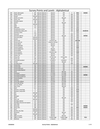|            |                                 |                |                                    |                                  | Survey Points and Levels - Alphabetical |                |                          |              |                             |
|------------|---------------------------------|----------------|------------------------------------|----------------------------------|-----------------------------------------|----------------|--------------------------|--------------|-----------------------------|
| 307        | Catch_Basin:grate               | 307            | ByLevel ByLevel                    |                                  | <b>ByLevel</b>                          | OFF            | S                        | 0012         | <b>XSD003</b>               |
| 404        | Cattle Guard                    | 699            | <b>ByLevel</b>                     | <b>ByLevel</b>                   | ByLevel                                 | OFF            | <b>DNI</b>               | 0000         |                             |
| 767        | Center                          | Default        | ByLevel                            | ByLevel                          | ByLevel                                 | OFF            | <b>DNI</b>               | 0000         | $\overline{\phantom{a}}$    |
| 677        | Center of Lanes                 | 699            | ByLevel ByLevel                    |                                  | <b>ByLevel</b>                          | <b>ByLevel</b> | <b>DNI</b>               | 0000         | L.                          |
| 769        | Chain Link                      | Default        | <b>ByLevel</b>                     | <b>ByLevel</b>                   | <b>ByLevel</b>                          | OFF            | <b>DNI</b>               | 0000         | $\overline{\phantom{a}}$    |
| 215        | Chiseled Square                 | 100            | ByLevel                            | <b>ByLevel</b>                   | ByLevel                                 | OFF            | <b>DNI</b>               | 0000         | ÷.                          |
| 378        | Cistern                         | 378            | ByLevel                            | <b>ByLevel</b>                   | ByLevel                                 | <b>ByLevel</b> | DNI                      | 0000         | $\mathcal{L}_{\mathcal{A}}$ |
| 771        | Clay                            | Default        | <b>ByLevel</b>                     | <b>ByLevel</b>                   | ByLevel                                 | OFF            | <b>DNI</b>               | 0000         | $\overline{\phantom{a}}$    |
| 772        | <b>CMP</b>                      | 772            | ByLevel                            | <b>ByLevel</b>                   | <b>ByLevel</b>                          | OFF            | <b>DNI</b>               | 0000         | $\overline{\phantom{a}}$    |
| 773        | CMP:arch                        | 772            | ByLevel                            | <b>ByLevel</b>                   | <b>ByLevel</b>                          | OFF            | <b>DNI</b>               | 0000         |                             |
| 735        | Combination Arrow               | $\overline{7}$ | ByLevel                            | <b>ByLevel</b>                   | <b>ByLevel</b><br>ByLevel               | OFF            | <b>DNI</b>               | 0735<br>0225 |                             |
| 225<br>111 | Combination Mast Arm            | 11<br>111      | ByLevel<br>ByLevel                 | <b>ByLevel</b><br><b>ByLevel</b> | ByLevel                                 | OFF<br>OFF     | DNI<br>S                 | 0000         | XSU007/8                    |
| 774        | Common_Point<br>Concrete        | 774            | ByLevel                            | <b>ByLevel</b>                   | <b>ByLevel</b>                          | OFF            | <b>DNI</b>               | 0000         |                             |
| 579        | Concrete Barrier                | 579            | <b>ByLevel</b>                     | <b>ByLevel</b>                   | <b>ByLevel</b>                          | <b>ByLevel</b> | DNI                      | 0000         | <b>XSP026</b>               |
| 775        | Concrete Block                  | Default        | ByLevel                            | <b>ByLevel</b>                   | ByLevel                                 | OFF            | DNI                      | 0000         |                             |
| 776        | Corner                          | Default        | <b>ByLevel</b>                     | <b>ByLevel</b>                   | <b>ByLevel</b>                          | OFF            | DNI                      | 0000         | $\overline{\phantom{a}}$    |
| 201        | Corner:1/4                      | 201            | ByLevel                            | <b>ByLevel</b>                   | L-Section-1/4                           | OFF            | DNI                      | 0201NW       | $\overline{\phantom{a}}$    |
| 202        | Corner: 1/4-1/4                 | 202            | ByLevel                            | <b>ByLevel</b>                   | L-Section-1/4-1/4                       | OFF            | <b>DNI</b>               | 0000         | ä,                          |
| 208        | Corner:Block                    | 206            | ByLevel                            | <b>ByLevel</b>                   | <b>ByLevel</b>                          | OFF            | <b>DNI</b>               | 0000         | $\overline{\phantom{a}}$    |
| 203        | Corner:Meander                  | 206            | ByLevel                            | ByLevel                          | ByLevel                                 | OFF            | DNI                      | 0000         | $\overline{\phantom{a}}$    |
| 206        | Corner: Property                | 206            | ByLevel ByLevel                    |                                  | $L-P/L$                                 | OFF            | DNI                      | 0206         | ÷,                          |
| 205        | Corner:Reference                | 206            | ByLevel                            | <b>ByLevel</b>                   | <b>ByLevel</b>                          | OFF            | DNI                      | 0000         | $\overline{\phantom{a}}$    |
| 211        | Corner:ROW                      | 206            | ByLevel                            | <b>ByLevel</b>                   | L-ROW-X                                 | OFF            | <b>DNI</b>               | 0000         | $\overline{\phantom{a}}$    |
| 200        | Corner:Section                  | 200            | ByLevel ByLevel                    |                                  | L-Section Line                          | OFF            | <b>DNI</b>               | 0200         | $\mathcal{L}_{\mathcal{A}}$ |
| 204        | Corner: Witness                 | 206            | ByLevel                            | ByLevel                          | <b>ByLevel</b>                          | OFF            | <b>DNI</b>               | 0000         | $\overline{\phantom{a}}$    |
| 102        | Cotton Pin                      | 100            | ByLevel                            | <b>ByLevel</b>                   | ByLevel                                 | OFF            | <b>DNI</b>               | 0000         | $\overline{\phantom{a}}$    |
| 411        | Crop Line                       | 411            | ByLevel ByLevel                    |                                  | V-Crop Line                             | V-Crop Line    | S                        | 0000         | ÷.                          |
| 777        | Cross Cut                       | 206            | ByLevel                            | <b>ByLevel</b>                   | <b>ByLevel</b>                          | OFF            | <b>DNI</b>               | 0000         | $\overline{\phantom{a}}$    |
| 732        | Crosswalk:standard              | 732            | ByLevel                            | <b>ByLevel</b>                   | S-Xwalk 6'                              | S-Xwalk 6'     | DNI                      | 0000         | $\overline{\phantom{a}}$    |
| 667        | Crown                           | 667            | ByLevel                            | <b>ByLevel</b>                   | <b>ByLevel</b>                          | <b>ByLevel</b> | SB                       | 0000         | ÷.                          |
| 778        | Crushed Stone                   | Default        | ByLevel                            | <b>ByLevel</b>                   | <b>ByLevel</b>                          | OFF            | <b>DNI</b>               | 0000         | $\overline{\phantom{a}}$    |
| 303        | Culvert:box                     | 303            | ByLevel                            | <b>ByLevel</b>                   | ByLevel                                 | OFF            | S                        | 0000         | $\overline{\phantom{a}}$    |
| 300        | Culvert:pipe                    | 300            | ByLevel                            | <b>ByLevel</b>                   | ByLevel                                 | OFF            | S                        | 0000         | <b>XSM003</b>               |
| 301        | Culvert:pipe;arch               | 300            | ByLevel                            | <b>ByLevel</b>                   | <b>ByLevel</b>                          | OFF<br>OFF     | S                        | 0000         | ÷,                          |
| 302<br>500 | Culvert:pipe;elliptical<br>Curb | 300<br>500     | ByLevel<br>ByLevel ByLevel         | <b>ByLevel</b>                   | ByLevel<br>ByLevel                      | ByLevel        | S<br>SB                  | 0000<br>0000 | ÷.<br>ä,                    |
| 502        | Curb:back                       | 502            | ByLevel                            | <b>ByLevel</b>                   | G-CurbX                                 | G-CurbX        | SB                       | 0000         | $\blacksquare$              |
| 503        | Curb:depressed/Back             | 503            | ByLevel                            | <b>ByLevel</b>                   | G-CurbX                                 | G-CurbX        | SB                       | 0000         | <b>XSP002</b>               |
| 504        | Curb:depressed/Front            | 504            | ByLevel                            | <b>ByLevel</b>                   | ByLevel                                 | <b>ByLevel</b> | SB                       | 0000         |                             |
| 508        | Curb:monolithic                 | 508            | ByLevel                            | <b>ByLevel</b>                   | ByLevel                                 | ByLevel        | SB                       | 0000         | $\overline{\phantom{a}}$    |
| 501        | Curb:top                        | 501            | ByLevel                            | <b>ByLevel</b>                   | <b>ByLevel</b>                          | <b>ByLevel</b> | SB                       | 0000         | ÷.                          |
| 506        | Curb:Type_B/Back                | 506            | <b>ByLevel ByLevel</b>             |                                  | G-CurbX                                 | G-CurbX        | SB                       | 0000         | $\overline{\phantom{a}}$    |
| 505        | Curb:Type_B/Top                 | 505            | ByLevel ByLevel                    |                                  | ByLevel                                 | ByLevel        | SB                       | 0000         | $\overline{\phantom{a}}$    |
| 507        | Curb & Gutter                   | 507            | ByLevel ByLevel                    |                                  | <b>ByLevel</b>                          | ByLevel        | SB                       | 0000         |                             |
| 371        | Dam Crest                       | 371            | ByLevel ByLevel                    |                                  | <b>ByLevel</b>                          | ByLevel        | SB                       | 0000         |                             |
| 621        | Deck                            | 621            | ByLevel ByLevel                    |                                  | ByLevel                                 | OFF            | <b>DNI</b>               | 0000         | $\overline{\phantom{a}}$    |
| 278        | Detector Loop:large             | 11             | ByLevel ByLevel                    |                                  | <b>ByLevel</b>                          | OFF            | DNI                      | 0278         | $\overline{\phantom{a}}$    |
| 224        | Detector Loop:small             | 11             | ByLevel ByLevel                    |                                  | <b>ByLevel</b>                          | OFF            | <b>DNI</b>               | 0224         |                             |
| 780        | Dirt                            | Default        | ByLevel ByLevel                    |                                  | ByLevel                                 | OFF            | <b>DNI</b>               | 0000         | $\overline{\phantom{a}}$    |
| 781        | Disk                            | 206            | ByLevel ByLevel                    |                                  | <b>ByLevel</b>                          | OFF            | DNI                      | 0000         | $\overline{\phantom{a}}$    |
| 749        | Disrepair                       |                | Default ByLevel ByLevel            |                                  | <b>ByLevel</b>                          | OFF            | DNI                      | 0000         |                             |
| 363        | Ditch                           | 363            | ByLevel ByLevel                    |                                  | <b>ByLevel</b>                          | <b>ByLevel</b> | SB                       | 0000         | $\overline{\phantom{a}}$    |
| 782<br>214 | Door Sill<br>Drainage_Marker    | Default<br>214 | ByLevel ByLevel<br>ByLevel ByLevel |                                  | <b>ByLevel</b><br><b>ByLevel</b>        | OFF<br>OFF     | <b>DNI</b><br><b>DNI</b> | 0000<br>0000 | $\overline{\phantom{a}}$    |
| 312        | Drainage Structure:non-typical  | 312            | ByLevel ByLevel                    |                                  | ByLevel                                 | OFF            | S                        | 0000         | $\mathcal{L}_{\mathcal{A}}$ |
| 783        | Drill Hole                      | 699            | ByLevel ByLevel                    |                                  | ByLevel                                 | OFF            | DNI                      | 0000         | $\overline{\phantom{a}}$    |
| 305        | Drop Box                        | 305            | ByLevel ByLevel                    |                                  | ByLevel                                 | OFF            | S                        | 0000         | <b>XSD003</b>               |
| 308        | Drop Inlet                      | 308            | ByLevel ByLevel                    |                                  | ByLevel                                 | OFF            | <b>DNI</b>               | 0013         | <b>XSD025</b>               |
| 779        | Duct                            | Default        | ByLevel ByLevel                    |                                  | ByLevel                                 | OFF            | DNI                      | 0000         |                             |
| 784        | Ductile Iron Pipe               |                | Default ByLevel ByLevel            |                                  | ByLevel                                 | OFF            | <b>DNI</b>               | 0000         |                             |
| 670        | Easement                        | 670            | ByLevel ByLevel                    |                                  | ByLevel                                 | ByLevel        | <b>DNI</b>               | 0000         | $\blacksquare$              |
| 785        | Edge                            | Default        | ByLevel ByLevel                    |                                  | ByLevel                                 | OFF            | DNI                      | 0000         | $\overline{\phantom{a}}$    |
| 678        | Edge of Lanes                   | 699            | ByLevel ByLevel                    |                                  | ByLevel                                 | ByLevel        | <b>DNI</b>               | 0000         |                             |
| 786        | Edge of Water                   | 786            | ByLevel ByLevel                    |                                  | T-Water Edge                            | T-Water Edge   | SB                       | 0000         | T013                        |
| 787        | Electrical                      | 787            | ByLevel ByLevel                    |                                  | U-Electric                              | U-Electric     | DNI                      | 0000         |                             |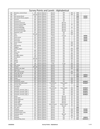|            |                                        |                |                        |                                  | <b>Survey Points and Levels - Alphabetical</b> |                    |                          |              |                                    |
|------------|----------------------------------------|----------------|------------------------|----------------------------------|------------------------------------------------|--------------------|--------------------------|--------------|------------------------------------|
| 104        | Elevation Control:Check                | 100            | ByLevel ByLevel        |                                  | ByLevel                                        | OFF                | DNI                      | 0000         |                                    |
| 788        | End                                    | Default        | <b>ByLevel</b>         | <b>ByLevel</b>                   | ByLevel                                        | OFF                | <b>DNI</b>               | 0000         |                                    |
| 309        | End Section: flared                    | 309            | ByLevel                | <b>ByLevel</b>                   | ByLevel                                        | OFF                | S                        | 0309         | <b>XSD007</b>                      |
| 310<br>650 | End Section:flared w/grate<br>Entrance | 310<br>650     | ByLevel<br>ByLevel     | <b>ByLevel</b><br><b>ByLevel</b> | <b>ByLevel</b><br>ByLevel                      | OFF<br>OFF         | S<br>S                   | 0310<br>0000 | <b>XSD007</b><br>$\sim$            |
| 651        | Entrance: C/L                          | 651            | ByLevel                | <b>ByLevel</b>                   | ByLevel                                        | OFF                | S                        | 0000         | $\overline{\phantom{a}}$           |
| 652        | Entrance:comm'l;C/L                    | 652            | ByLevel                | <b>ByLevel</b>                   | ByLevel                                        | ByLevel            | $\sf S$                  | 0000         |                                    |
| 653        | Entrance:comm'l;edge                   | 653            | ByLevel                | <b>ByLevel</b>                   | ByLevel                                        | ByLevel            | SB                       | 0000         | $\overline{\phantom{a}}$           |
| 654        | Entrance:field;C/L                     | 654            | ByLevel                | ByLevel                          | ByLevel                                        | <b>ByLevel</b>     | S                        | 0000         | $\overline{\phantom{a}}$           |
| 655        | Entrance:field;edge                    | 655            | ByLevel                | <b>ByLevel</b>                   | ByLevel                                        | ByLevel            | SB                       | 0000         |                                    |
| 656        | Entrance:private;C/L                   | 656            | ByLevel                | <b>ByLevel</b>                   | ByLevel                                        | ByLevel            | S                        | 0000         | $\omega$                           |
| 657        | Entrance:private;edge                  | 657            | ByLevel                | <b>ByLevel</b>                   | ByLevel                                        | ByLevel            | SB                       | 0000         | $\overline{\phantom{a}}$           |
| 623<br>789 | Expansion_Joint<br>Face                | 623<br>Default | ByLevel<br>ByLevel     | <b>ByLevel</b><br><b>ByLevel</b> | ByLevel<br>ByLevel                             | OFF<br>OFF         | <b>DNI</b><br><b>DNI</b> | 0000<br>0000 | ä,                                 |
| 414        | Fence                                  | 414            | ByLevel                | <b>ByLevel</b>                   | T-Fence                                        | T-Fence            | S                        | 0000         | <b>XSF001</b>                      |
| 415        | Fence:corner                           | 414            | ByLevel                | <b>ByLevel</b>                   | ByLevel                                        | OFF                | S                        | 0000         | <b>XSF001</b>                      |
| 416        | Fence:end                              | 414            | ByLevel                | <b>ByLevel</b>                   | ByLevel                                        | OFF                | S                        | 0000         | <b>XSF001</b>                      |
| 417        | Fence:post                             | 414            | ByLevel                | <b>ByLevel</b>                   | ByLevel                                        | OFF                | S                        | 0000         | <b>XSF001</b>                      |
| 413        | Fence Column                           | 414            | ByLevel                | <b>ByLevel</b>                   | ByLevel                                        | OFF                | <b>DNI</b>               | 0000         |                                    |
| 790        | Field                                  | 699            | ByLevel                | <b>ByLevel</b>                   | ByLevel                                        | OFF                | <b>DNI</b>               | 0000         | $\omega$                           |
| 791        | Flag:warning                           | 791            | ByLevel                | <b>ByLevel</b>                   | ByLevel                                        | OFF                | <b>DNI</b>               | 0000         | $\overline{\phantom{a}}$           |
| 691        | Flagpole                               | 691            | ByLevel                | <b>ByLevel</b>                   | ByLevel                                        | OFF                | S                        | 0000         |                                    |
| 227        | Flashing Signal                        | 11             | ByLevel                | <b>ByLevel</b>                   | ByLevel                                        | OFF                | <b>DNI</b>               | 0227         | $\equiv$                           |
| 792<br>793 | Floor<br>Flow Line                     | 699<br>793     | ByLevel<br>ByLevel     | <b>ByLevel</b><br><b>ByLevel</b> | ByLevel<br><b>ByLevel</b>                      | OFF<br>OFF         | <b>DNI</b><br><b>SB</b>  | 0000<br>0000 | ä,<br>$\sim$                       |
| 622        | Footing                                | 622            | ByLevel                | ByLevel                          | ByLevel                                        | OFF                | <b>DNI</b>               | 0000         | $\overline{\phantom{a}}$           |
| 101        | Foresight_Station                      | 100            | ByLevel                | ByLevel                          | ByLevel                                        | OFF                | <b>DNI</b>               | 0000         | $\overline{\phantom{a}}$           |
| 795        | Foundation                             | 699            | ByLevel                | <b>ByLevel</b>                   | <b>ByLevel</b>                                 | OFF                | DNI                      | 0000         | ٠                                  |
| 796        | Front                                  | Default        | ByLevel                | ByLevel                          | <b>ByLevel</b>                                 | OFF                | DNI                      | 0000         | $\mathcal{L}$                      |
| 336        | Gabion                                 | 336            | ByLevel                | <b>ByLevel</b>                   | ByLevel                                        | OFF                | SB                       | 0000         | $\sim$                             |
| 797        | Garage                                 | 797            | ByLevel                | <b>ByLevel</b>                   | ByLevel                                        | OFF                | SB                       | 0000         | $\overline{\phantom{a}}$           |
| 798        | Gas                                    | 798            | ByLevel                | ByLevel                          | U-Gas                                          | U-Gas              | <b>DNI</b>               | 0000         | $\overline{\phantom{a}}$           |
| 684        | Gas_Pump                               | 684            | ByLevel                | ByLevel                          | <b>ByLevel</b>                                 | OFF                | <b>DNI</b>               | 0000         | $\overline{\phantom{a}}$           |
| 799        | Gasoline                               | Default        | ByLevel                | <b>ByLevel</b>                   | ByLevel                                        | OFF<br>OFF         | DNI                      | 0000<br>0000 | $\overline{\phantom{a}}$<br>$\sim$ |
| 687<br>418 | Gasoline_Test_Well<br>Gate Post        | 699<br>414     | ByLevel<br>ByLevel     | ByLevel<br>ByLevel               | ByLevel<br>ByLevel                             | OFF                | <b>DNI</b><br>S          | 0001         | $\overline{\phantom{a}}$           |
| 112        | GPS_Control_Point                      | 100            | ByLevel                | ByLevel                          | ByLevel                                        | OFF                | DNI                      | 0000         | ٠                                  |
| 403        | Grain_Bin_&_Silo                       | 699            | ByLevel                | <b>ByLevel</b>                   | ByLevel                                        | OFF                | <b>DNI</b>               | 0000         | ÷.                                 |
| 355        | Grate:Type_11                          | 355            | ByLevel                | ByLevel                          | <b>ByLevel</b>                                 | OFF                | S                        | 0355         | <b>XSD016</b>                      |
| 356        | Grate:Type_24                          | 356            | ByLevel                | ByLevel                          | ByLevel                                        | OFF                | S                        | 0356         | <b>XSD017</b>                      |
| 800        | Gravel                                 | 800            | ByLevel                | <b>ByLevel</b>                   | ByLevel                                        | OFF                | <b>DNI</b>               | 0000         |                                    |
| 692        | Gravestone                             | 692            | ByLevel                | ByLevel                          | ByLevel                                        | OFF                | <b>DNI</b>               | 0000         |                                    |
| 422        | Grdrail:end section                    | 422            | <b>ByLevel ByLevel</b> |                                  | ByLevel                                        | OFF                | <b>DNI</b>               | 0000         | XSF006/7                           |
| 421        | Grdrail:steel_plate_beam               | 420            | ByLevel ByLevel        |                                  | T-Guardrail-X                                  | T-Guardrail-X      | <b>DNI</b>               | 0000         | XSF006/7                           |
| 604<br>419 | Ground Shot<br>Guardpost               | 604<br>419     | ByLevel<br>ByLevel     | <b>ByLevel</b><br><b>ByLevel</b> | ByLevel<br>ByLevel                             | OFF<br>OFF         | S<br>S                   | 0000<br>0001 |                                    |
| 420        | Guardrail                              | 420            | <b>ByLevel</b>         | <b>ByLevel</b>                   | T-Guardrail-X                                  | T-Guardrail-X      | <b>DNI</b>               | 0000         | XSF006/7                           |
| 427        | Guardrail Terminal Type 1              | 422            | ByLevel                | <b>ByLevel</b>                   | ByLevel                                        | OFF                | DNI                      | 0000         | XSF006/7                           |
| 428        | Guardrail_Terminal_Type_2              | 422            | ByLevel                | ByLevel                          | ByLevel                                        | OFF                | DNI                      | 0000         | XSF006/7                           |
| 429        | Guardrail_Terminal_Type_3              | 422            | ByLevel                | <b>ByLevel</b>                   | ByLevel                                        | OFF                | <b>DNI</b>               | 0000         | XSF006/7                           |
| 430        | Guardrail Terminal Type 4              | 422            | ByLevel                | ByLevel                          | ByLevel                                        | OFF                | DNI                      | 0000         | XSF006/7                           |
| 570        | Gutter                                 | 570            | ByLevel                | <b>ByLevel</b>                   | ByLevel                                        | <b>ByLevel</b>     | SB                       | 0000         | $\sim$                             |
| 571        | Gutter:back                            | 571            | ByLevel                | <b>ByLevel</b>                   | ByLevel                                        | ByLevel            | SB                       | 0000         |                                    |
| 572        | Gutter:depressed                       | 572            | ByLevel                | <b>ByLevel</b>                   | ByLevel                                        | ByLevel            | SB                       | 0000         | $\overline{\phantom{a}}$           |
| 573<br>574 | Gutter:edge<br>Gutter:flag             | 573<br>574     | ByLevel<br>ByLevel     | ByLevel<br><b>ByLevel</b>        | ByLevel<br>ByLevel                             | ByLevel<br>ByLevel | SB<br>SB                 | 0000<br>0000 | $\overline{\phantom{a}}$           |
| 575        | Gutter:flowline                        | 575            | ByLevel                | ByLevel                          | D-Ditch Flow-X                                 | D-Ditch Flow-X     | SB                       | 0000         | $\overline{\phantom{a}}$           |
| 576        | Gutter:outlet                          | 576            | ByLevel                | ByLevel                          | <b>ByLevel</b>                                 | <b>ByLevel</b>     | SB                       | 0000         | $\overline{\phantom{a}}$           |
| 265        | Guy_Wire                               | 265            | ByLevel                | <b>ByLevel</b>                   | ByLevel                                        | OFF                | S                        | 0265         |                                    |
| 274        | Handhole                               | 274            | ByLevel                | ByLevel                          | ByLevel                                        | OFF                | <b>DNI</b>               | 0274         | <b>XSU002</b>                      |
| 275        | Handhole:double                        | 274            | <b>ByLevel</b>         | ByLevel                          | ByLevel                                        | OFF                | DNI                      | 0275         | <b>XSU004</b>                      |
| 276        | Handhole:heavy duty                    | 274            | ByLevel                | <b>ByLevel</b>                   | ByLevel                                        | OFF                | <b>DNI</b>               | 0276         | <b>XSU003</b>                      |
| 659        | Handicap_Ramp                          | 659            | ByLevel                | ByLevel                          | ByLevel                                        | ByLevel            | SB                       | 0000         | $\sim$                             |
| 624        | Handrail                               | 624            | ByLevel                | <b>ByLevel</b>                   | ByLevel                                        | OFF                | <b>DNI</b>               | 0000         | $\overline{\phantom{a}}$           |
| 311        | Headwall                               | 311            | ByLevel ByLevel        |                                  | ByLevel                                        | OFF                | SB                       | 0000         | <b>XSM010</b>                      |
| 321        | Headwall:Pipe_Drain                    | 321            | ByLevel ByLevel        |                                  | ByLevel                                        | OFF                | S                        | 0321         | XSD020/21                          |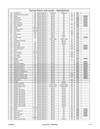|            |                                         |            |                            |                                  | Survey Points and Levels - Alphabetical |                           |                          |              |                                                      |
|------------|-----------------------------------------|------------|----------------------------|----------------------------------|-----------------------------------------|---------------------------|--------------------------|--------------|------------------------------------------------------|
| 412        | Hedge_Row                               | 412        | ByLevel ByLevel            |                                  | V-Hedge Line                            | V-Hedge Line              | S                        | 0000         |                                                      |
| 109        | Horizontal Control Station              | 100        | ByLevel                    | ByLevel                          | <b>ByLevel</b>                          | OFF                       | <b>DNI</b>               | 0000         |                                                      |
| 801        | House                                   | 801        | ByLevel ByLevel            |                                  | ByLevel                                 | OFF                       | SB                       | 0000         | <b>XSM010</b>                                        |
| 349        | Hydrant:fire                            | 349        | ByLevel ByLevel            |                                  | <b>ByLevel</b>                          | OFF                       | S                        | 0008         | <b>XSU005</b>                                        |
| 324        | Hydrant:water                           | 324        | ByLevel                    | <b>ByLevel</b>                   | ByLevel                                 | OFF                       | <b>DNI</b>               | 0008         | <b>XSU005</b>                                        |
| 279        | Inlet:curb                              | 279        | ByLevel                    | <b>ByLevel</b>                   | ByLevel                                 | OFF                       | S                        | 0013         | <b>XSD025</b>                                        |
| 339<br>316 | Inlet:standard                          | 339        | ByLevel                    | <b>ByLevel</b>                   | <b>ByLevel</b>                          | OFF                       | S                        | 0339         | <b>XSD025</b><br><b>XSD022</b>                       |
| 299        | Inlet:Type_1258<br>Inlet 542546         | 316<br>299 | <b>ByLevel</b>             | <b>ByLevel</b>                   | <b>ByLevel</b>                          | OFF<br>OFF                | <b>DNI</b><br>S          | 0316<br>0299 | <b>XSD023</b>                                        |
| 802        | Inside                                  | Default    | ByLevel<br>ByLevel         | <b>ByLevel</b><br><b>ByLevel</b> | <b>ByLevel</b><br><b>ByLevel</b>        | OFF                       | <b>DNI</b>               | 0000         |                                                      |
| 640        | Inspection Well                         | 640        | ByLevel                    | ByLevel                          | <b>ByLevel</b>                          | OFF                       | S                        | 0000         | $\overline{\phantom{a}}$                             |
| 803        | Intersection                            | Default    | ByLevel                    | <b>ByLevel</b>                   | <b>ByLevel</b>                          | OFF                       | <b>DNI</b>               | 0000         | $\overline{\phantom{a}}$                             |
| 804        | Iron                                    | 206        | ByLevel                    | <b>ByLevel</b>                   | <b>ByLevel</b>                          | OFF                       | DNI                      | 0804         | ÷.                                                   |
| 827        | Iron_W/Cap                              | 206        | ByLevel ByLevel            |                                  | <b>ByLevel</b>                          | OFF                       | <b>DNI</b>               | 0827         | $\overline{\phantom{a}}$                             |
| 577        | Island                                  | 577        | ByLevel                    | <b>ByLevel</b>                   | <b>ByLevel</b>                          | <b>ByLevel</b>            | SB                       | 0000         | $\overline{\phantom{a}}$                             |
| 280        | Junction Box                            | 280        | ByLevel                    | <b>ByLevel</b>                   | <b>ByLevel</b>                          | OFF                       | S                        | 0280         | <b>XSU006</b>                                        |
| 367        | Lake                                    | 5          | ByLevel                    | <b>ByLevel</b>                   | T-Water Edge                            | T-Water Edge              | SB                       | 0000         | ÷,                                                   |
| 271        | Landscape Perimeter                     | 8          | ByLevel                    | <b>ByLevel</b>                   | <b>ByLevel</b>                          | <b>ByLevel</b>            | SB                       | 0000         | $\overline{\phantom{a}}$                             |
| 370        | Levee Toe                               | 370        | ByLevel                    | <b>ByLevel</b>                   | ByLevel                                 | ByLevel                   | SB                       | 0000         | ÷.                                                   |
| 369        | Levee Top                               | 369        | ByLevel                    | ByLevel                          | ByLevel                                 | ByLevel                   | SB                       | 0000         | ÷,                                                   |
| 325        | Lift Station                            | 325        | ByLevel                    | <b>ByLevel</b>                   | <b>ByLevel</b>                          | OFF                       | <b>DNI</b>               | 0000         | <b>XSD023</b>                                        |
| 326        | Lift_Station:sanitary                   | 326        | ByLevel                    | <b>ByLevel</b>                   | <b>ByLevel</b>                          | OFF                       | <b>DNI</b>               | 0000         | <b>XSD023</b>                                        |
| 327        | Lift Station:storm                      | 327        | ByLevel                    | <b>ByLevel</b>                   | ByLevel                                 | OFF                       | DNI                      | 0000         | <b>XSD023</b>                                        |
| 266        | Light                                   | 266        | ByLevel                    | ByLevel                          | <b>ByLevel</b>                          | OFF                       | S                        | 0002         | $\overline{\phantom{a}}$                             |
| 348        | Line:crossing                           | Default    | ByLevel                    | <b>ByLevel</b>                   | <b>ByLevel</b>                          | OFF                       | <b>DNI</b>               | 0000         | $\overline{\phantom{a}}$                             |
| 626        | Low Concrete                            | 626        | ByLevel                    | <b>ByLevel</b>                   | <b>ByLevel</b>                          | OFF                       | DNI                      | 0000         | $\overline{\phantom{a}}$                             |
| 627<br>628 | Low Steel<br>Low Timber                 | 627<br>628 | ByLevel<br><b>ByLevel</b>  | <b>ByLevel</b><br><b>ByLevel</b> | <b>ByLevel</b><br><b>ByLevel</b>        | OFF<br>OFF                | <b>DNI</b><br><b>DNI</b> | 0000<br>0000 | $\blacksquare$                                       |
| 400        | Mailbox                                 | 400        | ByLevel                    | ByLevel                          | ByLevel                                 | OFF                       | S                        | 0400         | <b>XSF009</b>                                        |
| 401        | Mailbox_Turnout                         | 401        | ByLevel                    | <b>ByLevel</b>                   | <b>ByLevel</b>                          | OFF                       | SB                       | 0000         | ÷.                                                   |
| 351        | Manhole                                 | 351        | ByLevel                    | <b>ByLevel</b>                   | <b>ByLevel</b>                          | OFF                       | S                        | 0016         | <b>XSD026</b>                                        |
| 353        | Manhole_lid:grate                       | 353        | ByLevel                    | ByLevel                          | ByLevel                                 | OFF                       | S                        | 0016         | <b>XSD018</b>                                        |
| 380        | Manhole lid:sanitary                    | 380        | ByLevel                    | <b>ByLevel</b>                   | <b>ByLevel</b>                          | OFF                       | S                        | 0016         | <b>XSD018</b>                                        |
| 381        | Manhole lid:storm                       | 381        | ByLevel ByLevel            |                                  | <b>ByLevel</b>                          | OFF                       | S                        | 0016         | <b>XSD018</b>                                        |
| 315        | Manhole lid:Type 1                      | 315        | ByLevel                    | ByLevel                          | <b>ByLevel</b>                          | OFF                       | S                        | 0016         | <b>XSD018</b>                                        |
| 317        | Manhole lid:Type 8                      | 317        | ByLevel                    | <b>ByLevel</b>                   | <b>ByLevel</b>                          | OFF                       | S                        | 0016         | <b>XSD019</b>                                        |
| 352        | Manhole lid:unidentified                | 352        | ByLevel                    | <b>ByLevel</b>                   | <b>ByLevel</b>                          | OFF                       | S                        | 0016         | <b>XSD026</b>                                        |
| 345        | Manhole lid:vault                       | 345        | ByLevel                    | <b>ByLevel</b>                   | ByLevel                                 | OFF                       | <b>DNI</b>               | 0016         | <b>XSD018</b>                                        |
| 347        | Manhole lid:vault meter                 | 347        | ByLevel                    | <b>ByLevel</b>                   | <b>ByLevel</b>                          | OFF                       | DNI                      | 0016         | <b>XSD018</b>                                        |
| 346        | Manhole lid: vault valve                | 346        | ByLevel ByLevel            |                                  | <b>ByLevel</b>                          | OFF                       | DNI                      | 0016         | <b>XSD018</b>                                        |
| 382        | Manhole lid:vault water                 | 382        | ByLevel                    | <b>ByLevel</b>                   | ByLevel                                 | OFF                       | S                        | 0016         | <b>XSD018</b>                                        |
| 805        | Meanderline                             | 699        | ByLevel                    | <b>ByLevel</b>                   | <b>ByLevel</b>                          | OFF                       | DNI                      | 0000         |                                                      |
| 578        | Median                                  | 578        | ByLevel ByLevel            |                                  | ByLevel                                 | <b>ByLevel</b>            | SB                       | 0000         |                                                      |
| 542        | Median:corrigated<br>Median:white flush | 542<br>733 | ByLevel ByLevel            | ByLevel                          | ByLevel                                 | ByLevel<br>S-Double Solid | SB                       | 0000<br>0000 | $\overline{\phantom{a}}$<br>$\overline{\phantom{a}}$ |
| 733<br>734 | Median:yellow flush                     | 734        | ByLevel<br>ByLevel ByLevel |                                  | S-Double Solid<br>S-Double Solid        | S-Double Solid            | <b>DNI</b><br><b>DNI</b> | 0000         |                                                      |
| 565        | Median C-4                              | 565        | ByLevel ByLevel            |                                  | <b>ByLevel</b>                          | ByLevel                   | SB                       | 0000         | $\overline{\phantom{a}}$                             |
| 562        | Median M-2.06/Top                       | 562        | ByLevel                    | ByLevel                          | <b>ByLevel</b>                          | ByLevel                   | SB                       | 0000         | $\overline{\phantom{a}}$                             |
| 564        | Median M-2.12/Top                       | 564        | ByLevel ByLevel            |                                  | ByLevel                                 | ByLevel                   | SB                       | 0000         |                                                      |
| 544        | Median SB-6.06/Top                      | 544        | ByLevel ByLevel            |                                  | ByLevel                                 | ByLevel                   | SB                       | 0000         | $\omega$                                             |
| 546        | Median SB-6.12/Top                      | 546        | ByLevel ByLevel            |                                  | ByLevel                                 | ByLevel                   | SB                       | 0000         | ٠                                                    |
| 548        | Median_SB-6.24/Top                      | 548        | ByLevel ByLevel            |                                  | ByLevel                                 | ByLevel                   | SB                       | 0000         |                                                      |
| 550        | Median SB-9.06/Top                      | 550        | ByLevel ByLevel            |                                  | ByLevel                                 | ByLevel                   | SB                       | 0000         | $\omega$                                             |
| 551        | Median SB-9.12/Top                      | 551        | ByLevel ByLevel            |                                  | ByLevel                                 | ByLevel                   | SB                       | 0000         | ٠                                                    |
| 553        | Median_SB-9.24/Top                      | 553        | ByLevel ByLevel            |                                  | ByLevel                                 | ByLevel                   | SB                       | 0000         |                                                      |
| 555        | Median SM-6.06/Top                      | 555        | ByLevel ByLevel            |                                  | ByLevel                                 | ByLevel                   | SB                       | 0000         | $\equiv$                                             |
| 557        | Median SM-6.12/Top                      | 557        | ByLevel ByLevel            |                                  | <b>ByLevel</b>                          | ByLevel                   | SB                       | 0000         | $\overline{\phantom{a}}$                             |
| 559        | Median SM-6.24/Top                      | 559        | ByLevel ByLevel            |                                  | ByLevel                                 | ByLevel                   | SB                       | 0000         | $\overline{\phantom{a}}$                             |
| 806        | Metal                                   | Default    | ByLevel ByLevel            |                                  | <b>ByLevel</b>                          | OFF                       | <b>DNI</b>               | 0000         | ä,                                                   |
| 328        | Meter                                   | 328        | ByLevel                    | ByLevel                          | <b>ByLevel</b>                          | OFF                       | <b>DNI</b>               | 0018         | <b>XSU001</b>                                        |
| 330<br>329 | Meter:electrical<br>Meter:gas           | 330<br>329 | ByLevel ByLevel            | ByLevel                          | ByLevel                                 | OFF<br>OFF                | <b>DNI</b><br><b>DNI</b> | 0018<br>0018 | <b>XSU001</b><br><b>XSU001</b>                       |
| 332        | Meter:petroleum                         | 332        | ByLevel<br>ByLevel ByLevel |                                  | ByLevel<br>ByLevel                      | OFF                       | <b>DNI</b>               | 0018         | <b>XSU001</b>                                        |
| 331        | Meter:water                             | 331        | ByLevel ByLevel            |                                  | <b>ByLevel</b>                          | OFF                       | <b>DNI</b>               | 0018         | <b>XSU001</b>                                        |
| 807        | Midpoint                                | Default    | ByLevel ByLevel            |                                  | <b>ByLevel</b>                          | OFF                       | <b>DNI</b>               | 0000         | $\omega$                                             |
| 297        | Misc._Concrete_Slab                     | 699        | ByLevel ByLevel            |                                  | ByLevel                                 | ByLevel                   | SB                       | 0000         | $\sim$                                               |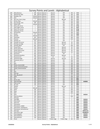|            |                                  |                                  |                                    |                                  | Survey Points and Levels - Alphabetical |                |                   |              |                                                      |
|------------|----------------------------------|----------------------------------|------------------------------------|----------------------------------|-----------------------------------------|----------------|-------------------|--------------|------------------------------------------------------|
| 699        | Miscellaneous                    | 699                              | ByLevel ByLevel                    |                                  | <b>ByLevel</b>                          | OFF            | <b>DNI</b>        | 0000         |                                                      |
| 794        | Monitoring Well                  | 699                              | ByLevel                            | ByLevel                          | ByLevel                                 | OFF            | <b>DNI</b>        | 0000         | $\blacksquare$                                       |
| 808        | Multiple Use                     | Default                          | ByLevel                            | ByLevel                          | ByLevel                                 | OFF            | DNI               | 0000         | ÷                                                    |
| 809        | Nail                             |                                  | Default ByLevel ByLevel            |                                  | ByLevel                                 | OFF            | DNI               | 0000         | $\overline{\phantom{a}}$                             |
| 226        | No Pass Paint Stripe             | 7                                | ByLevel                            | <b>ByLevel</b>                   | <b>ByLevel</b>                          | <b>ByLevel</b> | <b>DNI</b>        | 0000         | ÷,                                                   |
| 811        | Oil_&_Chips                      | Default                          | ByLevel                            | <b>ByLevel</b>                   | ByLevel                                 | OFF            | <b>DNI</b>        | 0000         | $\overline{\phantom{a}}$                             |
| 402        | Oil_Storage_Tank                 | 699                              | ByLevel                            | <b>ByLevel</b>                   | ByLevel                                 | OFF            | <b>DNI</b>        | 0000         | $\bar{\phantom{a}}$                                  |
| 810        | Oiled Earth                      | Default                          | ByLevel                            | <b>ByLevel</b>                   | ByLevel                                 | OFF            | <b>DNI</b>        | 0000         | $\overline{\phantom{a}}$                             |
| 736        | Only_Left_Arrow                  | 7                                | ByLevel                            | <b>ByLevel</b>                   | ByLevel                                 | OFF            | DNI               | 0736         | $\overline{\phantom{a}}$                             |
| 737        | Only Right Arrow                 | $\overline{7}$                   | ByLevel                            | <b>ByLevel</b>                   | <b>ByLevel</b>                          | OFF            | <b>DNI</b>        | 0737         | $\bar{\phantom{a}}$                                  |
| 738<br>739 | Only Thru Arrow                  | $\overline{7}$<br>$\overline{7}$ | ByLevel                            | <b>ByLevel</b><br><b>ByLevel</b> | <b>ByLevel</b><br>ByLevel               | OFF<br>OFF     | <b>DNI</b><br>DNI | 0738<br>0739 | $\overline{\phantom{a}}$<br>$\overline{\phantom{a}}$ |
| 812        | Opposing_Arrows<br>Ornamental    | Default                          | ByLevel<br>ByLevel                 | <b>ByLevel</b>                   | ByLevel                                 | OFF            | DNI               | 0000         | $\bar{\phantom{a}}$                                  |
| 277        | Outlet                           | 277                              | ByLevel                            | <b>ByLevel</b>                   | <b>ByLevel</b>                          | OFF            | <b>DNI</b>        | 0000         | $\overline{\phantom{a}}$                             |
| 813        | Outside                          | Default                          | <b>ByLevel</b>                     | ByLevel                          | <b>ByLevel</b>                          | OFF            | DNI               | 0000         | $\overline{\phantom{a}}$                             |
| 814        | Overhang                         | 814                              | ByLevel                            | <b>ByLevel</b>                   | <b>ByLevel</b>                          | OFF            | DNI               | 0000         | ä,                                                   |
| 815        | Painted                          | Default                          | ByLevel                            | <b>ByLevel</b>                   | <b>ByLevel</b>                          | OFF            | <b>DNI</b>        | 0000         | $\overline{\phantom{a}}$                             |
| 679        | Parking_Lot                      | 679                              | ByLevel                            | <b>ByLevel</b>                   | <b>ByLevel</b>                          | OFF            | S                 | 0000         | $\overline{\phantom{a}}$                             |
| 680        | Parking Lot:corner               | 679                              | ByLevel                            | <b>ByLevel</b>                   | ByLevel                                 | ByLevel        | SB                | 0000         | ÷.                                                   |
| 681        | Parking_Lot:edge                 | 679                              | ByLevel                            | <b>ByLevel</b>                   | ByLevel                                 | <b>ByLevel</b> | SB                | 0000         | $\overline{\phantom{a}}$                             |
| 682        | Parking_Meter                    | 682                              | ByLevel                            | <b>ByLevel</b>                   | <b>ByLevel</b>                          | OFF            | <b>DNI</b>        | 0000         | $\overline{\phantom{a}}$                             |
| 359        | Paved Ditch                      | 359                              | ByLevel                            | ByLevel                          | <b>ByLevel</b>                          | <b>ByLevel</b> | SB                | 0000         | ÷,                                                   |
| 360        | Paved Ditch:flat                 | 359                              | ByLevel                            | <b>ByLevel</b>                   | <b>ByLevel</b>                          | ByLevel        | SB                | 0000         | $\overline{\phantom{a}}$                             |
| 361        | Paved Ditch:round                | 359                              | ByLevel                            | <b>ByLevel</b>                   | <b>ByLevel</b>                          | ByLevel        | SB                | 0000         | $\overline{\phantom{a}}$                             |
| 362        | Paved Ditch:V                    | 359                              | ByLevel                            | <b>ByLevel</b>                   | <b>ByLevel</b>                          | <b>ByLevel</b> | SB                | 0000         | $\overline{\phantom{a}}$                             |
| 666        | Pavement                         | 666                              | ByLevel                            | ByLevel                          | ByLevel                                 | OFF            | S                 | 0000         | $\overline{\phantom{a}}$                             |
| 665        | <b>Pavement Breakline</b>        | 666                              | ByLevel                            | <b>ByLevel</b>                   | <b>ByLevel</b>                          | <b>ByLevel</b> | S                 | 0000         | ÷,                                                   |
| 768        | Pavement:C/L                     | 768                              | ByLevel                            | <b>ByLevel</b>                   | $L-C/L$                                 | $L-C/L$        | SB                | 0000         | ÷,                                                   |
| 668        | Pavement:edge                    | 668                              | ByLevel                            | ByLevel                          | ByLevel                                 | ByLevel        | SB                | 0000         | $\overline{\phantom{a}}$                             |
| 669        | Pavement Sta. #                  | 669                              | ByLevel                            | <b>ByLevel</b>                   | <b>ByLevel</b>                          | OFF            | <b>DNI</b>        | 0000         | $\overline{\phantom{a}}$                             |
| 816        | PC                               | 206                              | ByLevel                            | <b>ByLevel</b>                   | ByLevel                                 | OFF            | <b>DNI</b>        | 0000         | ÷,                                                   |
| 817        | PCC                              | 206                              | ByLevel                            | ByLevel                          | ByLevel                                 | OFF            | <b>DNI</b>        | 0000         | $\overline{\phantom{a}}$                             |
| 198        | Photo_Control:H&V                | 100                              | ByLevel                            | <b>ByLevel</b>                   | <b>ByLevel</b>                          | OFF            | <b>DNI</b>        | 0000         | $\overline{\phantom{a}}$                             |
| 196        | Photo Control: Horizontal        | 100                              | ByLevel                            | <b>ByLevel</b>                   | <b>ByLevel</b>                          | OFF            | <b>DNI</b>        | 0000         |                                                      |
| 197        | Photo Control:Vertical           | 100                              | ByLevel                            | <b>ByLevel</b>                   | ByLevel                                 | OFF            | <b>DNI</b>        | 0000         | $\overline{\phantom{a}}$                             |
| 820<br>629 | PI<br>Pier                       | 206<br>629                       | ByLevel                            | <b>ByLevel</b>                   | <b>ByLevel</b><br>ByLevel               | OFF<br>OFF     | DNI<br><b>DNI</b> | 0000<br>0000 | ÷.                                                   |
| 631        | Pier:top                         | 631                              | ByLevel<br>ByLevel                 | <b>ByLevel</b><br><b>ByLevel</b> | ByLevel                                 | OFF            | <b>DNI</b>        | 0000         | $\overline{\phantom{a}}$                             |
| 630        | Pier_@_ground                    | 630                              | ByLevel                            | <b>ByLevel</b>                   | <b>ByLevel</b>                          | OFF            | SB                | 0000         | ÷                                                    |
| 830        | Pillar                           | 699                              | ByLevel                            | <b>ByLevel</b>                   | <b>ByLevel</b>                          | OFF            | <b>DNI</b>        | 0000         | ä,                                                   |
| 821        | Pin                              | 206                              | ByLevel                            | <b>ByLevel</b>                   | <b>ByLevel</b>                          | OFF            | <b>DNI</b>        | 0821         | $\overline{\phantom{a}}$                             |
| 822        | Pinch Pipe                       | 206                              | ByLevel                            | <b>ByLevel</b>                   | <b>ByLevel</b>                          | OFF            | <b>DNI</b>        | 0822         |                                                      |
| 333        | Pipe:drainage                    | 333                              | ByLevel ByLevel                    |                                  | <b>ByLevel</b>                          | <b>OFF</b>     | <b>DNI</b>        | 0000         | <b>XSM003</b>                                        |
| 823        | Pipe:survey                      | 206                              | <b>ByLevel ByLevel</b>             |                                  | ByLevel                                 | OFF            | DNI               | 0823         | $\overline{\phantom{a}}$                             |
| 824        | PK Nail                          | 206                              | ByLevel ByLevel                    |                                  | <b>ByLevel</b>                          | OFF            | DNI               | 0824         | $\overline{\phantom{a}}$                             |
| 273        | Planter                          | 8                                | ByLevel ByLevel                    |                                  | ByLevel                                 | ByLevel        | SB                | 0000         |                                                      |
| 831        | Plastic                          | Default                          | ByLevel ByLevel                    |                                  | ByLevel                                 | OFF            | <b>DNI</b>        | 0000         | $\overline{\phantom{a}}$                             |
| 825        | Plate                            | 206                              | ByLevel ByLevel                    |                                  | <b>ByLevel</b>                          | OFF            | DNI               | 0000         | $\overline{\phantom{a}}$                             |
| 826        | Plug                             | 206                              | ByLevel ByLevel                    |                                  | ByLevel                                 | OFF            | DNI               | 0000         |                                                      |
| 829        | POC                              | 206                              | ByLevel ByLevel                    |                                  | ByLevel                                 | OFF            | DNI               | 0000         | ÷.                                                   |
| 249        | Pole                             | 249                              | ByLevel ByLevel                    |                                  | ByLevel                                 | OFF            | S                 | 0001         | <b>XSU014</b>                                        |
| 250        | Pole:foundation                  | 250                              | ByLevel ByLevel                    |                                  | ByLevel                                 | OFF            | DNI               | 0000         |                                                      |
| 251        | Pole:guy                         | 251                              | ByLevel ByLevel                    |                                  | ByLevel                                 | OFF            | S                 | 0001         | ä,                                                   |
| 252        | Pole:light                       | 252                              | ByLevel                            | ByLevel                          | ByLevel                                 | OFF            | S                 | 0002         | <b>XSU014</b>                                        |
| 261        | Pole:meter                       | 261                              | ByLevel ByLevel                    |                                  | ByLevel                                 | OFF            | S                 | 0001         | <b>XSU014</b>                                        |
| 216        | Pole:misc                        | 216                              | ByLevel ByLevel                    |                                  | ByLevel                                 | OFF<br>OFF     | S                 | 0001<br>0003 | <b>XSU014</b>                                        |
| 253<br>254 | Pole:power<br>Pole:power_w/light | 253<br>254                       | ByLevel ByLevel<br>ByLevel ByLevel |                                  | ByLevel<br>ByLevel                      | OFF            | S<br>S            | 0003         | <b>XSU014</b><br><b>XSU014</b>                       |
| 263        | Pole:power w/telephone           | 263                              | ByLevel ByLevel                    |                                  | ByLevel                                 | OFF            | S                 | 0003         | <b>XSU014</b>                                        |
| 255        | Pole:power w/transformer         | 255                              | ByLevel                            | ByLevel                          | ByLevel                                 | OFF            | S                 | 0003         | <b>XSU014</b>                                        |
| 256        | Pole:sign                        | 256                              | ByLevel                            | ByLevel                          | <b>ByLevel</b>                          | OFF            | S                 | 0001         | XSF011/12                                            |
| 262        | Pole:street_light                | 262                              | <b>ByLevel</b>                     | ByLevel                          | ByLevel                                 | OFF            | S                 | 0002         | XSU009/10                                            |
| 257        | Pole:telegraph                   | 257                              | ByLevel                            | <b>ByLevel</b>                   | <b>ByLevel</b>                          | OFF            | S                 | 0004         | <b>XSU014</b>                                        |
| 258        | Pole:telephone                   | 258                              | ByLevel ByLevel                    |                                  | <b>ByLevel</b>                          | OFF            | S                 | 0004         | <b>XSU014</b>                                        |
| 260        | Pole:television                  | 260                              | ByLevel ByLevel                    |                                  | ByLevel                                 | OFF            | S                 | 0004         | <b>XSU014</b>                                        |
| 366        | Pond                             | 5                                | ByLevel ByLevel                    |                                  | T-Water Edge                            | T-Water Edge   | SB                | 0000         |                                                      |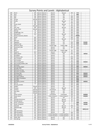|            |                                        |                       |                                           |                                  | Survey Points and Levels - Alphabetical |                       |                   |                      |                                                      |
|------------|----------------------------------------|-----------------------|-------------------------------------------|----------------------------------|-----------------------------------------|-----------------------|-------------------|----------------------|------------------------------------------------------|
| 609        | Porch                                  | 609                   | ByLevel ByLevel                           |                                  | <b>ByLevel</b>                          | <b>ByLevel</b>        | <b>DNI</b>        | 0000                 |                                                      |
| 264        | Post                                   | 264                   | ByLevel                                   | <b>ByLevel</b>                   | <b>ByLevel</b>                          | OFF                   | S                 | 0001                 | $\sim$                                               |
| 832        | POT                                    | 206                   | ByLevel ByLevel                           |                                  | ByLevel                                 | OFF                   | <b>DNI</b>        | 0000                 | $\overline{\phantom{a}}$                             |
| 833        | PRC                                    | 206                   | ByLevel ByLevel                           |                                  | ByLevel                                 | OFF                   | DNI               | 0000                 | $\overline{\phantom{a}}$                             |
| 834        | Private                                | Default               | ByLevel ByLevel                           |                                  | <b>ByLevel</b>                          | OFF                   | <b>DNI</b>        | 0000                 | ÷,                                                   |
| 603        | Profile                                | 603                   | ByLevel ByLevel                           |                                  | ByLevel                                 | <b>ByLevel</b>        | SB                | 0000                 | $\overline{\phantom{a}}$                             |
| 835        | PT                                     | 206                   | ByLevel ByLevel                           |                                  | ByLevel                                 | OFF                   | <b>DNI</b>        | 0000                 | $\mathcal{L}_{\mathcal{A}}$                          |
| 685        | Pump Island                            | 685                   | ByLevel ByLevel                           |                                  | <b>ByLevel</b>                          | ByLevel               | SB                | 0000                 | $\overline{\phantom{a}}$                             |
| 836        | <b>PVC</b>                             | Default               | ByLevel ByLevel                           |                                  | ByLevel                                 | OFF                   | <b>DNI</b>        | 0000                 | $\overline{\phantom{a}}$                             |
| 837        | PVC Pipe                               | 699                   | <b>ByLevel ByLevel</b>                    |                                  | ByLevel                                 | ByLevel               | <b>DNI</b>        | 0000                 | ä,                                                   |
| 290        | Radius Point                           | Default               | ByLevel                                   | <b>ByLevel</b>                   | ByLevel                                 | OFF                   | DNI               | 0000                 | $\overline{\phantom{a}}$                             |
| 451        | Rail:top                               | 38                    | ByLevel                                   | <b>ByLevel</b>                   | ByLevel                                 | OFF                   | DNI               | 0000                 | $\overline{\phantom{a}}$                             |
| 452        | Rail@Guage_Line                        | 38                    | ByLevel ByLevel                           |                                  | ByLevel                                 | OFF                   | DNI               | 0000                 | $\blacksquare$                                       |
| 450        | Railroad:C/L<br>Raised Pavement Marker | 450<br>$\overline{7}$ | ByLevel                                   | <b>ByLevel</b><br><b>ByLevel</b> | <b>ByLevel</b><br>ByLevel               | <b>ByLevel</b><br>OFF | DNI<br><b>DNI</b> | 0000<br><b>PM005</b> | $\overline{\phantom{a}}$<br>$\overline{\phantom{a}}$ |
| 740<br>839 | Ramp                                   | 699                   | ByLevel<br><b>ByLevel ByLevel</b>         |                                  | ByLevel                                 | OFF                   | <b>DNI</b>        | 0000                 | $\blacksquare$                                       |
| 840        | <b>RCP</b>                             | 840                   | ByLevel                                   | <b>ByLevel</b>                   | ByLevel                                 | ByLevel               | DNI               | 0000                 | $\overline{\phantom{a}}$                             |
| 841        | RCP:arch                               | 840                   | ByLevel                                   | <b>ByLevel</b>                   | ByLevel                                 | OFF                   | S                 | 0000                 | $\sim$                                               |
| 334        | Regulator                              | 334                   | ByLevel ByLevel                           |                                  | ByLevel                                 | OFF                   | <b>DNI</b>        | 0018                 | <b>XSU001</b>                                        |
| 335        | Regulator:gas                          | 335                   | ByLevel                                   | <b>ByLevel</b>                   | <b>ByLevel</b>                          | OFF                   | <b>DNI</b>        | 0018                 | <b>XSU001</b>                                        |
| 368        | Retension Basin                        | 368                   | ByLevel                                   | <b>ByLevel</b>                   | T-Water Edge                            | T-Water Edge          | SB                | 0000                 | $\bar{\phantom{a}}$                                  |
| 606        | Revetment Mat                          | 606                   | <b>ByLevel ByLevel</b>                    |                                  | ByLevel                                 | OFF                   | <b>DNI</b>        | 0000                 |                                                      |
| 605        | Riprap                                 | 605                   | ByLevel                                   | <b>ByLevel</b>                   | ByLevel                                 | OFF                   | S                 | 0000                 | $\overline{\phantom{a}}$                             |
| 365        | River                                  | 5                     | ByLevel                                   | <b>ByLevel</b>                   | T-Water Edge                            | T-Water Edge          | SB                | 0000                 | $\overline{\phantom{a}}$                             |
| 664        | Road:C/L                               | 664                   | ByLevel ByLevel                           |                                  | ByLevel                                 | <b>ByLevel</b>        | SB                | 0000                 |                                                      |
| 213        | ROW Marker                             | 213                   | ByLevel                                   | <b>ByLevel</b>                   | L-ROW-X                                 | OFF                   | <b>DNI</b>        | 0213                 | <b>XSF010</b>                                        |
| 447        | RR Ballast                             | 38                    | ByLevel                                   | <b>ByLevel</b>                   | <b>ByLevel</b>                          | OFF                   | S                 | 0000                 |                                                      |
| 460        | RR_Battery_Box                         | 38                    | ByLevel ByLevel                           |                                  | <b>ByLevel</b>                          | OFF                   | <b>DNI</b>        | 0000                 |                                                      |
| 457        | RR Crossbuck                           | 38                    | ByLevel                                   | <b>ByLevel</b>                   | ByLevel                                 | OFF                   | DNI               | 0000                 | $\overline{\phantom{a}}$                             |
| 453        | RR Crossing                            | 38                    | ByLevel                                   | <b>ByLevel</b>                   | ByLevel                                 | OFF                   | SB                | 0000                 | $\blacksquare$                                       |
| 466        | RR_Crossing_Gate                       | 38                    | ByLevel                                   | <b>ByLevel</b>                   | ByLevel                                 | OFF                   | <b>DNI</b>        | 0466                 | <b>XSU013</b>                                        |
| 448        | RR Crossing Rubber Mat                 | 38                    | <b>ByLevel</b>                            | <b>ByLevel</b>                   | ByLevel                                 | OFF                   | SB                | 0000                 | $\mathcal{L}_{\mathcal{A}}$                          |
| 464        | RR Derail                              | 38                    | ByLevel                                   | <b>ByLevel</b>                   | ByLevel                                 | OFF                   | <b>DNI</b>        | 0000                 |                                                      |
| 465        | RR_Flashing_Signal                     | 38                    | <b>ByLevel ByLevel</b>                    |                                  | ByLevel                                 | OFF                   | <b>DNI</b>        | 0465                 | <b>XSU013</b>                                        |
| 461        | RR Mile Post                           | 38                    | ByLevel                                   | <b>ByLevel</b>                   | ByLevel                                 | OFF                   | <b>DNI</b>        | 0000                 | $\sim$                                               |
| 463        | RR Point of Frog                       | 38                    | ByLevel                                   | <b>ByLevel</b>                   | ByLevel                                 | OFF                   | DNI               | 0000                 | $\overline{\phantom{a}}$                             |
| 462        | RR_Point_of_Switch                     | 38                    | <b>ByLevel ByLevel</b>                    |                                  | ByLevel                                 | OFF                   | <b>DNI</b>        | 0000                 |                                                      |
| 454        | RR Relay Box                           | 38                    | ByLevel ByLevel                           |                                  | <b>ByLevel</b>                          | OFF                   | <b>DNI</b>        | 0014                 | <b>XSU012</b>                                        |
| 456        | RR Semaphore                           | 38                    | ByLevel ByLevel                           |                                  | ByLevel                                 | OFF                   | DNI               | 0000                 | <b>XSU013</b>                                        |
| 458        | RR Signal Cabinet                      | 38                    | <b>ByLevel ByLevel</b>                    |                                  | <b>ByLevel</b>                          | OFF                   | <b>DNI</b>        | 0014                 | <b>XSU012</b>                                        |
| 459        | RR Signal Foundation                   | 38                    | ByLevel ByLevel                           |                                  | ByLevel                                 | OFF                   | <b>DNI</b>        | 0014                 | $\overline{\phantom{a}}$                             |
| 838        | RR Spike                               | 38<br>38              | <b>ByLevel ByLevel</b>                    |                                  | ByLevel                                 | OFF<br>OFF            | DNI               | 0838                 |                                                      |
| 455<br>449 | RR Switch Control<br>RR Tie            | 38                    | <b>ByLevel ByLevel</b><br>ByLevel ByLevel |                                  | ByLevel<br>ByLevel                      | OFF                   | <b>DNI</b><br>DNI | 0014<br>0000         | <b>XSU012</b><br>$\overline{\phantom{a}}$            |
| 741        | RR_Xing_Symbol                         | $\overline{7}$        | ByLevel ByLevel                           |                                  | <b>ByLevel</b>                          | OFF                   | DNI               | 0741                 | $\overline{\phantom{a}}$                             |
| 843        | Rubber                                 | Default               | ByLevel ByLevel                           |                                  | ByLevel                                 | OFF                   | <b>DNI</b>        | 0000                 |                                                      |
| 376        | Runway                                 | 699                   | ByLevel ByLevel                           |                                  | ByLevel                                 | ByLevel               | SB                | 0000                 | $\overline{\phantom{a}}$                             |
| 845        | Sanitary                               |                       | Default ByLevel ByLevel                   |                                  | D-SanSewer                              | <b>TRUE</b>           | DNI               | 0000                 | $\overline{\phantom{a}}$                             |
| 701        | See Book                               |                       | Default ByLevel ByLevel                   |                                  | ByLevel                                 | <b>OFF</b>            | DNI               | 0000                 |                                                      |
| 847        | Set                                    |                       | Default ByLevel ByLevel                   |                                  | ByLevel                                 | OFF                   | <b>DNI</b>        | 0000                 | ÷.                                                   |
| 337        | Sewer:sanitary                         | 337                   | ByLevel ByLevel                           |                                  | D-SanSewer                              | D-SanSewer            | DNI               | 0000                 | <b>XSM003</b>                                        |
| 338        | Sewer:storm                            | 338                   | ByLevel ByLevel                           |                                  | D-StormSewer-X                          | D-StormSewer-X        | DNI               | 0000                 | <b>XSM003</b>                                        |
| 848        | Shed                                   | 848                   | ByLevel ByLevel                           |                                  | <b>ByLevel</b>                          | OFF                   | SB                | 0000                 | $\sim$                                               |
| 649        | Shoulder:bituminous                    | 649                   | ByLevel ByLevel                           |                                  | ByLevel                                 | ByLevel               | SB                | 0000                 | $\overline{\phantom{a}}$                             |
| 674        | Shoulder:gravel                        | 674                   | ByLevel ByLevel                           |                                  | ByLevel                                 | ByLevel               | SB                | 0000                 |                                                      |
| 486        | Shrub: Deciduous                       | 486                   | ByLevel ByLevel                           |                                  | ByLevel                                 | OFF                   | S                 | 0009                 | XSV003                                               |
| 492        | Shrub:_Evergreen                       | 492                   | ByLevel ByLevel                           |                                  | ByLevel                                 | OFF                   | S                 | 0011                 | <b>XSV003</b>                                        |
| 291        | Sidewalk                               | 291                   | ByLevel ByLevel                           |                                  | ByLevel                                 | ByLevel               | DNI               | 0000                 | $\overline{\phantom{a}}$                             |
| 292        | Sidewalk:edge                          | 292                   | ByLevel ByLevel                           |                                  | ByLevel                                 | ByLevel               | SB                | 0000                 | L.                                                   |
| 425        | Sign                                   | 425                   | ByLevel ByLevel                           |                                  | ByLevel                                 | OFF                   | S                 | 0425                 | XSF011/12                                            |
| 423        | Sign:advertising                       | 425                   | ByLevel ByLevel                           |                                  | ByLevel                                 | OFF                   | S                 | 0423                 |                                                      |
| 424        | Sign:foundation                        | 425                   | ByLevel ByLevel                           |                                  | ByLevel                                 | OFF                   | <b>DNI</b>        | 0000                 | ÷,                                                   |
| 743        | Skip Dash:white                        | 743                   | ByLevel ByLevel                           |                                  | S-10/30 Skip/Dash                       | S-10/30 Skip/Dash     | DNI               | 0000                 | $\overline{\phantom{a}}$                             |
| 744        | Skip_Dash:yellow                       | 744                   | ByLevel ByLevel                           |                                  | S-10/30 Skip/Dash                       | S-10/30 Skip/Dash     | DNI               | 0000                 | $\overline{\phantom{a}}$                             |
| 632        | Slope Wall                             | 632                   | ByLevel ByLevel                           |                                  | <b>ByLevel</b>                          | OFF                   | SB                | 0000                 | $\overline{\phantom{a}}$                             |
| 217        | Soil_Boring                            | 217                   | ByLevel ByLevel                           |                                  | ByLevel                                 | OFF                   | DNI               | 0000                 | $\overline{\phantom{a}}$                             |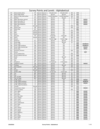|            |                              |                |                            |                    | Survey Points and Levels - Alphabetical |                   |                 |              |                                                      |
|------------|------------------------------|----------------|----------------------------|--------------------|-----------------------------------------|-------------------|-----------------|--------------|------------------------------------------------------|
| 747        | Solid Double:yellow          | 747            | ByLevel ByLevel            |                    | S-Double Solid                          | S-Double Solid    | <b>DNI</b>      | 0000         |                                                      |
| 748        | Solid Single:yellow          | 748            | ByLevel                    | ByLevel            | ByLevel                                 | ByLevel           | <b>DNI</b>      | 0000         | $\blacksquare$                                       |
| 731        | Solid_w/_Skip_Dash:yellow    | 731            | ByLevel ByLevel            |                    | S-10/30 Skip/Dash                       | S-10/30 Skip/Dash | <b>DNI</b>      | 0000         | $\overline{\phantom{a}}$                             |
| 372        | Spillway                     | 372            | ByLevel ByLevel            |                    | ByLevel                                 | <b>ByLevel</b>    | SB              | 0000         |                                                      |
| 281        | Splice Box:above ground      | 281            | ByLevel                    | ByLevel            | ByLevel                                 | OFF               | S               | 0017         | <b>XSU011</b>                                        |
| 284        | Splice Box:cable TV          | 284            | ByLevel                    | ByLevel            | ByLevel                                 | OFF               | S               | 0017         | <b>XSU011</b>                                        |
| 282        | Splice Box:electrical        | 282            | ByLevel                    | ByLevel            | ByLevel                                 | OFF               | S               | 0017         | <b>XSU011</b>                                        |
| 283        | Splice_Box:telephone         | 283            | ByLevel                    | ByLevel            | ByLevel                                 | OFF               | S               | 0017         | <b>XSU011</b>                                        |
| 757        | Split Rail                   | Default        | ByLevel                    | ByLevel            | ByLevel                                 | OFF               | <b>DNI</b>      | 0000         | $\sim$                                               |
| 849        | Square Rod                   | 206            | ByLevel                    | ByLevel            | <b>ByLevel</b>                          | OFF               | <b>DNI</b>      | 0000         | ä,                                                   |
| 641<br>851 | Stand Pipe                   | 641<br>Default | ByLevel                    | ByLevel<br>ByLevel | <b>ByLevel</b><br>ByLevel               | OFF<br>OFF        | S<br><b>DNI</b> | 0001<br>0000 | $\overline{\phantom{a}}$<br>$\overline{\phantom{a}}$ |
| 852        | Steel<br>Step                | Default        | ByLevel<br>ByLevel         | <b>ByLevel</b>     | ByLevel                                 | OFF               | DNI             | 0000         | ä,                                                   |
| 853        | Stone                        | Default        | ByLevel                    | ByLevel            | ByLevel                                 | OFF               | <b>DNI</b>      | 0000         | $\overline{\phantom{a}}$                             |
| 742        | Stop_Bar                     | 742            | ByLevel                    | ByLevel            | S-Stop Bar                              | S-Stop Bar        | DNI             | 0000         | $\blacksquare$                                       |
| 854        | Storm                        | Default        | ByLevel                    | ByLevel            | ByLevel                                 | OFF               | DNI             | 0000         | ä,                                                   |
| 364        | Stream                       | 5              | ByLevel                    | ByLevel            | T-Water Edge                            | T-Water Edge      | SB              | 0000         | $\overline{\phantom{a}}$                             |
| 671        | Street:C/L                   | 671            | ByLevel                    | <b>ByLevel</b>     | <b>ByLevel</b>                          | <b>ByLevel</b>    | SB              | 0000         | $\overline{\phantom{a}}$                             |
| 672        | Street:edge                  | 672            | ByLevel                    | <b>ByLevel</b>     | ByLevel                                 | ByLevel           | SB              | 0000         |                                                      |
| 267        | Street Light                 | 267            | ByLevel                    | <b>ByLevel</b>     | <b>ByLevel</b>                          | OFF               | S               | 0002         | XSU009/10                                            |
| 268        | Street Light:cantilever      | 268            | ByLevel                    | <b>ByLevel</b>     | <b>ByLevel</b>                          | OFF               | S               | 0002         | XSU009/10                                            |
| 269        | Street Light Control Box     | 269            | ByLevel                    | <b>ByLevel</b>     | ByLevel                                 | OFF               | S               | 0269         | <b>XSU012</b>                                        |
| 673        | Street Sign                  | 673            | ByLevel                    | <b>ByLevel</b>     | <b>ByLevel</b>                          | OFF               | S               | 0673         | <b>XSF011</b>                                        |
| 855        | Structure Entrance           | 699            | ByLevel                    | <b>ByLevel</b>     | <b>ByLevel</b>                          | OFF               | <b>DNI</b>      | 0000         | $\bar{\phantom{a}}$                                  |
| 407        | Stump                        | 407            | ByLevel                    | <b>ByLevel</b>     | ByLevel                                 | OFF               | S               | 0407         | 0407                                                 |
| 856        | Survey Marker:Disc           | 856            | ByLevel                    | <b>ByLevel</b>     | <b>ByLevel</b>                          | OFF               | <b>DNI</b>      | 0856         | $\overline{\phantom{a}}$                             |
| 818        | Survey_Marker:Harrison       | 818            | ByLevel                    | <b>ByLevel</b>     | <b>ByLevel</b>                          | OFF               | <b>DNI</b>      | 0818         | $\overline{\phantom{a}}$                             |
| 850        | Swale                        | 850            | ByLevel                    | ByLevel            | <b>ByLevel</b>                          | ByLevel           | SB              | 0000         | $\blacksquare$                                       |
| 426        | Tank                         | 699            | ByLevel                    | ByLevel            | ByLevel                                 | OFF               | <b>DNI</b>      | 0000         | $\overline{\phantom{a}}$                             |
| 340        | Tee                          | 340            | ByLevel                    | <b>ByLevel</b>     | <b>ByLevel</b>                          | OFF               | <b>DNI</b>      | 0000         | $\blacksquare$                                       |
| 857        | Telephone                    | 857            | ByLevel                    | ByLevel            | U-Telephone                             | U-Telephone       | <b>DNI</b>      | 0000         |                                                      |
| 298        | Telephone_Booth              | 298            | ByLevel                    | <b>ByLevel</b>     | ByLevel                                 | OFF               | <b>DNI</b>      | 0000         | <b>XSU012</b>                                        |
| 858        | Thalweg                      | 858            | ByLevel                    | <b>ByLevel</b>     | <b>ByLevel</b>                          | <b>ByLevel</b>    | <b>DNI</b>      | 0000         |                                                      |
| 745        | Thermoplastic                | Default        | ByLevel                    | ByLevel            | ByLevel                                 | OFF               | <b>DNI</b>      | 0000         |                                                      |
| 304        | Tile                         | 304            | ByLevel                    | <b>ByLevel</b>     | ByLevel                                 | OFF<br>OFF        | S               | 0000<br>0000 | $\overline{\phantom{a}}$<br>÷                        |
| 859<br>410 | Timber<br>Timber Edge        | Default<br>410 | ByLevel<br>ByLevel ByLevel | <b>ByLevel</b>     | <b>ByLevel</b><br>V-Tree Line           | V-Tree Line       | DNI<br>S        | 0000         |                                                      |
| 860        | Toe                          | 860            | ByLevel                    | <b>ByLevel</b>     | <b>ByLevel</b>                          | ByLevel           | SB              | 0000         | $\overline{\phantom{a}}$                             |
| 861        | Top                          | 861            | ByLevel                    | <b>ByLevel</b>     | <b>ByLevel</b>                          | <b>ByLevel</b>    | SB              | 0000         | $\overline{\phantom{a}}$                             |
| 862        | Top of Bank                  | 862            | ByLevel ByLevel            |                    | <b>ByLevel</b>                          | <b>ByLevel</b>    | SB              | 0000         | ÷,                                                   |
| 863        | Top_of_Slope                 | 863            | ByLevel                    | <b>ByLevel</b>     | <b>ByLevel</b>                          | <b>ByLevel</b>    | SB              | 0000         | L,                                                   |
| 220        | Traffic_Signal               | 11             | ByLevel                    | <b>ByLevel</b>     | <b>ByLevel</b>                          | OFF               | DNI             | 0220         | <b>XSU013</b>                                        |
| 222        | Traffic_Signal:cantilever    | 11             | ByLevel ByLevel            |                    | <b>ByLevel</b>                          | OFF               | <b>DNI</b>      | 0222         | XSU007/8                                             |
| 223        | Traffic_Signal:controller    | 11             | ByLevel ByLevel            |                    | <b>ByLevel</b>                          | OFF               | DNI             | 0014         | <b>XSU012</b>                                        |
| 221        | Traffic Signal: foundation   | 11             | ByLevel                    | ByLevel            | <b>ByLevel</b>                          | OFF               | <b>DNI</b>      | 0000         |                                                      |
| 770        | Transite                     | Default        | ByLevel ByLevel            |                    | <b>ByLevel</b>                          | OFF               | <b>DNI</b>      | 0000         |                                                      |
| 270        | Transmission Tower           | 270            | ByLevel                    | ByLevel            | ByLevel                                 | OFF               | S               | 0270         | <b>XSU014</b>                                        |
| 103        | Traverse Station             | 100            | ByLevel                    | ByLevel            | ByLevel                                 | OFF               | <b>DNI</b>      | 0000         |                                                      |
| 470        | Tree:_Apple                  | 405            | ByLevel ByLevel            |                    | ByLevel                                 | OFF               | S               | 0005         | <b>XSV007</b>                                        |
| 471        | Tree: Ash                    | 405            | ByLevel                    | ByLevel            | ByLevel                                 | OFF               | S               | 0005         | <b>XSV007</b>                                        |
| 487        | Tree: Birch                  | 405            | ByLevel                    | ByLevel            | <b>ByLevel</b>                          | OFF               | S               | 0005         | <b>XSV007</b>                                        |
| 472        | Tree: Box Elder              | 405            | ByLevel ByLevel            |                    | ByLevel                                 | OFF               | S               | 0005         | <b>XSV007</b>                                        |
| 473<br>490 | Tree: Catalpa<br>Tree: Cedar | 405<br>406     | ByLevel ByLevel<br>ByLevel | ByLevel            | ByLevel<br><b>ByLevel</b>               | OFF<br>OFF        | S               | 0005<br>0007 | <b>XSV007</b><br><b>XSV010</b>                       |
| 474        | Tree: Cherry                 | 405            | ByLevel ByLevel            |                    | ByLevel                                 | OFF               | S<br>S          | 0005         | <b>XSV007</b>                                        |
| 475        | Tree: Cottonwood             | 405            | ByLevel                    | ByLevel            | ByLevel                                 | OFF               | S               | 0005         | <b>XSV007</b>                                        |
| 476        | Tree: Dead                   | 476            | ByLevel                    | ByLevel            | <b>ByLevel</b>                          | OFF               | S               | 0010         | <b>XSV006</b>                                        |
| 477        | Tree: Elm                    | 405            | ByLevel                    | ByLevel            | ByLevel                                 | OFF               | S               | 0005         | <b>XSV007</b>                                        |
| 478        | Tree: Hickory                | 405            | <b>ByLevel</b>             | ByLevel            | ByLevel                                 | OFF               | S               | 0005         | <b>XSV007</b>                                        |
| 409        | Tree: Locust                 | 405            | ByLevel                    | ByLevel            | <b>ByLevel</b>                          | OFF               | S               | 0005         | <b>XSV007</b>                                        |
| 479        | Tree: Maple                  | 405            | ByLevel                    | ByLevel            | ByLevel                                 | OFF               | S               | 0005         | <b>XSV007</b>                                        |
| 480        | Tree: Mulberry               | 405            | ByLevel                    | ByLevel            | <b>ByLevel</b>                          | OFF               | S               | 0005         | <b>XSV007</b>                                        |
| 481        | Tree: Oak                    | 405            | ByLevel                    | ByLevel            | <b>ByLevel</b>                          | OFF               | S               | 0005         | <b>XSV007</b>                                        |
| 482        | Tree: Osage                  | 405            | ByLevel ByLevel            |                    | ByLevel                                 | OFF               | S               | 0005         | <b>XSV007</b>                                        |
| 483        | Tree: Other                  | 405            | ByLevel ByLevel            |                    | <b>ByLevel</b>                          | OFF               | S               | 0005         | <b>XSV007</b>                                        |
| 491        | Tree: Pine                   | 406            | ByLevel ByLevel            |                    | ByLevel                                 | OFF               | S               | 0006         | <b>XSV010</b>                                        |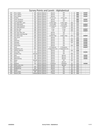|     | Survey Points and Levels - Alphabetical |                |                         |                |                   |                   |            |      |                          |
|-----|-----------------------------------------|----------------|-------------------------|----------------|-------------------|-------------------|------------|------|--------------------------|
| 467 | Tree:_Poplar                            | 405            | <b>ByLevel</b>          | <b>ByLevel</b> | ByLevel           | OFF               | S          | 0005 | <b>XSV007</b>            |
| 484 | Tree: Walnut                            | 405            | ByLevel ByLevel         |                | ByLevel           | OFF               | S          | 0005 | <b>XSV007</b>            |
| 485 | Tree: Willow                            | 405            | ByLevel ByLevel         |                | <b>ByLevel</b>    | OFF               | S          | 0005 | <b>XSV007</b>            |
| 468 | Treeline                                | 468            | ByLevel ByLevel         |                | V-Tree Line       | V-Tree Line       | S          | 0000 |                          |
| 405 | Trees Deciduous                         | 405            | ByLevel                 | ByLevel        | ByLevel           | OFF               | S          | 0005 | <b>XSV007</b>            |
| 406 | Trees Evergreen                         | 406            | ByLevel ByLevel         |                | <b>ByLevel</b>    | OFF               | S          | 0006 | XSV010                   |
| 289 | UG Cable:fiber optic                    | 289            | <b>ByLevel</b>          | <b>ByLevel</b> | U-Fiber Optic     | U-Fiber Optic     | <b>DNI</b> | 0000 |                          |
| 285 | UG Cable:power                          | 285            | ByLevel                 | <b>ByLevel</b> | U-UG Cable        | U-UG Cable        | DNI        | 0000 | <b>XSM007</b>            |
| 286 | UG Cable:telephone                      | 286            | ByLevel                 | ByLevel        | U-Telephone       | U-Telephone       | <b>DNI</b> | 0000 | <b>XSM007</b>            |
| 288 | UG Cable:television                     | 288            | ByLevel                 | <b>ByLevel</b> | U-CATV            | U-CATV            | <b>DNI</b> | 0000 |                          |
| 688 | UG Gas Pipe                             | 688            | ByLevel ByLevel         |                | U-Gas             | U-Gas             | <b>DNI</b> | 0000 | <b>XSM007</b>            |
| 690 | UG Oil Pipe                             | 690            | ByLevel ByLevel         |                | U-Oil             | U-Oil             | <b>DNI</b> | 0000 | <b>XSM007</b>            |
| 686 | UG Tank Filler Cap                      | 699            | ByLevel                 | <b>ByLevel</b> | ByLevel           | OFF               | S          | 0000 | $\mathbf{r}$             |
| 350 | UG Utility Warning Sign                 | 350            | ByLevel                 | <b>ByLevel</b> | <b>ByLevel</b>    | OFF               | S          | 0350 | $\omega$                 |
| 689 | UG Water Pipe                           | 689            | ByLevel ByLevel         |                | U-Water Pipe      | U-Water Pipe      | <b>DNI</b> | 0000 | <b>XSM007</b>            |
| 323 | Vain Drain                              | 699            | ByLevel                 | ByLevel        | ByLevel           | OFF               | S          | 0000 |                          |
| 341 | Valve                                   | 341            | ByLevel                 | ByLevel        | ByLevel           | <b>OFF</b>        | DNI        | 0018 | <b>XSU001</b>            |
| 342 | Valve:box                               | 342            | <b>ByLevel</b>          | ByLevel        | ByLevel           | OFF               | <b>DNI</b> | 0018 | <b>XSU001</b>            |
| 344 | Valve:gas                               | 344            | ByLevel ByLevel         |                | ByLevel           | OFF               | <b>DNI</b> | 0018 | <b>XSU001</b>            |
| 318 | Valve:test                              | 318            | ByLevel ByLevel         |                | ByLevel           | OFF               | S          | 0018 | <b>XSU001</b>            |
| 343 | Valve:water                             | 343            | ByLevel ByLevel         |                | <b>ByLevel</b>    | OFF               | <b>DNI</b> | 0018 | <b>XSU001</b>            |
| 287 | Vault                                   | 287            | ByLevel                 | <b>ByLevel</b> | U-Telephone       | U-Telephone       | S          | 0000 | <b>XSM007</b>            |
| 864 | Vegetation Line                         | 864            | ByLevel ByLevel         |                | V-Vegetation Line | V-Vegetation Line | S          | 0000 | $\sim$                   |
| 228 | Vehicle Detector                        | 11             | ByLevel ByLevel         |                | ByLevel           | OFF               | <b>DNI</b> | 0228 |                          |
| 354 | Vent Pipe                               | 354            | ByLevel                 | ByLevel        | ByLevel           | OFF               | S          | 0000 | <b>XSU001</b>            |
| 865 | Vitrified_Clay                          | Default        | <b>ByLevel</b>          | <b>ByLevel</b> | ByLevel           | OFF               | <b>DNI</b> | 0000 |                          |
| 294 | Wall                                    | 294            | ByLevel ByLevel         |                | ByLevel           | ByLevel           | <b>SB</b>  | 0000 | <b>XSF004</b>            |
| 295 | Wall:noise                              | 294            | ByLevel ByLevel         |                | ByLevel           | <b>ByLevel</b>    | <b>SB</b>  | 0000 | <b>XSF004</b>            |
| 296 | Wall:retaining                          | 294            | ByLevel ByLevel         |                | ByLevel           | ByLevel           | <b>SB</b>  | 0000 | <b>XSF004</b>            |
| 867 | Water                                   | Default        | <b>ByLevel</b>          | <b>ByLevel</b> | ByLevel           | OFF               | <b>DNI</b> | 0000 | $\sim$                   |
| 377 | Well                                    | 377            | ByLevel                 | <b>ByLevel</b> | ByLevel           | <b>ByLevel</b>    | S          | 0000 | $\sim$                   |
| 379 | Wetland                                 | 379            | ByLevel                 | ByLevel        | T-Wetland         | T-Wetland         | SB         | 0000 | <b>XSV004</b>            |
| 746 | White Lane Line                         | $\overline{7}$ | ByLevel                 | ByLevel        | ByLevel           | ByLevel           | <b>DNI</b> | 0000 |                          |
| 634 | Wing:bottom                             | 634            | ByLevel                 | ByLevel        | ByLevel           | OFF               | SB         | 0000 | $\blacksquare$           |
| 635 | Wingwall:top                            | 635            | ByLevel ByLevel         |                | ByLevel           | OFF               | SB         | 0000 | $\overline{\phantom{a}}$ |
| 869 | Wood                                    | Default        | <b>ByLevel</b>          | <b>ByLevel</b> | T-Fence           | OFF               | <b>DNI</b> | 0000 | $\overline{\phantom{a}}$ |
| 868 | Wood Stake                              | 699            | ByLevel ByLevel         |                | ByLevel           | OFF               | <b>DNI</b> | 0000 | $\overline{a}$           |
| 870 | Woven Wire                              |                | Default ByLevel ByLevel |                | T-Fence           | OFF               | <b>DNI</b> | 0000 | $\omega$                 |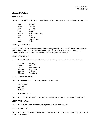## *CELL LIBRARIES*

#### **V8-LCDOT.cel**

The V8-LCDOT cell library is the most used library and has been organized into the following categories:

| Dnnn             | Drainage                 |
|------------------|--------------------------|
| Gnnn             | General                  |
| 00 <sub>nn</sub> | Generic                  |
| Hnnn             | Hatching                 |
| Lnnn             | Legal                    |
| PMnnn            | <b>Pavement Markings</b> |
| 0 <sub>nnn</sub> | Pcode                    |
| Snnn             | Signals                  |
| Tnnn             | Topographic              |
| Unnn             | Utility                  |

#### **LCDOT QUANTITIES.cel**

LCDOT QUANTITIES is the cell library required for doing quantities in GEOPAK. All cells are numbered with the appropriate IDOT pay code item number and use the LCDOT QUANTITY LEVELS. It is important to remember to attach the cell library before using the D&C Manager.

#### **LCDOT XSECTION.cel**

The LCDOT XSECTION cell library is for cross section drawings. They are categorized as follows:

| <b>XSDnnn</b> | Drainage      |
|---------------|---------------|
| <b>XSFnnn</b> | Features      |
| <b>XSMnnn</b> | Miscellaneous |
| <b>XSPnnn</b> | Pavement      |
| <b>XSUnnn</b> | Utilities     |
| <b>XSVnnn</b> | Vegetation    |

#### **LCDOT TRAFFIC SIGNS.cel**

The LCDOT TRAFFIC SIGNS cell library is organized as follows:

**Miscellaneous**  M Series R Series W Series

#### **LCDOT ELECTRICAL.cel**

The LCDOT ELECTRICAL cell library consists of the electrical cells that are very rarely (if ever) used.

#### **LCDOT ARCHPAT.cel**

The LCDOT ARCHPAT cell library consists of pattern cells and is seldom used.

#### **LCDOT SURVEY.cel**

The LCDOT SURVEY cell library consists of title block cells for survey plats and is generally used only by the survey department.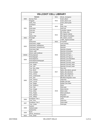|       | <b>V8-LCDOT CELL LIBRARY</b> |      |                             |
|-------|------------------------------|------|-----------------------------|
|       | Generic                      | 0011 | Shrub:_Evergreen            |
| 0000  | <b>Survey Point</b>          |      | Catch_Basin                 |
|       | Flagpole                     | 0012 | Catch_Basin:curb            |
|       | Gate_Post                    |      | Catch_Basin:grate           |
|       | Guardpost                    |      | Inlet                       |
|       | Pole                         | 0013 | Drop_Inlet                  |
| 0001  | Pole:meter                   |      | Inlet:curb                  |
|       | Pole:misc                    |      | <b>Controller Cabinet</b>   |
|       | Pole:sign                    |      | RR_Relay_Box                |
|       | Post                         |      | RR_Signal_Cabinet           |
|       | Stand_Pipe                   | 0014 | RR_Signal_Foundation        |
| 0002  | Pole:light                   |      | RR_Switch_Control           |
|       | Light                        |      | Traffic_Signal:controller   |
|       | Pole:power                   | 0015 | PI Symbol                   |
|       | Pole:power_w/light           |      | Line:crossing               |
|       | Pole:power_w/telephone       |      | Manhole                     |
| 0003  | Pole:power w/transformer     |      | Manhole                     |
|       | Pole:street_light            |      | Manhole_lid:grate           |
|       | Street_Light                 |      | Manhole_lid:sanitary        |
|       | Street_Light:cantilevar      |      | Manhole_lid:storm           |
| 0003A | Pole:proposed                | 0016 | Manhole_lid:Type_1          |
|       | Pole:telegraph               |      | Manhole_lid:Type_8          |
|       | Pole:telephone               |      | Manhole lid: unidentified   |
| 0004  | Pole:telephone/telegraph     |      | Manhole_lid:vault           |
|       | Pole:television              |      | Manhole_lid:vault_meter     |
|       | Tree:_Apple                  |      | Manhole_lid:vault_valve     |
|       | Tree: Ash                    |      | Manhole_lid:vault_water     |
|       | Tree:_Box_Elder              |      | Slice Box                   |
|       | Tree:_Birch                  |      | Splice_Box:above_ground     |
|       | Tree:_Catalpa                | 0017 | Splice_Box:electrical       |
|       | Tree:_Cherry                 |      | Splice_Box:telephone        |
|       | Tree: Cottonwood             |      | Splice_Box:cable_TV         |
|       | Tree:_Elm                    |      | BB, Meter, Regulator, Valve |
|       | Tree:_Hickory                |      | Valve:test                  |
| 0005  | Tree: Locust                 |      | Buffalo_Box:gas             |
|       | Tree:_Maple                  |      | Buffalo_Box:water           |
|       | Tree:_Mulberry               |      | Meter                       |
|       | Tree:_Oak                    |      | Meter:gas                   |
|       | Tree:_Osage                  |      | Meter:electric              |
|       | Tree:_Other                  | 0018 | Meter:water                 |
|       | Tree: Poplar                 |      | Meter:petroleum             |
|       | Tree:_Walnut                 |      | Regulator                   |
|       | Tree:_Willow                 |      | Regulator:gas               |
|       | Evergreen Tree 1             |      | Valve                       |
| 0006  | Tree:_Pine                   |      | Valve:box                   |
|       | Evergreen Tree 2             |      | Valve:water                 |
| 0007  | Tree:_Cedar                  |      | Valve:gas                   |
|       | Hydrant                      |      |                             |
| 0008  | Hydrant:water                |      |                             |
|       | Hydrant:fire                 |      |                             |
|       | Bush                         |      |                             |
| 0009  | Shrub:_Deciduous             |      |                             |
| 0010  | Tree:_Dead                   |      |                             |
|       |                              |      |                             |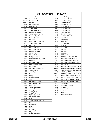|        | <b>V8-LCDOT CELL LIBRARY</b> |                   |                                        |
|--------|------------------------------|-------------------|----------------------------------------|
|        | Pcode                        |                   | <b>Drainage</b>                        |
| 0200   | Corner:Section               | D001              | B6.24 Outlet Modified Prop             |
| 0201NW | Corner: 1/4 NW               | D <sub>0</sub> 02 | B6.24 Outlet Prop                      |
| 0201SE | Corner: 1/4 SE               | D003              | <b>Culvert Template</b>                |
| 0206   | Corner: Property             | D004              | <b>Disapearing Ditch</b>               |
| 0213   | ROW_Marker                   | D <sub>005</sub>  | <b>Ditch Check Exist</b>               |
| 0220   | Traffic_Signal               | D006              | Ditch Check Prop                       |
| 0222   | Traffic_Signal:cantilever    | D007              | <b>Ditch Flow Exist</b>                |
| 0224   | Detector_Loop:small          | D008              | Ditch Flow Prop                        |
| 0225   | Combination_Mast_Arm         | D <sub>009</sub>  | Flow Line Symbol                       |
| 0227   | Flashing_Signal              | D011              | Inlet 542546 Double                    |
| 0228   | Vehicle_Detector             | D012              | Summit Exist                           |
| 0265   | Guy_Wire                     | D013              | Summit Prop                            |
| 0269   | Street_Light_Control_Box     | D014              | Swale Prop                             |
| 0270   | <b>Transmission Tower</b>    |                   | General                                |
| 0274   | Handhole                     | G001              | <b>Butt End</b>                        |
| 0275   | Handhole:double              | G002              | C/L Symbol                             |
| 0276   | Handhole:heavy_duty          | G003              | Grid Tick                              |
| 0278   | Detector_Loop:large          | G004              | <b>IDS A 18x24</b>                     |
| 0280   | Junction_Box                 | G005              | <b>IDS B 18x24</b>                     |
| 0299   | Inlet 542546                 | G006              | <b>IDS D 24x36</b>                     |
| 0309   | End Section:flared           | G007              | LCDOT Cover Sheet 11x17                |
| 0310   | End Section: flared w/grate  | G008              | LCDOT Cover Sheet 22x34                |
| 0311   | Headwall                     | G009              | LCDOT Detail Sheet 8 1/2x11            |
| 0316   | Inlet:Type_1258              | G010              | LCDOT Detail/Plan Sheet 11x17          |
| 0321   | Headwall:Pipe_Drain          | G011              | <b>LCDOT Logo</b>                      |
| 0339   | Inlet:standard               | G012              | LCDOT Monument Record 8 1/2x1          |
| 0350   | UG_Utility_Warning_Sign      | G013A             | LCDOT Plan/Profile Sheet 22x34-2       |
| 0355   | Grate:Type_11                | G013B             | LCDOT Plan/Profile Sheet 22x34-5       |
| 0356   | Grate:Type_24                | G019              | LCDOT Special Detail Sheet 8 1/2x      |
| 0400   | Mailbox                      | G019A             | LCDOT Special Detail Sheet 11x17       |
| 0407   | Stump                        | G020              | <b>LCDOT Traffic Title Sheet 24x36</b> |
| 0423   | Sign:advertising             | G021              | LCDOT Typical Section Sheet 22x3       |
| 0425   | Sign                         | G022H             | LCDOT XSection Sheet 22x34H            |
| 0465   | RR_Flashing_Signal           | G022V             | LCDOT XSection Sheet 22x34V            |
| 0466   | RR_Crossing_Gate             | G023              | North Arrow                            |
| 0673   | Street_Sign                  | G024              | Section Identification                 |
| 0735   | Combination_Arrow            | G025              | Terminator                             |
| 0736   | Only_Left_Arrow              | G026              | Terminator 2                           |
| 0737   | Only_Right_Arrow             | G027              | <b>Traffic Graphic</b>                 |
| 0738   | Only_Thru_Arrow              | G028              | Match Line                             |
| 0739   | Opposing_Arrows              | G029              | <b>LCDOT North Arrow</b>               |
| 0741   | RR_Xing_Symbol               |                   |                                        |
| 0804   | Iron                         |                   |                                        |
| 0818   | Survey_Marker:Harrison       |                   |                                        |
| 0821   | Pin                          |                   |                                        |
| 0822   | Pinch_Pipe                   |                   |                                        |
| 0823   | Pipe                         |                   |                                        |
| 0824   | PK_Nail                      |                   |                                        |
| 0827   | Iron W/Cap                   |                   |                                        |
| 0838   | RR_Spike                     |                   |                                        |
| 0856   | Survey_Marker:Disc           |                   |                                        |
|        |                              |                   |                                        |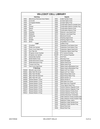|                   | <b>V8-LCDOT CELL LIBRARY</b>    |       |                                         |
|-------------------|---------------------------------|-------|-----------------------------------------|
|                   | <b>Hatching</b>                 |       | <b>Signals</b>                          |
| H <sub>001</sub>  | Bituminous Removal Area Pattern | S001  | Cable Number Exist                      |
| H <sub>0</sub> 02 | Concrete                        | S003  | <b>Conduit Splice Exist</b>             |
| H003              | <b>Corrigated Median</b>        | S004  | <b>Conduit Splice Prop</b>              |
| H004              | Dot                             | S005  | <b>Confirmation Beacon Double Exist</b> |
| H <sub>005</sub>  | Gravel                          | S006  | Confirmation Beacon Double Prop         |
| H006              | Marsh                           | S007  | <b>Confirmation Beacon Exist</b>        |
| H007              | Sand                            | S008  | Confirmation Beacon Prop                |
| H <sub>0</sub> 08 | Seeding                         | S009  | Detector Loop Quad Exist                |
| H <sub>0</sub> 09 | Wetland                         | S010  | Detector Loop Quad Prop                 |
| H010              | Widening                        | S011  | <b>Electrical Ground</b>                |
| H011              | Wood                            | S012  | <b>Flashing Signal Exist</b>            |
| H012              | Rubble                          | S013  | Flashing Signal Prop                    |
| H <sub>0</sub> 13 | <b>Brick</b>                    | S014  | Foundation A or C Exist                 |
|                   | Legal                           | S015  | Gulfbox Exist                           |
| L001              | Crowfoot                        | S016  | Pedestrian Push Button Exist            |
| L002              | Field Line Symbol               | S017  | Pedestrian Push Button Prop             |
| L003              | Horiz Curve Data Exist          | S018  | Pedestrian Signal Head Exist            |
| L004              | Iron Pipe Set                   | S019  | Pedestrian Signal Head Prop             |
| L005              | <b>Property Corner Symbol</b>   | S020E | PTZ Camera Existing                     |
| L006              | <b>Property Line Symbol</b>     | S020P | PTZ Camera Proposed                     |
| L007              | Ownership Symbol                | S021  | <b>Pull Point</b>                       |
| L008              | <b>ROW Marker Exist</b>         | S022  | Raceway Exist                           |
| L009              | <b>ROW Monument Future</b>      | S023  | Signal Backplate                        |
| L010              | <b>ROW Monument Prop</b>        | S024  | Signal Head Exist                       |
| L011              | Transit Line Prop               | S025  | Signal Head Prop                        |
| L012              | Vert Curve Data Exist           | S026  | Signal Head w/Backplate Exist           |
|                   | P Markings                      | S027  | Signal Head w/Backplate Prop            |
| <b>PM000</b>      | <b>Bicycle Lane Arrow</b>       | S028  | Signal Left Turn Green                  |
| <b>PM001</b>      | <b>Bike Path PM Arrow</b>       | S029  | Signal Left Turn Yellow                 |
| <b>PM002</b>      | <b>Bike Path PM Bike</b>        | S030  | Signal Ramp Meter Exist                 |
| PM003             | Bike Path PM Diamond            | S031  | Signal Ramp Meter Prop                  |
| PM004             | <b>Bike Path PM Lane</b>        | S032  | Signal Section 12                       |
| <b>PM005</b>      | <b>Raised Marker 1 Exist</b>    | S033  | Signal Section 8                        |
| <b>PM006</b>      | Raised Marker 1 Prop            | S034  | Steel Mast Arm Exist                    |
| <b>PM007</b>      | Raised Marker 2 Exist           | S035  | Steel Mast Arm Proposed                 |
| <b>PM008</b>      | Raised Marker 2 Prop            | S036  | Temp Signal Head Prop                   |
| <b>PM009</b>      | Raised Marker 3 Exist           | S037  | Vehicle Detector Magnetic Exist         |
| PM010             | Raised Marker 3 Prop            | S038  | Vehicle Detector Magnetic Prop          |
| PM011             | Raised Marker 4 Exist           | S039  | Vehicle Detector Priority Exist         |
| PM012             | Raised Marker 4 Prop            | S040  | Vehicle Detector Priority Prop          |
|                   |                                 | S041  | Vehicle Movement Terminator             |
|                   |                                 | S042  | Video Detector Priority Double Exist    |
|                   |                                 | S043  | Video Detector Priority Double Prop     |
|                   |                                 | S044  | Walk/Don't Walk Letters                 |
|                   |                                 | S045  | Walk/Don't Walk Symbol Exist            |
|                   |                                 | S046  | Walk/Don't Walk Symbol Prop             |
|                   |                                 | S047  | Wood Pole Exist                         |
|                   |                                 | S048  | Wood Pole Prop                          |
|                   |                                 |       |                                         |
|                   |                                 |       |                                         |
|                   |                                 |       |                                         |
|                   |                                 |       |                                         |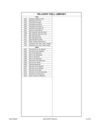|      | <b>V8-LCDOT CELL LIBRARY</b>       |  |
|------|------------------------------------|--|
|      | <b>Topo</b>                        |  |
| T001 | Earthwork Balance Point            |  |
| T002 | <b>Earthwork End Point</b>         |  |
| T003 | <b>Guardrail Post-Steel</b>        |  |
| T004 | Guardrail Post-Wood                |  |
| T005 | Guardrail Terminator LT            |  |
| T006 | <b>Guardrail Terminator RT</b>     |  |
| T007 | Levee or Noise Barrier             |  |
| T008 | RR Cantilever Mast Arm Exist       |  |
| T009 | RR Cantilever Mast Arm Prop        |  |
| T010 | RR Xing Gate Prop                  |  |
| T011 | RR Xing Signal Prop                |  |
| T012 | Spot Elevation Symbol              |  |
| T013 | Water Surface Symbol Exist         |  |
| T014 | Guardrail Term Type 1 Spec Tangent |  |
| T015 | Guardrail Term Type 1 Spec Flared  |  |
|      | <b>Utility</b>                     |  |
| U001 | Frame/Grate to be Adjusted         |  |
| U002 | Frame/Lid to be Adjusted           |  |
| U003 | <b>Guy Pole-Utility Exist</b>      |  |
| U004 | Item to be Abandoned               |  |
| U005 | Item to be Moved                   |  |
| U006 |                                    |  |
|      | Item to be Relocated               |  |
| U007 | Powerline Pole-Utility Exist       |  |
| U008 | Service Box Adjust                 |  |
| U009 | Special Adjustment                 |  |
| U010 | Structure to be Adjusted           |  |
| U011 | Structure to be Cleaned            |  |
| U012 | Structure to be Filled             |  |
| U013 | Structure to be Reconstructed      |  |
| U014 | Structure to be Removed            |  |
| U015 | Valve Vault to be Adjusted         |  |
|      |                                    |  |
|      |                                    |  |
|      |                                    |  |
|      |                                    |  |
|      |                                    |  |
|      |                                    |  |
|      |                                    |  |
|      |                                    |  |
|      |                                    |  |
|      |                                    |  |
|      |                                    |  |
|      |                                    |  |
|      |                                    |  |
|      |                                    |  |
|      |                                    |  |
|      |                                    |  |
|      |                                    |  |
|      |                                    |  |
|      |                                    |  |
|      |                                    |  |
|      |                                    |  |
|      |                                    |  |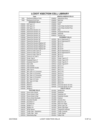| <b>LCDOT XSECTION CELL LIBRARY</b> |                                   |               |                            |  |  |
|------------------------------------|-----------------------------------|---------------|----------------------------|--|--|
|                                    | <b>Topo</b>                       |               | <b>MISCELLANEOUS CELLS</b> |  |  |
| T001                               | <b>Earthwork Balance Point</b>    | <b>XSM001</b> | Adjustment Ring            |  |  |
| T002                               | <b>Earthwork End Point</b>        | <b>XSM002</b> | <b>Butt End</b>            |  |  |
|                                    | <b>DRAINAGE CELLS</b>             | <b>XSM003</b> | Culvert                    |  |  |
| XSD001                             | CB Type A 4'                      | XSM004        | <b>EOP</b>                 |  |  |
| <b>XSD002</b>                      | CB Type A 5'                      | XSM005        | Lane Stripe Symbol Exist   |  |  |
| XSD003                             | CB Type C 2'                      | <b>XSM006</b> | Lane Stripe Symbol Prop    |  |  |
| XSD004                             | Flared End Section 12"            | <b>XSM007</b> | Pipe                       |  |  |
| XSD005                             | Flared End Section 15"            | <b>XSM008</b> | <b>Proposed Removal</b>    |  |  |
| XSD006                             | Flared End Section 18"            | XSM009        | Sidewalk                   |  |  |
| XSD007                             | Flared End Section 24"            | <b>XSM010</b> | <b>Vertical Line</b>       |  |  |
| XSD008                             | Flared End Section 30"            |               | <b>PAVEMENT CELLS</b>      |  |  |
| XSD009                             | Flared End Section 36"            | XSP001        | B6.12 Depressed LT         |  |  |
| XSD010                             | Flared End Section 48"            | <b>XSP002</b> | B6.12 Depressed RT         |  |  |
| XSD011                             | Flared End Section Elliptical 18" | XSP003        | <b>B6.12 LT</b>            |  |  |
| XSD012                             | Flared End Section Elliptical 24" | XSP004        | <b>B6.12 RT</b>            |  |  |
| XSD013                             | Flared End Section Elliptical 30" | XSP005        | <b>B6.18 LT</b>            |  |  |
| XSD014                             | Flared End Section Elliptical 36" | XSP006        | <b>B6.18 RT</b>            |  |  |
| XSD015                             | Frame & Grate Type 10             | XSP007        | B6.24 Depressed LT         |  |  |
| XSD016                             | Frame & Grate Type 11             | XSP008        | B6.24 Depressed RT         |  |  |
| XSD017                             | Frame & Grate Type 24             | XSP009        | <b>B6.24 LT</b>            |  |  |
| XSD018                             | Frame & Lid Type 1                | <b>XSP010</b> | <b>B6.24 RT</b>            |  |  |
| XSD019                             | Grate Type 8                      | XSP011        | Gutter Type A LT           |  |  |
| XSD020                             | <b>Headwall Drain LT</b>          | XSP012        | Gutter Type A RT           |  |  |
| <b>XSD021</b>                      | <b>Headwall Drain RT</b>          | XSP013        | Gutter Type B LT           |  |  |
| <b>XSD022</b>                      | <b>Inlet 1258</b>                 | XSP014        | Gutter Type B RT           |  |  |
| XSD023                             | Inlet 542546                      | <b>XSP015</b> | M2.12 LT                   |  |  |
| XSD024                             | Inlet 542546 Double               | XSP016        | M2.12 RT                   |  |  |
| XSD025                             | Inlet Type A                      | XSP017        | M4.12 LT                   |  |  |
| XSD026                             | MH Type A 4' Concentric           | XSP018        | M4.12 RT                   |  |  |
| XSD027                             | MH Type A 4' Eccentric            | XSP019        | M4.24 LT                   |  |  |
| XSD028                             | MH Type A 5' Concentric           | XSP020        | M4.24 RT                   |  |  |
| XSD029                             | MH Type A 5' Eccentric            | XSP021        | M6.12 LT                   |  |  |
| XSD030                             | MH Type A 6' Cone                 | XSP022        | M6.12 RT                   |  |  |
| XSD031                             | MH Type A 6' Slab                 | XSP023        | M6.24 LT                   |  |  |
| XSD032                             | RDCB 4                            | XSP024        | M6.24 RT                   |  |  |
| XSD033                             | RDCB <sub>5</sub>                 | XSP025        | Concrete Barrier 32 Inch   |  |  |
| XSD034                             | RDMH 4'                           | <b>XSP026</b> | Concrete Barrier 42 Inch   |  |  |
| XSD035                             | RDMH <sub>5</sub>                 |               | <b>UTILITY CELLS</b>       |  |  |
|                                    | <b>FEATURE CELLS</b>              | <b>XSU001</b> | <b>Buffalo Box</b>         |  |  |
| <b>XSF001</b>                      | Fence Wire Strand                 | <b>XSU002</b> | Handhole                   |  |  |
| <b>XSF002</b>                      | Fence Wood 2-Rail                 | <b>XSU003</b> | Handhole HD                |  |  |
| <b>XSF003</b>                      | Fence Wood 3-Rail                 | <b>XSU004</b> | Handhole Double            |  |  |
| <b>XSF004</b>                      | Fence Wood Stockade               | <b>XSU005</b> | Hydrant                    |  |  |
| <b>XSF005</b>                      | <b>Guardrail Double</b>           | <b>XSU006</b> | Junction Box               |  |  |
| <b>XSF006</b>                      | Guardrail LT                      | XSU007        | Mast Arm Left              |  |  |
| XSF007                             | <b>Guardrail RT</b>               | <b>XSU008</b> | Mast Arm Right             |  |  |
| XSF008                             | Mailbox LT                        | <b>XSU009</b> | Street Light Left          |  |  |
| XSF009                             | Mailbox RT                        | <b>XSU010</b> | <b>Street Light Right</b>  |  |  |
| XSF010                             | <b>ROW Marker</b>                 | <b>XSU011</b> | Telephone Pedestal         |  |  |
| XSF011                             | Traffic Sign - Regulatory         | <b>XSU012</b> | <b>Traffic Controler</b>   |  |  |
| <b>XSF012</b>                      | Traffic Sign - Stop               | <b>XSU013</b> | <b>Traffic Signal</b>      |  |  |
| <b>XSF013</b>                      | <b>Advertising Sign</b>           | <b>XSU014</b> | <b>Utility Pole</b>        |  |  |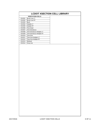| <b>VEGETATION CELLS</b><br><b>XSV001</b><br>Brush Line LT<br><b>XSV002</b><br><b>Brush Line RT</b><br>XSV003<br>Bush<br><b>XSV004</b><br>Cattails LT<br>Cattails RT<br><b>XSV005</b><br><b>XSV006</b><br>Tree-Dead<br>Tree-Deciduous<br><b>XSV007</b><br>Tree-Deciduous Multiple LT<br><b>XSV008</b><br><b>XSV009</b><br>Tree-Deciduous Multiple RT<br>Tree-Pine<br><b>XSV010</b><br>Tree-Pine Multiple LT<br><b>XSV011</b><br>Tree-Pine Multiple RT<br><b>XSV012</b><br><b>XSV013</b><br>Wetland<br><b>XSV014</b><br>Crop Line |  | <b>LCDOT XSECTION CELL LIBRARY</b> |
|---------------------------------------------------------------------------------------------------------------------------------------------------------------------------------------------------------------------------------------------------------------------------------------------------------------------------------------------------------------------------------------------------------------------------------------------------------------------------------------------------------------------------------|--|------------------------------------|
|                                                                                                                                                                                                                                                                                                                                                                                                                                                                                                                                 |  |                                    |
|                                                                                                                                                                                                                                                                                                                                                                                                                                                                                                                                 |  |                                    |
|                                                                                                                                                                                                                                                                                                                                                                                                                                                                                                                                 |  |                                    |
|                                                                                                                                                                                                                                                                                                                                                                                                                                                                                                                                 |  |                                    |
|                                                                                                                                                                                                                                                                                                                                                                                                                                                                                                                                 |  |                                    |
|                                                                                                                                                                                                                                                                                                                                                                                                                                                                                                                                 |  |                                    |
|                                                                                                                                                                                                                                                                                                                                                                                                                                                                                                                                 |  |                                    |
|                                                                                                                                                                                                                                                                                                                                                                                                                                                                                                                                 |  |                                    |
|                                                                                                                                                                                                                                                                                                                                                                                                                                                                                                                                 |  |                                    |
|                                                                                                                                                                                                                                                                                                                                                                                                                                                                                                                                 |  |                                    |
|                                                                                                                                                                                                                                                                                                                                                                                                                                                                                                                                 |  |                                    |
|                                                                                                                                                                                                                                                                                                                                                                                                                                                                                                                                 |  |                                    |
|                                                                                                                                                                                                                                                                                                                                                                                                                                                                                                                                 |  |                                    |
|                                                                                                                                                                                                                                                                                                                                                                                                                                                                                                                                 |  |                                    |
|                                                                                                                                                                                                                                                                                                                                                                                                                                                                                                                                 |  |                                    |
|                                                                                                                                                                                                                                                                                                                                                                                                                                                                                                                                 |  |                                    |
|                                                                                                                                                                                                                                                                                                                                                                                                                                                                                                                                 |  |                                    |
|                                                                                                                                                                                                                                                                                                                                                                                                                                                                                                                                 |  |                                    |
|                                                                                                                                                                                                                                                                                                                                                                                                                                                                                                                                 |  |                                    |
|                                                                                                                                                                                                                                                                                                                                                                                                                                                                                                                                 |  |                                    |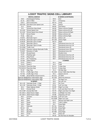| <b>LCDOT TRAFFIC SIGNS CELL LIBRARY</b> |                                       |                      |                                    |  |  |
|-----------------------------------------|---------------------------------------|----------------------|------------------------------------|--|--|
|                                         | <b>MISCELLANEOUS</b>                  |                      | <b>M SERIES (CONTINUED)</b>        |  |  |
| D9-6                                    | Handicapped Parking                   | M4-6                 | End                                |  |  |
| <b>DL-01</b>                            | <b>Next X Miles</b>                   | M4-7                 | Temporary                          |  |  |
| $G20-2$                                 | <b>End Construction</b>               | M4-7A                | Temp                               |  |  |
| G20-I102                                | End Work Zone Speed Limit             | $M4-8$               | Detour                             |  |  |
| $S1-1$                                  | School                                | M4-8A                | <b>End Detour</b>                  |  |  |
| $S3-1$                                  | School Bus Stop Ahead                 | M4-9A                | Detour w/Arrow Straight            |  |  |
| S4-1100                                 | School Speed Limit                    | M4-9B                | Detour w/Arrow 90 Left             |  |  |
| S4-1102                                 | School Speed Zone Ahead               | M4-9C                | Detour w/Arrow 90 Right            |  |  |
| TS-AP                                   | <b>Arrow Pointer</b>                  | M4-9D                | Detour w/Arrow Left                |  |  |
| TS-BL                                   | <b>Bike Law</b>                       | M4-9E                | Detour w/Arrow Right               |  |  |
| TS-BT2                                  | Barricade Type II                     | M4-10L               | Detour Left                        |  |  |
| TS-BT2A                                 | Barricade Type II w/Arrow             | M4-10R               | Detour Right                       |  |  |
| TS-BT2P                                 | Barricade Type II Profile             | M4-14                | Begin                              |  |  |
| TS-BT3                                  | Barricade Type III                    | M5-1                 | Directional Arrow Aux L/R          |  |  |
| TS-BT3P                                 | <b>Barricade Type III Profile</b>     | M5-2                 | Directional Arrow Aux L/R          |  |  |
| <b>TS-CONE</b>                          | <b>Traffic Cone</b>                   | M6-1                 | Directional Arrow L/R              |  |  |
| TS-DIB-P                                | Direction Indicator Barricade Profile | M6-2                 | Directional Arrow L/R/U/D          |  |  |
| TS-DOT                                  | <b>Direction of Traffic</b>           | M6-3                 | Directional Arrow U/D              |  |  |
| TS-EB                                   | <b>Except Buses</b>                   | M6-4                 | Double Arrow                       |  |  |
| TS-FL                                   | Flashing Light                        | M6-5                 | Directional Arrow Aux L/R          |  |  |
| TS-FP                                   | <b>Flag Person</b>                    | M6-6                 | Directional Arrow Aux L/R          |  |  |
| TS-NT                                   | No Trespassing                        | M6-7                 | Directional Arrow Aux L/R          |  |  |
|                                         |                                       |                      | <b>R SERIES</b>                    |  |  |
| TS-OM                                   | Object Marker<br>Panel 1              |                      |                                    |  |  |
| TS-P1<br>TS-P2                          | Panel 2                               | R1-1                 | Stop<br>Yield                      |  |  |
|                                         |                                       | R <sub>1</sub> -2    |                                    |  |  |
| TS-PACE-1                               | Pace Bus Stop                         | R <sub>1</sub> -3-2  | 2-Way Stop                         |  |  |
| TS-PACE-2                               | Pace Bus Stop                         | R <sub>1</sub> -3-4  | 4-Way Stop                         |  |  |
| TS-SF                                   | Sign Flag                             | R <sub>1</sub> -4    | All Way Stop                       |  |  |
| TS-TS                                   | Traffic Sign 1 Post                   | R <sub>1</sub> -1100 | <b>Cross Traffic Does Not Stop</b> |  |  |
| TS-TS2                                  | Traffic Sign 2 Post                   | R <sub>2</sub> -1    | Speed Limit XX                     |  |  |
| TS-WBC                                  | Road Will Be Closed From/To           | R <sub>2</sub> -1101 | XX MPH                             |  |  |
|                                         | Special 4836 Detour Information Sign  | R2-1106              | \$150 Fine Minimum                 |  |  |
|                                         | Special 6030 Detour Information Sign  | R3-1                 | No Right Turn                      |  |  |
|                                         | <b>M SERIES</b>                       | R3-2                 | No Left Turn                       |  |  |
| M1-1-2D                                 | Interstate Route - 2 Digit            | R3-3                 | No Turns                           |  |  |
| M1-1-3D                                 | Interstate Route - 3 Digit            | R3-5L                | Left Turn Only                     |  |  |
| M1-4                                    | State Highway Shield                  | R3-5R                | <b>Right Turn Only</b>             |  |  |
| M1-6                                    | <b>County Route</b>                   | <b>R3-7L</b>         | Left Lane Must Turn Left           |  |  |
| M1-6-CBP                                | County Bike Path                      | <b>R3-7R</b>         | Right Lane Must Turn Right         |  |  |
| M1-I100-2                               | State Route-2 Digits                  | R3-8S                | Left/Right Turn Only               |  |  |
| M1-I100-3                               | State Route-3 Digits                  | R3-9B                | Opposing Left Turn                 |  |  |
| $M2-1$                                  | Junction                              | R3-I100L             | Left Turn Lane                     |  |  |
| $M3-1$                                  | North                                 | R3-I100R             | Right Turn Lane                    |  |  |
| $M3-2$                                  | East                                  | R3-17                | <b>Bicycle Only Right Lane</b>     |  |  |
| $M3-3$                                  | South                                 | R4-4                 | Yield To Bikes                     |  |  |
| $M3-4$                                  | West                                  | R4-7                 | Keep Right                         |  |  |
| M4-1                                    | Alternate                             | R4-7AL               | Keep Left                          |  |  |
| M4-1A                                   | Alt                                   | R4-7AR               | Keep Right                         |  |  |
| M4-2                                    | By-Pass                               | <b>R4-7BL</b>        | Keep Left                          |  |  |
| $M4-3$                                  | Business                              | R4-7BR               | Keep Right                         |  |  |
| M4-4                                    | Truck                                 | R4-8                 | Keep Left                          |  |  |
| M4-5                                    | To                                    | R4-18                | Do Not Pass On Shoulder            |  |  |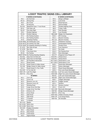|                      | <b>LCDOT TRAFFIC SIGNS CELL LIBRARY</b> |               |                                  |
|----------------------|-----------------------------------------|---------------|----------------------------------|
|                      | <b>R SERIES (CONTINUED)</b>             |               | <b>W SERIES (CONTINUED)</b>      |
| $R5-1$               | Do Not Enter                            | $W4-1$        | Merge Left/Right                 |
| <b>R5-1A</b>         | Wrong Way                               | $W4-2$        | Lane Ends                        |
| $R5-2$               | No Trucks                               | $W5-1$        | <b>Road Narrows</b>              |
| R <sub>5</sub> -6    | No Bicycles                             | $W5-2$        | Narrow Bridge                    |
| R5-1101              | Begin/End Class ? Truck Route           | W6-2          | Divided Highway Ends             |
| <b>R6-1L</b>         | One Way Left                            | W6-3          | 2-Way Traffic                    |
| R6-1R                | One Way Right                           | W8-4          | Soft Shoulder                    |
| R6-3                 | Divided Highway                         | W8-9          | Low Shoulder                     |
| R6-3A                | Divided Highway                         | W8-1100       | Water On Pavement                |
| R7-1                 | No Parking Anytime                      | W10-1         | <b>RR Xrossing</b>               |
| R7-1L                | No Parking Anytime                      | $W11-1$       | <b>Bicycle Xrossing</b>          |
| R7-8                 | <b>Handicap Parking</b>                 | W11-1A        | <b>Bicycle Xrossing</b>          |
| R7SP-NPBL            | No Parking Bus Lane                     | W11-2         | <b>Pedestrian Xrossing</b>       |
| R7SP-NPTS            | No Parking This Side                    | W11-9         | <b>Handicapped Parking</b>       |
| R7SP-NSSP            | No Stopping Standing Or Parking         | W12-1         | Double Arrow                     |
| R7-107A              | Bus Stop w/Logo                         | W12-2         | Low Clearance                    |
| R7-107B              | <b>Bus Stop</b>                         | W14-2         | No Outlet                        |
| R7-201               | Tow-Away Zone                           | W14-3         | No Passing Zone                  |
| R8-3A                | No Parking                              | W16-4         | Next (Message)                   |
| R8SP-NPSS            | No Parking Standing Stopping            | W16-7P        | Diagonal Arrow Plaque L/R        |
| R <sub>10</sub> -6AL | Stop Here On Red-Left                   | W16-9P-1      | Ahead 24x12                      |
| R10-6AR              | Stop Here On Red-Right                  | W16-9P-2      | Ahead 36x24                      |
| R <sub>10</sub> -7   | Do Not Block Intersection               | W17-I100-1    | Road Name-1 Line                 |
| R <sub>11</sub> -2   | Road Closed                             | W17-I100-2    | Road Name-2 Line                 |
| R11-3A               | Road Closed XX Miles Ahead              | W20-1         | Road Work (Message)              |
| R11-3B               | <b>Bridge Closed XX Miles Ahead</b>     | W20-2         | Detour (Message)                 |
| R <sub>11</sub> -4   | Road Closed To Thru Traffic             | W20-3         | Road Closed (Message)            |
| R12-2SP              | X Ton Axle Wt                           | W20-4         | One Lane Road (Message)          |
| RSP-LTR              | Left-Thru-Right                         | W20-5AL       | Left Two Lanes Closed (Message)  |
| RSP-TO               | Thru Only                               | W20-5AR       | Right Two Lanes Closed (Message) |
|                      | <b>W SERIES</b>                         | W20-5L        | Left Lane Closed (Message)       |
| $W1-1$               | Turn L/R                                | W20-5R        | Right Lane Closed (Message)      |
| $W1-2$               | Curve L/R                               | W20-7         | Flagger (Message)                |
| $W1-3$               | Reverse Turn L/R                        | <b>W20-7A</b> | Flagger Symbol                   |
| W1-4                 | Reverse Curve L/R                       | W21-1         | Workers                          |
| $W1-5$               | Winding Road                            | W21-1A        | Workers Symbol                   |
| W1-6                 | Large Arrow One Way                     | W21-2         | Fresh XXX                        |
| W1-7                 | Large Arrow Two Way                     | W21-I100      | Barricade (Message)              |
| $W1-8$               | Chevron L/R                             | WSP-BC        | Bridge Closed (Message)          |
| $W2-1$               | Cross Road                              | WSP-FX        | Fire X-Ing                       |
| $W2-2$               | Side Road                               | WSP-HDA       | Hidden Driveway Ahead            |
| $W2-3$               | Side Road                               | WSP-LFP       | Low Flying Planes                |
| W2-4                 | T-Symbol                                | WSP-NS        | No Shoulder                      |
| W2-5                 | Y-Symbol                                |               |                                  |
| W2-1113              | <b>Begins</b>                           |               |                                  |
| W2-1115A             | Work Zone                               |               |                                  |
| W2-1115B             | Work Zone                               |               |                                  |
| W2-I100              | Dogleg Intersection                     |               |                                  |
| $W3-1$               | Stop Ahead                              |               |                                  |
| <b>W3-1A</b>         | Stop Ahead                              |               |                                  |
| <b>W3-2A</b>         | <b>Yield Ahead</b>                      |               |                                  |
| W3-3                 | Signal Ahead                            |               |                                  |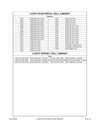| <b>LCDOT ELECTRICAL CELL LIBRARY</b> |                               |                                  |                                                                |  |  |
|--------------------------------------|-------------------------------|----------------------------------|----------------------------------------------------------------|--|--|
|                                      |                               | <b>Electrical</b>                |                                                                |  |  |
| E001                                 | High Mast Pole 1 Exist        | E019                             | Light Unit 4 Exist                                             |  |  |
| E002                                 | High Mast Pole 1 Prop         | E020                             | Light Unit 4 Prop                                              |  |  |
| E003                                 | High Mast Pole 2 Exist        | E021                             | Light Unit 5 Exist                                             |  |  |
| E004                                 | High Mast Pole 2 Prop         | E022                             | Light Unit 5 Prop                                              |  |  |
| E005                                 | High Mast Pole 3 Exist        | E023                             | Light Unit Twin 1 Exist                                        |  |  |
| E006                                 | High Mast Pole 3 Prop         | E024                             | Light Unit Twin 1 Prop                                         |  |  |
| E007                                 | High Mast Pole 4 Exist        | E025                             | Light Unit Twin 2 Exist                                        |  |  |
| E008                                 | High Mast Pole 4 Prop         | E026                             | Light Unit Twin 2 Prop                                         |  |  |
| E009                                 | High Mast Pole 5 Exist        | E027                             | Light Unit Twin 3 Exist                                        |  |  |
| E010                                 | High Mast Pole 5 Prop         | E028                             | Light Unit Twin 3 Prop                                         |  |  |
| E011                                 | High Mast Pole 6 Exist        | E029                             | Light Unit Twin 4 Exist                                        |  |  |
| E012                                 | High Mast Pole 6 Prop         | E030                             | Light Unit Twin 4 Prop                                         |  |  |
| E013                                 | Light Unit 1 Exist            | E031                             | Light Unit Twin 5 Exist                                        |  |  |
| E014                                 | Light Unit 1 Prop             | E032                             | Light Unit Twin 5 Prop                                         |  |  |
| E015                                 | Light Unit 2 Exist            | E033                             | Underpass Luminaire Exist                                      |  |  |
| E016                                 | Light Unit 2 Prop             | E034                             | Underpass Luminaire Prop                                       |  |  |
| E017                                 | Light Unit 3 Exist            | E035                             | Wire Diagram Prop                                              |  |  |
| E018                                 | Light Unit 3 Prop             |                                  |                                                                |  |  |
|                                      |                               | <b>LCDOT SURVEY CELL LIBRARY</b> |                                                                |  |  |
|                                      |                               | <b>Plats</b>                     |                                                                |  |  |
| Ded_20_scale_24x36                   | Plat of Dedication - 20 Scale | Ease_50_scale_24x36              | Plat of Easement - 50 Scale                                    |  |  |
| Ded_50_scale_24x36                   | Plat of Dedication - 50 Scale | POH_50_scale_24x36               | Parcel_Plat_50_scale_24x36 Right of Way Parcel Plat - 50 Scale |  |  |
|                                      |                               |                                  |                                                                |  |  |
|                                      |                               |                                  |                                                                |  |  |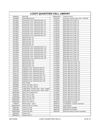| <b>LCDOT QUANTITIES CELL LIBRARY</b> |                                                |            |                                          |  |
|--------------------------------------|------------------------------------------------|------------|------------------------------------------|--|
| 28000510                             | <b>Inlet Filter</b>                            | 78000100TR | Thermo Thru RT                           |  |
| 42400800                             | Detectable Warning                             | 82102250   | Luminaire, Sodium Vapor, Horz., 250 Watt |  |
| 54213657                             | Precast Ref. Conc. Flared End Sect. 12"        | 87700110   | Steel Mast Arm & Pole, 14'               |  |
| 54213660                             | Precast Ref. Conc. Flared End Sect. 15"        | 87700120   | Steel Mast Arm & Pole, 16'               |  |
| 54213663                             | Precast Ref. Conc. Flared End Sect. 18"        | 87700130   | Steel Mast Arm & Pole, 18'               |  |
| 54213666                             | Precast Ref. Conc. Flared End Sect. 21"        | 87700140   | Steel Mast Arm & Pole, 20'               |  |
| 54213669                             | Precast Ref. Conc. Flared End Sect. 24"        | 87700150   | Steel Mast Arm & Pole, 22'               |  |
| 54213672                             | Precast Ref. Conc. Flared End Sect. 27"        | 87700160   | Steel Mast Arm & Pole, 24'               |  |
| 54213675                             | Precast Ref. Conc. Flared End Sect. 30"        | 87700170   | Steel Mast Arm & Pole, 26'               |  |
| 54213678                             | Precast Ref. Conc. Flared End Sect. 33"        | 87700180   | Steel Mast Arm & Pole, 28'               |  |
| 54213681                             | Precast Ref. Conc. Flared End Sect. 36"        | 87700190   | Steel Mast Arm & Pole, 30'               |  |
| 54213867                             | Steel End Sect. 12"                            | 87700200   | Steel Mast Arm & Pole, 32'               |  |
| 54213870                             | Steel End Sect. 15"                            | 87700210   | Steel Mast Arm & Pole, 34'               |  |
| 54213873                             | Steel End Sect. 18"                            | 87700220   | Steel Mast Arm & Pole, 36'               |  |
| 54213876                             | Steel End Sect. 21"                            | 87700230   | Steel Mast Arm & Pole, 38'               |  |
| 54213879                             | Steel End Sect. 24"                            | 87700240   | Steel Mast Arm & Pole, 40'               |  |
| 54214500                             | Precast Ref. Conc. Flared End Sect =15"        | 87700250   | Steel Mast Arm & Pole, 42'               |  |
| 54214503                             | Precast Ref. Conc. Flared End Sect =18"        | 87700260   | Steel Mast Arm & Pole, 44'               |  |
| 54214506                             | Precast Ref. Conc. Flared End Sect = 21"       | 87700270   | Steel Mast Arm & Pole, 46'               |  |
| 54214509                             | Precast Ref. Conc. Flared End Sect = 24"       | 87700280   | Steel Mast Arm & Pole, 48'               |  |
| 54214512                             | Precast Ref. Conc. Flared End Sect =27"        | 87700290   | Steel Mast Arm & Pole, 50'               |  |
| 54214515                             | Precast Ref. Conc. Flared End Sect =30"        | 87700300   | Steel Mast Arm & Pole, 52'               |  |
| 54214521                             | Precast Ref. Conc. Flared End Sect =36"        | 87700310   | Steel Mast Arm & Pole, 54'               |  |
| 54215130                             | Steel End Sect =15"                            | 87700320   | Steel Mast Arm & Pole, 55'               |  |
| 54215133                             | Steel End Sect =18"                            | 87702810   | Comb. Mast Arm & Pole, 16"               |  |
| 54215136                             | Steel End Sect = 21"                           | 87702820   | Comb. Mast Arm & Pole, 18"               |  |
| 54215139                             | Steel End Sect = 24"                           | 87702830   | Comb. Mast Arm & Pole, 20"               |  |
| 54247130                             | Grating for Conc. Flared End Sect 24"          | 87702840   | Comb. Mast Arm & Pole, 22"               |  |
| 54247140                             | Grating for Conc. Flared End Sect 27"          | 87702850   | Comb. Mast Arm & Pole, 24"               |  |
| 54247150                             | Grating for Conc. Flared End Sect 30"          | 87702860   | Comb. Mast Arm & Pole, 26"               |  |
| 54247170                             | Grating for Conc. Flared End Sect 36"          | 87702870   | Comb. Mast Arm & Pole, 28"               |  |
| 54248130                             | Grating for Conc. Flared End Sect = 24"        | 87702880   | Comb. Mast Arm & Pole, 30"               |  |
| 54248140                             | Grating for Conc. Flared End Sect = 27"        | 87702890   | Comb. Mast Arm & Pole, 32"               |  |
| 54248150                             | Grating for Conc. Flared End Sect = 30"        | 87702900   | Comb. Mast Arm & Pole, 34"               |  |
| 54248160                             | Grating for Conc. Flared End Sect =36"         | 87702910   | Comb. Mast Arm & Pole, 36"               |  |
| 60264415                             | Inlet: 542546                                  | 87702920   | Comb. Mast Arm & Pole, 38"               |  |
| 60404800                             | Frame and Grate, Type 11                       | 87702930   | Comb. Mast Arm & Pole, 40"               |  |
| 60404950                             | Frame and Grate, Type 24                       | 87702940   | Comb. Mast Arm & Pole, 42"               |  |
| 63100167                             | Traffic Barrier Terminal Type 1, Spec. Tangent | 87702950   | Comb. Mast Arm & Pole, 44"               |  |
| 63100169                             | Traffic Barrier Terminal Type 1, Spec. Flared  | 87702960   | Comb. Mast Arm & Pole, 46"               |  |
| 70300100DA                           | Short-Term Double Arrow                        | 87702970   | Comb. Mast Arm & Pole, 48"               |  |
| 70300100L                            | Short-Term LT Only                             | 87702980   | Comb. Mast Arm & Pole, 50"               |  |
| 70300100R                            | Short-Term RT Only                             | 87702990   | Comb. Mast Arm & Pole, 52"               |  |
| 70300100RR                           | Short-Term RR Xing                             | 87703000   | Comb. Mast Arm & Pole, 54"               |  |
| 70300100TL                           | Short-Term Thru LT                             | 87703010   | Comb. Mast Arm & Pole, 55"               |  |
| 70300100TR                           | Short-Term Thru RT                             | 88200110   | TS Backplate, Louvered                   |  |
| 72400100                             | Remove Sign - Type A                           | 88200210   | TS Backplate, Louvered, Aluminum         |  |
| 78000100DTA                          | Thermo Dual Turn Arrows                        | 88700200   | <b>Light Detector</b>                    |  |
| 78000100L                            | Thermo LT Only                                 | 88700300   | <b>Light Detector Amplifier</b>          |  |
| 78000100R                            | Thermo RT Only                                 | 88800100   | Pedestrian Push-Button                   |  |
| 78000100RR                           | Thermo RR Xing                                 | 89502385   | Remove Existing Concrete Foundation      |  |
| 78000100T                            | Thermo Thru                                    |            |                                          |  |
| 78000100TL                           | Thermo Thru LT                                 |            |                                          |  |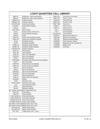| <b>LCDOT QUANTITIES CELL LIBRARY</b> |                                            |                     |                                  |  |
|--------------------------------------|--------------------------------------------|---------------------|----------------------------------|--|
| <b>BBW PR</b>                        | Buffalo box, Valve Vault Existing          | <b>TEMP DTA</b>     | <b>Temp Dual Turn Arrows</b>     |  |
| <b>BBW EX</b>                        | Buffalo box, Valve Vault Proposed          | <b>TEMP LTO</b>     | Temp LT Only                     |  |
| <b>CABINET EX</b>                    | <b>Cabinet Existing</b>                    | <b>TEMP RR</b>      | Temp RR Xing                     |  |
| <b>CABINET PR</b>                    | <b>Cabinet Proposed</b>                    | <b>TEMP RTO</b>     | Temp RT Only                     |  |
| <b>CB EXISTING</b>                   | <b>Catch Basin Existing</b>                | <b>TEMP THRU</b>    | Temp Thru                        |  |
| CB PROP                              | Catch Basin Proposed                       | <b>TEMP TL</b>      | Temp Thru LT                     |  |
| <b>CIRCLE</b>                        | Circle                                     | <b>TEMP TL</b>      | Temp Thru RT                     |  |
| <b>Ditch Check</b>                   | <b>Ditch Checks</b>                        | Tree 1              | <b>Tree Diciduous</b>            |  |
| FG-FL                                | Frame & Grate, Frame & Lid                 | Tree 2              | Tree Evergreen                   |  |
| FIB PR                               | Flush Inlet Box Proposed                   | <b>Tree Removal</b> | <b>Tree Removal</b>              |  |
| <b>GRATE</b>                         | Grate                                      | X0322371            | Remove Exist Mast Arm            |  |
| HDHH EX                              | Heavy Duty Handhole Existing               | X0322748            | <b>Bicycle Lane Marking</b>      |  |
| HDHH PR                              | Heavy Duty Handhole Proposed               | X0327301            | <b>Relocate Existing Mailbox</b> |  |
| HH EX                                | Handhole Existing                          | X2800500            | Inlet Protection, Special        |  |
| HH PR                                | Handhole Proposed                          | XX003665            | Rebuild Exist HH to Double HH    |  |
| <b>HHDBL EX</b>                      | Handhole Double Existing                   | XX206400            | <b>Mailbox Post</b>              |  |
| <b>HHDBL PR</b>                      | Handhole Double Proposed                   | Z0019400            | <b>Tree Well</b>                 |  |
| <b>HYDRANT PR</b>                    | <b>Hydrant Proposed</b>                    |                     |                                  |  |
| <b>INLET EX</b>                      | <b>Inlet Existing</b>                      |                     |                                  |  |
| <b>INLET PR</b>                      | Inlet Proposed                             |                     |                                  |  |
| <b>ITEM AB</b>                       | Item to be Abandoned                       |                     |                                  |  |
| <b>ITEM ADJ</b>                      |                                            |                     |                                  |  |
| <b>ITEM C</b>                        | Item to be Adjusted<br>Item to be Cleaned  |                     |                                  |  |
| <b>ITEM DWSB</b>                     |                                            |                     |                                  |  |
|                                      | Domestic Wate Service Box to be Adjusted   |                     |                                  |  |
| <b>ITEMF</b>                         | Item to be Filled                          |                     |                                  |  |
| <b>ITEM FGA</b>                      | Frame/Grate to be Adjusted                 |                     |                                  |  |
| <b>ITEM FLA</b>                      | Frame & Lid to be Adjusted                 |                     |                                  |  |
| <b>ITEM M</b>                        | Item to be Moved                           |                     |                                  |  |
| <b>ITEM R</b>                        | Item to be Removed                         |                     |                                  |  |
| <b>ITEM REC</b>                      | Item to be Reconstructed                   |                     |                                  |  |
| <b>ITEM REL</b>                      | Item to be Relocated                       |                     |                                  |  |
| <b>ITEM SP</b>                       | Special Adjustment                         |                     |                                  |  |
| <b>ITEM VA</b>                       | Valve Vault to be Adjusted                 |                     |                                  |  |
| LC000061                             | <b>Bollard</b>                             |                     |                                  |  |
| <b>LOOP</b>                          | Dectector Loop                             |                     |                                  |  |
| <b>LOOP LARGE</b>                    | Dectector Loop Large                       |                     |                                  |  |
| LRA                                  | Lane Reduction Arrow                       |                     |                                  |  |
| MH EX                                | <b>Manhole Existing</b>                    |                     |                                  |  |
| MH PR                                | Manhole Proposed                           |                     |                                  |  |
|                                      | ED. SIGNAL HEAD PIPed. Signal Head, LED    |                     |                                  |  |
| POLE EX                              | Pole Existing                              |                     |                                  |  |
| POLE PR                              | Pole Proposed                              |                     |                                  |  |
| POLE WOOD EX                         | Pole Wood Existing                         |                     |                                  |  |
| POLE WOOD PR                         | Pole Wood Proposed                         |                     |                                  |  |
| POWER POLE EX                        | Power Pole Existing                        |                     |                                  |  |
| POWER POLE PR                        | Power Pole Proposed                        |                     |                                  |  |
|                                      | SIG HEAD 1-FACE PR Signal Head, LED 1-Face |                     |                                  |  |
|                                      | SIG HEAD 2-FACE PR Signal Head, LED 2-Face |                     |                                  |  |
| SIG HEAD EX                          | Signal Head Existing                       |                     |                                  |  |
| SIG HEAD PR                          | Signal Head Proposed                       |                     |                                  |  |
| TBT Tyle 1                           | Traffic Barrier Term., Type 1              |                     |                                  |  |
|                                      |                                            |                     |                                  |  |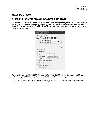# *STANDARD SHEETS*

#### **IMPORTANT INFORMATION REGARDING STANDARD SHEET CELLS!**

The standard sheets will now scale correctly if brought in at an engineering scale (i.e. "20" for a 20 scale drawing). Go to **Settings Manager>Category>Scale…** and select the desired scale, then select the desired form sheet from level 35 (General Plan Details). Microstation will automatically scale the cell to the correct scale factor.

| Place Active Cell                                                                         |                                                                                                                                   |
|-------------------------------------------------------------------------------------------|-----------------------------------------------------------------------------------------------------------------------------------|
| Active <u>C</u> ell:                                                                      | G010<br>Active Angle: 00°00'00.00000000'<br>X Scale:   40.000000<br>Y Scale:   40.000000                                          |
| <b>V</b> True Scale<br>Relative<br>Mirror:<br>Flatten<br>Scale Annotations<br>Association | Vertical<br>Interactive Scale and Rotate $\blacktriangledown$<br>Top<br>Scale Multi-line Offsets<br><b>Scale Dimension Values</b> |

There are 2 versions of the LCDOT Plan and Profile sheet. G013A has a grid to conform to 20 and 40 scale drawings. G013B has a grid to conform to 50 and 100 scale drawings.

LCDOT now uses the 22"x34" sheet size for all projects. The 24"x36" sheets have been eliminated.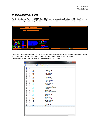# *EROSION CONTROL SHEET*

The Erosion Control Plan Sheet (**ECP-Base 22x34.dgn**) is located in **U:\Design\lake\Erosion Control\**. Copy this drawing into your project directory and rename it according to LCDOT naming conventions.



The erosion control base sheet has two border sheets at 100 scale since that is the most common scale for erosion control plans. Extra border sheets can be added and/or deleted as needed. The individual water shed files exist in the base drawing as models.

| Models                |                                                  |                   |                                   |                             |   |           | $\mathbf{x}$<br>والمستحيل |
|-----------------------|--------------------------------------------------|-------------------|-----------------------------------|-----------------------------|---|-----------|---------------------------|
|                       | $\frac{dP}{dP}$ Active File $\blacktriangledown$ |                   | $1$ b f $\times$ $\beta$ $\vdash$ | $\boxed{\Box}$              |   |           |                           |
|                       |                                                  | Type 2D/3D Name ^ |                                   | Description                 | ₩ | Cell Type | Sheet Name                |
| σ                     | Ω                                                | Default           |                                   | Master Model                |   |           |                           |
| ß.                    | п                                                | <b>WS01</b>       |                                   | 1. Upper Fox River          |   |           |                           |
|                       | п                                                | <b>WS02</b>       |                                   | 2. Sequoit Creek            |   |           |                           |
|                       |                                                  | <b>WS03</b>       |                                   | 3. Fish Lake Drain          |   |           |                           |
| 民民民民民民民民民民民民民民民民民民民民民 |                                                  | <b>WS04</b>       |                                   | 4. Squaw Creek              |   |           |                           |
|                       |                                                  | <b>WS05</b>       |                                   | 5. Lower Fox River          |   |           |                           |
|                       | п                                                | <b>WS06</b>       |                                   | 6. Mutton Creek             |   |           |                           |
|                       | п                                                | <b>WS07</b>       |                                   | 7. Slocum Lake Drain        |   |           |                           |
|                       | п                                                | <b>WS08</b>       |                                   | 8. Tower Lake Drain         |   |           |                           |
|                       | □                                                | <b>WS09</b>       |                                   | 9. Flint Creek              |   |           |                           |
|                       | Ω                                                | <b>WS10</b>       |                                   | 10. North Mill Creek        |   |           |                           |
|                       | Ω                                                | <b>WS11</b>       |                                   | 11. Mill Creek              |   |           |                           |
|                       | п                                                | <b>WS12</b>       |                                   | 12. Newport Drainage Ditch  |   |           |                           |
|                       | п                                                | <b>WS13</b>       |                                   | 13. Upper Des Plaines River |   |           |                           |
|                       | п                                                | <b>WS14</b>       |                                   | 14. Bull Creek              |   |           |                           |
|                       | п                                                | <b>WS15</b>       |                                   | 15. Indian Creek            |   |           |                           |
|                       | п                                                | <b>WS16</b>       |                                   | 16. Lower Des Plaines River |   |           |                           |
|                       | п                                                | <b>WS17</b>       |                                   | 17. Buffalo Creek           |   |           |                           |
|                       | п                                                | <b>WS18</b>       |                                   | 18. Aptakisic Creek         |   |           |                           |
|                       | п                                                | <b>WS19</b>       |                                   | 19. Kellogg Creek           |   |           |                           |
|                       | п                                                | <b>WS20</b>       |                                   | 20. Dead River              |   |           |                           |
|                       | п                                                | <b>WS21</b>       |                                   | 21. Waukegan River          |   |           |                           |
|                       |                                                  | <b>WS22</b>       |                                   | 22. Pettibone Creek         |   |           |                           |
|                       |                                                  | <b>WS23</b>       |                                   | 23. Bluff/Ravine            |   |           |                           |
|                       | п                                                | <b>WS24</b>       |                                   | 24 Skokie River             |   |           |                           |
| $\mathbb{Z}$          |                                                  | <b>WS25</b>       |                                   | 25. Middle Fork             |   |           |                           |
| B                     |                                                  | <b>WS26</b>       |                                   | 26. West Fork               |   |           |                           |
|                       |                                                  |                   |                                   |                             |   |           |                           |
|                       |                                                  |                   |                                   |                             |   |           |                           |
|                       |                                                  |                   |                                   |                             |   |           |                           |
|                       |                                                  |                   |                                   |                             |   |           |                           |
|                       |                                                  |                   |                                   |                             |   |           |                           |
|                       |                                                  |                   |                                   | Ш                           |   |           | Þ                         |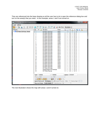They are referenced into the base drawing so all the user has to do is open the reference dialog box and turn on the area(s) that you need. In this example, areas 1 and 5 are turned on.

|                                             | والمتواصي                                                                                                                                                             | $\mathbf{x}$ |
|---------------------------------------------|-----------------------------------------------------------------------------------------------------------------------------------------------------------------------|--------------|
| T References (28 of 28 unique, 0 displayed) |                                                                                                                                                                       |              |
| Tools<br>Settings                           |                                                                                                                                                                       |              |
| Ē<br>恮                                      | <b>火山 ズゆやむさむ びびさき せつくま Mode: (</b><br>Boundaries v                                                                                                                    |              |
| Hierarchy                                   | Slot 1 P<br><b>File Name</b><br>Model<br>h<br>1:1<br>台 语<br>لمه<br>$\circ$<br>$\bullet$<br>۹<br><b>STATES</b>                                                         |              |
| ECP-Base 22x34.dgn, Default                 | <b>WS01</b><br>ECP-Base 22x34.dgn<br>1<br>$\checkmark$ 0<br>✓<br>✓<br>$\checkmark$                                                                                    |              |
|                                             | 2<br><b>WS02</b><br>ECP-Base 22x34.dgn<br>0<br>0<br>✓<br>✓<br>✓<br>✓                                                                                                  |              |
|                                             | 3<br><b>WS03</b><br>0<br>ECP-Base 22x34.dgn<br>✓<br>✓<br>✓<br>0                                                                                                       |              |
|                                             | 4<br>ECP-Base 22x34.dgn<br><b>WS04</b><br>0<br>✓<br>✓<br>0<br>✓<br>✓                                                                                                  |              |
|                                             | 5<br>ECP-Base 22x34.dgn<br><b>WS05</b><br>0<br>✓<br>0<br>✓<br>✓<br>✓                                                                                                  |              |
|                                             | 6<br>ECP-Base 22x34.dgn<br><b>WS06</b><br>$\mathbf{0}$<br>$\bf{0}$<br>✓<br>✓<br>✓                                                                                     |              |
|                                             | 7<br>ECP-Base 22x34.dgn<br><b>WS07</b><br>0<br>✓<br>✓<br>0<br>✓                                                                                                       |              |
|                                             | 8<br>ECP-Base 22x34.dgn<br><b>WS08</b><br>$\bf{0}$<br>✓<br>0<br>✓<br>✓                                                                                                |              |
|                                             | 9<br>ECP-Base 22x34.dqn<br><b>WS09</b><br>0<br>✓<br>0<br>✓<br>✓                                                                                                       |              |
|                                             | 10<br>ECP-Base 22x34.dgn<br><b>WS10</b><br>0<br>$\checkmark$<br>✓<br>0<br>✓                                                                                           |              |
|                                             | 11<br>ECP-Base 22x34.dgn<br>$\bf{0}$<br><b>WS11</b><br>✓<br>0<br>✓<br>✓                                                                                               |              |
|                                             | 12<br>ECP-Base 22x34.dqn<br><b>WS12</b><br>$\bf{0}$<br>0<br>✓<br>✓<br>✓                                                                                               |              |
|                                             | 13<br>ECP-Base 22x34.dgn<br><b>WS13</b><br>0<br>✓<br>0<br>✓<br>✓                                                                                                      |              |
|                                             | $\bf{0}$<br>14<br>ECP-Base 22x34.dgn<br><b>WS14</b><br>0<br>✓<br>✓<br>✓                                                                                               |              |
|                                             | 15<br>ECP-Base 22x34.dqn<br><b>WS15</b><br>$\bf{0}$<br>0<br>✓<br>✓<br>✓                                                                                               |              |
|                                             | 16<br><b>WS16</b><br>$\bf{0}$<br>ECP-Base 22x34.dgn<br>✓<br>0<br>✓<br>✓                                                                                               |              |
|                                             | 17<br>$\bf{0}$<br>ECP-Base 22x34.dgn<br><b>WS17</b><br>✓<br>0<br>✓<br>✓                                                                                               |              |
|                                             | 18<br>0<br>ECP-Base 22x34.dgn<br><b>WS18</b><br>0<br>✓<br>✓<br>✓                                                                                                      |              |
|                                             | 19<br>$\mathbf{0}$<br>ECP-Base 22x34.dgn<br><b>WS19</b><br>$\mathbf{0}$<br>✓<br>✓<br>✓                                                                                |              |
|                                             | 20<br><b>WS20</b><br>ECP-Base 22x34.dgn<br>$\checkmark$<br>$\mathbf{0}$<br>$\checkmark$<br>0<br>✓                                                                     |              |
|                                             | 21<br>ECP-Base 22x34.dgn<br><b>WS21</b><br>0<br>✓<br>0<br>✓<br>✓<br>✓                                                                                                 |              |
|                                             | 22<br>$\bf{0}$<br>ECP-Base 22x34.dgn<br><b>WS22</b><br>$\mathbf{0}$<br>$\checkmark$<br>✓<br>✓                                                                         |              |
|                                             | 23<br><b>WS23</b><br>ECP-Base 22x34.dgn<br>0<br>0<br>✓<br>✓                                                                                                           |              |
|                                             | 24<br>ECP-Base 22x34.dgn<br><b>WS24</b><br>$\checkmark$<br>0<br>0<br>✓<br>✓                                                                                           |              |
|                                             | 25<br><b>WS25</b><br>ECP-Base 22x34.dgn<br>$\bf{0}$<br>✓<br>✓<br>$\Omega$<br>✓                                                                                        |              |
|                                             | 26<br>ECP-Base 22x34.dgn<br><b>WS26</b><br>0<br>✓<br>✓<br>0                                                                                                           |              |
|                                             | 27<br>Drainage Basins-Full Scale.dgn<br>0<br>✓<br>✓<br>0                                                                                                              |              |
|                                             | 28<br>ECP-Street Map.don<br>0<br>✓ 0                                                                                                                                  |              |
|                                             |                                                                                                                                                                       |              |
|                                             | 1.000000<br>1.000000<br>00°00'00"<br>Rotation<br>Scale                                                                                                                |              |
|                                             | 0.00<br>Offset $\times$ 0.00<br>Y                                                                                                                                     |              |
|                                             | <b>E</b><br>陷出<br>$\left\Vert \mathbb{H}\right\Vert$<br>$\rightarrow$ $\rightarrow$<br>$\mathbf{F}$<br>₩<br>$\Delta \neq 2$<br>7<br>$\bullet$<br>$\ddot{\phantom{1}}$ |              |
|                                             | Display Overrides: Allow<br>Nested Attachments: No Nesting<br>$\blacktriangleright$ Nesting Depth:   1<br>▼                                                           |              |
|                                             | New Level Display: [Config Variable ▼]<br>Georeferenced: No<br>$\overline{\mathbf{v}}$                                                                                |              |

The next illustration shows the map with areas 1 and 5 turned on.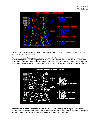

The water shed areas are patterned with a dot pattern so that the text shows through without having do copy text on text to insure visibility.

If the user desires a shaded pattern instead of the default pattern it is easy to change. Change the override setting in the Level Manager from "0" to the shading number desired (usually 252). Then in the section of the Level Manager that shows the referenced files, update the levels to reflect this change and turn on the Level Overrides in the View Attributes dialog box. The result is shown in the next illustration.



When the user is satisfied that no more areas are needed the next step is to merge the required areas into the master drawing and delete the unused reference files and unused models. Then the drawing can be moved, rotated and scaled as needed to complete the erosion control plan.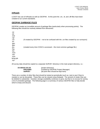## *InRoads*

LCDOT has use of InRoads as well as GEOPAK. At this point the .xin, .itl, and .dft files have been created to our current standards.

# *GEOPAK GARBAGE FILES*

GEOPAK creates an incredible amount of garbage files (particularly when processing points). The following files should be routinely deleted from directories:

.1d .2d .2sd .cgr .cor (if created by GEOPAK – not to be confused with the .cor files created by our surveyors) .err .gen .geo .jou (created every time COGO is accessed – the most common garbage file.) .log .lsa .num .red .sum temp.job .xyz

All survey data should be copied to a separate SURVEY directory in the main project directory, i.e.:

| XX-00XXX-XX-XX | (project directory)                   |
|----------------|---------------------------------------|
| <b>PROJDBS</b> | (created by GEOPAK Project Manager)   |
| <b>SURVEY</b>  | (all point files should be kept here) |

There are a number of other files that should be looked at periodically (such as .inp) to see if they're needed or can be discarded. These files can be viewed using Notepad. The amount of clutter that can be deleted is substantial. Granted, storage availability continues to grow, but that is no excuse for saving a lot of unneeded garbage. The following page is a summary of various GEOPAK files to help decide which to keep and discard.